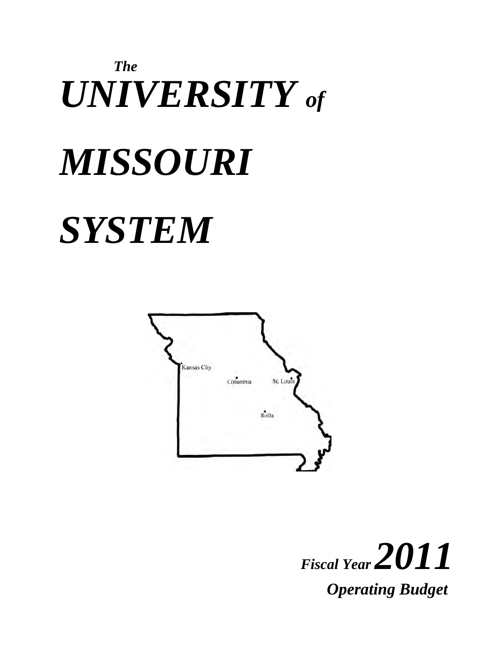# *The UNIVERSITY of MISSOURI SYSTEM*



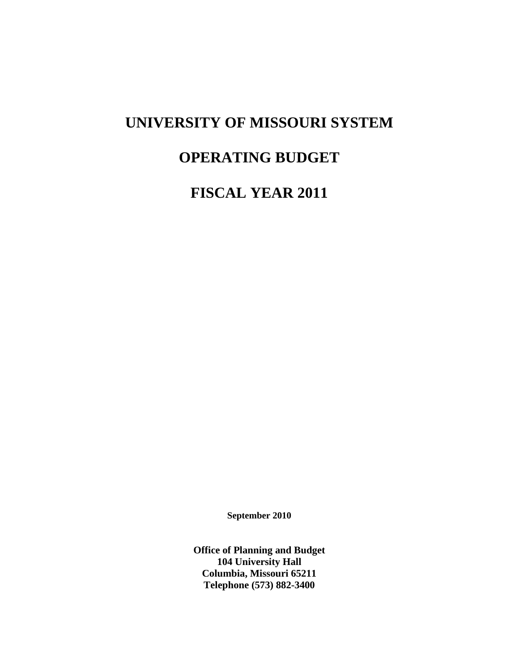## **UNIVERSITY OF MISSOURI SYSTEM**

## **OPERATING BUDGET**

**FISCAL YEAR 2011** 

**September 2010** 

**Office of Planning and Budget 104 University Hall Columbia, Missouri 65211 Telephone (573) 882-3400**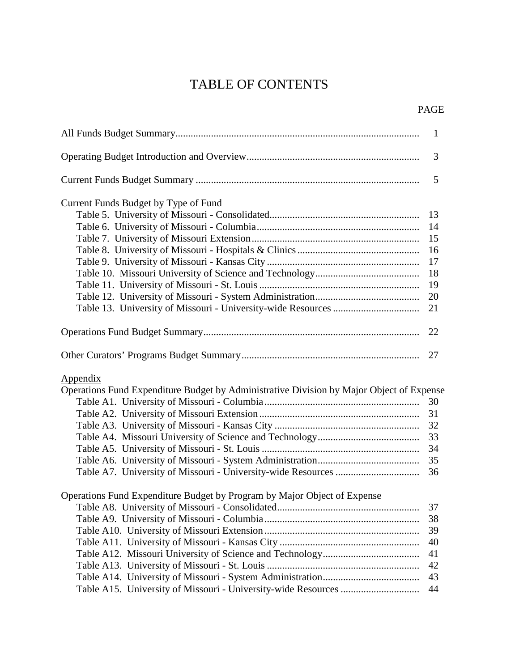## TABLE OF CONTENTS

| <b>PAGE</b> |
|-------------|
|             |

|                                                                                                             | $\mathbf{1}$ |
|-------------------------------------------------------------------------------------------------------------|--------------|
|                                                                                                             | 3            |
|                                                                                                             | 5            |
| Current Funds Budget by Type of Fund                                                                        |              |
|                                                                                                             | 13           |
|                                                                                                             | 14           |
|                                                                                                             | 15           |
|                                                                                                             | 16           |
|                                                                                                             | 17           |
|                                                                                                             | 18           |
|                                                                                                             | 19           |
|                                                                                                             | 20           |
|                                                                                                             | 21           |
|                                                                                                             | 22           |
|                                                                                                             |              |
| <b>Appendix</b><br>Operations Fund Expenditure Budget by Administrative Division by Major Object of Expense |              |
|                                                                                                             | 30           |
|                                                                                                             | 31           |
|                                                                                                             |              |
|                                                                                                             |              |
|                                                                                                             | 34           |
|                                                                                                             | 35           |
|                                                                                                             | 36           |
| Operations Fund Expenditure Budget by Program by Major Object of Expense                                    |              |
|                                                                                                             | 37           |
|                                                                                                             | 38           |
|                                                                                                             | 39           |
|                                                                                                             | 40           |
|                                                                                                             | 41           |
|                                                                                                             | 42           |
|                                                                                                             | 43           |
|                                                                                                             | 44           |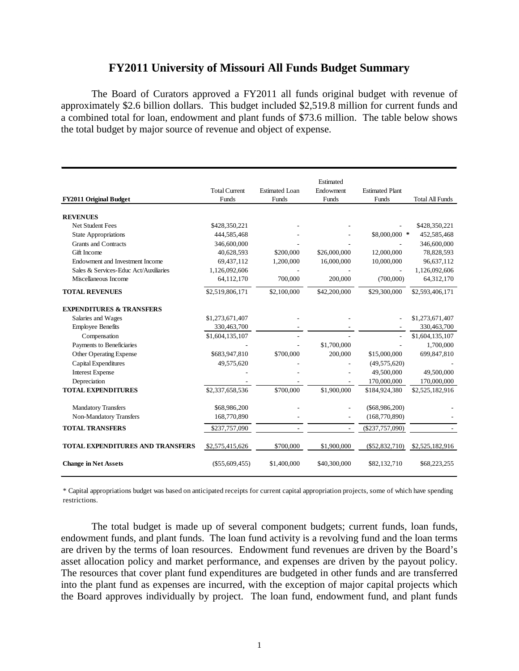## **FY2011 University of Missouri All Funds Budget Summary**

The Board of Curators approved a FY2011 all funds original budget with revenue of approximately \$2.6 billion dollars. This budget included \$2,519.8 million for current funds and a combined total for loan, endowment and plant funds of \$73.6 million. The table below shows the total budget by major source of revenue and object of expense.

|                                         |                      |                       | Estimated      |                        |                        |
|-----------------------------------------|----------------------|-----------------------|----------------|------------------------|------------------------|
|                                         | <b>Total Current</b> | <b>Estimated Loan</b> | Endowment      | <b>Estimated Plant</b> |                        |
| <b>FY2011 Original Budget</b>           | Funds                | Funds                 | Funds          | Funds                  | <b>Total All Funds</b> |
| <b>REVENUES</b>                         |                      |                       |                |                        |                        |
| <b>Net Student Fees</b>                 | \$428,350,221        |                       |                |                        | \$428,350,221          |
| <b>State Appropriations</b>             | 444,585,468          |                       |                | \$8,000,000 *          | 452,585,468            |
| <b>Grants and Contracts</b>             | 346,600,000          |                       |                |                        | 346,600,000            |
| Gift Income                             | 40,628,593           | \$200,000             | \$26,000,000   | 12,000,000             | 78,828,593             |
| Endowment and Investment Income         | 69,437,112           | 1,200,000             | 16,000,000     | 10,000,000             | 96,637,112             |
| Sales & Services-Educ Act/Auxiliaries   | 1,126,092,606        |                       |                |                        | 1,126,092,606          |
| Miscellaneous Income                    | 64,112,170           | 700,000               | 200,000        | (700,000)              | 64,312,170             |
| <b>TOTAL REVENUES</b>                   | \$2,519,806,171      | \$2,100,000           | \$42,200,000   | \$29,300,000           | \$2,593,406,171        |
| <b>EXPENDITURES &amp; TRANSFERS</b>     |                      |                       |                |                        |                        |
| Salaries and Wages                      | \$1,273,671,407      |                       |                |                        | \$1,273,671,407        |
| <b>Employee Benefits</b>                | 330,463,700          |                       |                |                        | 330,463,700            |
| Compensation                            | \$1,604,135,107      |                       |                |                        | \$1,604,135,107        |
| Payments to Beneficiaries               |                      |                       | \$1,700,000    |                        | 1,700,000              |
| <b>Other Operating Expense</b>          | \$683,947,810        | \$700,000             | 200,000        | \$15,000,000           | 699,847,810            |
| Capital Expenditures                    | 49,575,620           |                       |                | (49, 575, 620)         |                        |
| <b>Interest Expense</b>                 |                      |                       |                | 49,500,000             | 49,500,000             |
| Depreciation                            |                      |                       |                | 170,000,000            | 170,000,000            |
| <b>TOTAL EXPENDITURES</b>               | \$2,337,658,536      | \$700,000             | \$1,900,000    | \$184,924,380          | \$2,525,182,916        |
| <b>Mandatory Transfers</b>              | \$68,986,200         |                       |                | $(\$68,986,200)$       |                        |
| Non-Mandatory Transfers                 | 168,770,890          |                       |                | (168, 770, 890)        |                        |
| <b>TOTAL TRANSFERS</b>                  | \$237,757,090        |                       | $\overline{a}$ | $(\$237,757,090)$      |                        |
| <b>TOTAL EXPENDITURES AND TRANSFERS</b> | \$2,575,415,626      | \$700,000             | \$1,900,000    | $(\$52,832,710)$       | \$2,525,182,916        |
|                                         |                      |                       |                |                        |                        |
| <b>Change in Net Assets</b>             | $(\$55,609,455)$     | \$1,400,000           | \$40,300,000   | \$82,132,710           | \$68,223,255           |

\* Capital appropriations budget was based on anticipated receipts for current capital appropriation projects, some of which have spending restrictions.

The total budget is made up of several component budgets; current funds, loan funds, endowment funds, and plant funds. The loan fund activity is a revolving fund and the loan terms are driven by the terms of loan resources. Endowment fund revenues are driven by the Board's asset allocation policy and market performance, and expenses are driven by the payout policy. The resources that cover plant fund expenditures are budgeted in other funds and are transferred into the plant fund as expenses are incurred, with the exception of major capital projects which the Board approves individually by project. The loan fund, endowment fund, and plant funds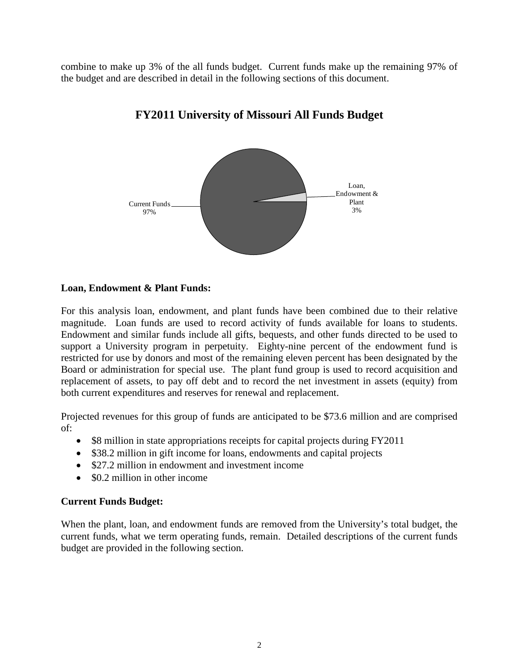combine to make up 3% of the all funds budget. Current funds make up the remaining 97% of the budget and are described in detail in the following sections of this document.



## **FY2011 University of Missouri All Funds Budget**

#### **Loan, Endowment & Plant Funds:**

For this analysis loan, endowment, and plant funds have been combined due to their relative magnitude. Loan funds are used to record activity of funds available for loans to students. Endowment and similar funds include all gifts, bequests, and other funds directed to be used to support a University program in perpetuity. Eighty-nine percent of the endowment fund is restricted for use by donors and most of the remaining eleven percent has been designated by the Board or administration for special use. The plant fund group is used to record acquisition and replacement of assets, to pay off debt and to record the net investment in assets (equity) from both current expenditures and reserves for renewal and replacement.

Projected revenues for this group of funds are anticipated to be \$73.6 million and are comprised of:

- \$8 million in state appropriations receipts for capital projects during FY2011
- \$38.2 million in gift income for loans, endowments and capital projects
- \$27.2 million in endowment and investment income
- \$0.2 million in other income

#### **Current Funds Budget:**

When the plant, loan, and endowment funds are removed from the University's total budget, the current funds, what we term operating funds, remain. Detailed descriptions of the current funds budget are provided in the following section.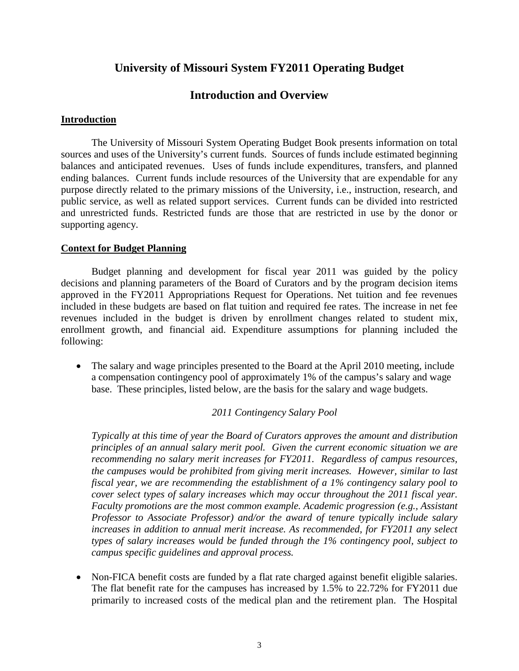## **University of Missouri System FY2011 Operating Budget**

## **Introduction and Overview**

#### **Introduction**

The University of Missouri System Operating Budget Book presents information on total sources and uses of the University's current funds. Sources of funds include estimated beginning balances and anticipated revenues. Uses of funds include expenditures, transfers, and planned ending balances. Current funds include resources of the University that are expendable for any purpose directly related to the primary missions of the University, i.e., instruction, research, and public service, as well as related support services. Current funds can be divided into restricted and unrestricted funds. Restricted funds are those that are restricted in use by the donor or supporting agency.

#### **Context for Budget Planning**

Budget planning and development for fiscal year 2011 was guided by the policy decisions and planning parameters of the Board of Curators and by the program decision items approved in the FY2011 Appropriations Request for Operations. Net tuition and fee revenues included in these budgets are based on flat tuition and required fee rates. The increase in net fee revenues included in the budget is driven by enrollment changes related to student mix, enrollment growth, and financial aid. Expenditure assumptions for planning included the following:

• The salary and wage principles presented to the Board at the April 2010 meeting, include a compensation contingency pool of approximately 1% of the campus's salary and wage base. These principles, listed below, are the basis for the salary and wage budgets.

#### *2011 Contingency Salary Pool*

*Typically at this time of year the Board of Curators approves the amount and distribution principles of an annual salary merit pool. Given the current economic situation we are recommending no salary merit increases for FY2011. Regardless of campus resources, the campuses would be prohibited from giving merit increases. However, similar to last fiscal year, we are recommending the establishment of a 1% contingency salary pool to cover select types of salary increases which may occur throughout the 2011 fiscal year. Faculty promotions are the most common example. Academic progression (e.g., Assistant Professor to Associate Professor) and/or the award of tenure typically include salary increases in addition to annual merit increase. As recommended, for FY2011 any select types of salary increases would be funded through the 1% contingency pool, subject to campus specific guidelines and approval process.* 

• Non-FICA benefit costs are funded by a flat rate charged against benefit eligible salaries. The flat benefit rate for the campuses has increased by 1.5% to 22.72% for FY2011 due primarily to increased costs of the medical plan and the retirement plan. The Hospital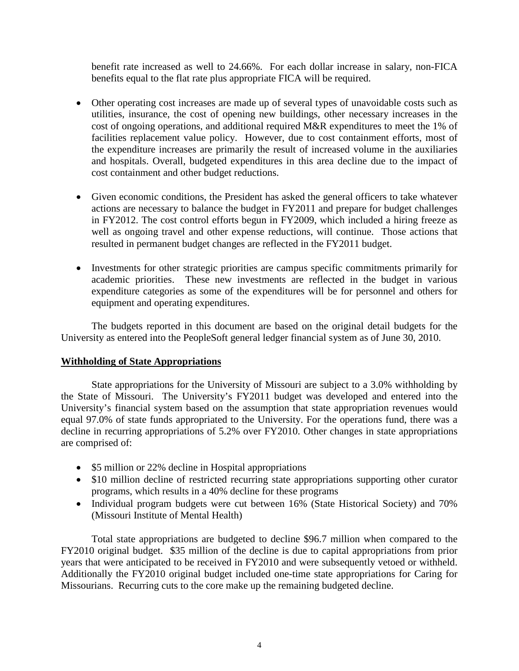benefit rate increased as well to 24.66%. For each dollar increase in salary, non-FICA benefits equal to the flat rate plus appropriate FICA will be required.

- Other operating cost increases are made up of several types of unavoidable costs such as utilities, insurance, the cost of opening new buildings, other necessary increases in the cost of ongoing operations, and additional required M&R expenditures to meet the 1% of facilities replacement value policy. However, due to cost containment efforts, most of the expenditure increases are primarily the result of increased volume in the auxiliaries and hospitals. Overall, budgeted expenditures in this area decline due to the impact of cost containment and other budget reductions.
- Given economic conditions, the President has asked the general officers to take whatever actions are necessary to balance the budget in FY2011 and prepare for budget challenges in FY2012. The cost control efforts begun in FY2009, which included a hiring freeze as well as ongoing travel and other expense reductions, will continue. Those actions that resulted in permanent budget changes are reflected in the FY2011 budget.
- Investments for other strategic priorities are campus specific commitments primarily for academic priorities. These new investments are reflected in the budget in various expenditure categories as some of the expenditures will be for personnel and others for equipment and operating expenditures.

The budgets reported in this document are based on the original detail budgets for the University as entered into the PeopleSoft general ledger financial system as of June 30, 2010.

### **Withholding of State Appropriations**

State appropriations for the University of Missouri are subject to a 3.0% withholding by the State of Missouri. The University's FY2011 budget was developed and entered into the University's financial system based on the assumption that state appropriation revenues would equal 97.0% of state funds appropriated to the University. For the operations fund, there was a decline in recurring appropriations of 5.2% over FY2010. Other changes in state appropriations are comprised of:

- \$5 million or 22% decline in Hospital appropriations
- \$10 million decline of restricted recurring state appropriations supporting other curator programs, which results in a 40% decline for these programs
- Individual program budgets were cut between 16% (State Historical Society) and 70% (Missouri Institute of Mental Health)

Total state appropriations are budgeted to decline \$96.7 million when compared to the FY2010 original budget. \$35 million of the decline is due to capital appropriations from prior years that were anticipated to be received in FY2010 and were subsequently vetoed or withheld. Additionally the FY2010 original budget included one-time state appropriations for Caring for Missourians. Recurring cuts to the core make up the remaining budgeted decline.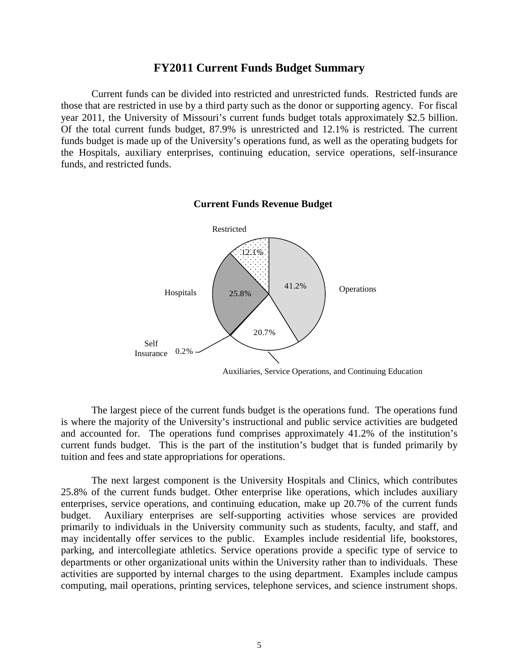#### **FY2011 Current Funds Budget Summary**

Current funds can be divided into restricted and unrestricted funds. Restricted funds are those that are restricted in use by a third party such as the donor or supporting agency. For fiscal year 2011, the University of Missouri's current funds budget totals approximately \$2.5 billion. Of the total current funds budget, 87.9% is unrestricted and 12.1% is restricted. The current funds budget is made up of the University's operations fund, as well as the operating budgets for the Hospitals, auxiliary enterprises, continuing education, service operations, self-insurance funds, and restricted funds.

## **Current Funds Revenue Budget**



Auxiliaries, Service Operations, and Continuing Education

The largest piece of the current funds budget is the operations fund. The operations fund is where the majority of the University's instructional and public service activities are budgeted and accounted for. The operations fund comprises approximately 41.2% of the institution's current funds budget. This is the part of the institution's budget that is funded primarily by tuition and fees and state appropriations for operations.

The next largest component is the University Hospitals and Clinics, which contributes 25.8% of the current funds budget. Other enterprise like operations, which includes auxiliary enterprises, service operations, and continuing education, make up 20.7% of the current funds budget. Auxiliary enterprises are self-supporting activities whose services are provided primarily to individuals in the University community such as students, faculty, and staff, and may incidentally offer services to the public. Examples include residential life, bookstores, parking, and intercollegiate athletics. Service operations provide a specific type of service to departments or other organizational units within the University rather than to individuals. These activities are supported by internal charges to the using department. Examples include campus computing, mail operations, printing services, telephone services, and science instrument shops.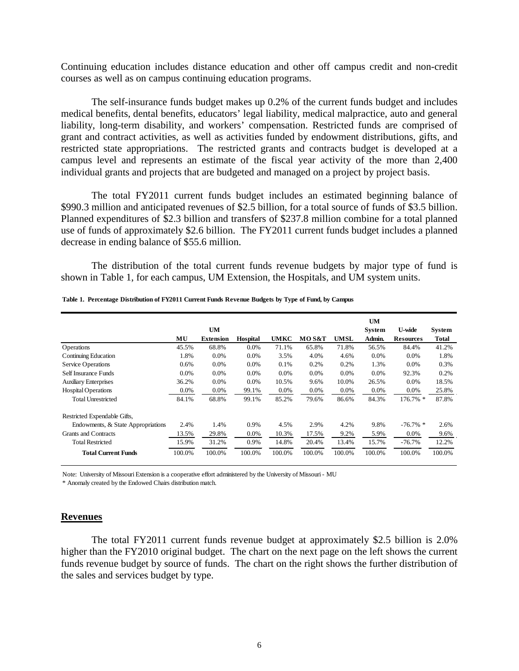Continuing education includes distance education and other off campus credit and non-credit courses as well as on campus continuing education programs.

The self-insurance funds budget makes up 0.2% of the current funds budget and includes medical benefits, dental benefits, educators' legal liability, medical malpractice, auto and general liability, long-term disability, and workers' compensation. Restricted funds are comprised of grant and contract activities, as well as activities funded by endowment distributions, gifts, and restricted state appropriations. The restricted grants and contracts budget is developed at a campus level and represents an estimate of the fiscal year activity of the more than 2,400 individual grants and projects that are budgeted and managed on a project by project basis.

The total FY2011 current funds budget includes an estimated beginning balance of \$990.3 million and anticipated revenues of \$2.5 billion, for a total source of funds of \$3.5 billion. Planned expenditures of \$2.3 billion and transfers of \$237.8 million combine for a total planned use of funds of approximately \$2.6 billion. The FY2011 current funds budget includes a planned decrease in ending balance of \$55.6 million.

The distribution of the total current funds revenue budgets by major type of fund is shown in Table 1, for each campus, UM Extension, the Hospitals, and UM system units.

|                                    |         | <b>UM</b>        |                 |        |        |        | <b>UM</b><br><b>System</b> | <b>U-wide</b>    | System       |
|------------------------------------|---------|------------------|-----------------|--------|--------|--------|----------------------------|------------------|--------------|
|                                    | МU      | <b>Extension</b> | <b>Hospital</b> | UMKC   | MO S&T | UMSL   | Admin.                     | <b>Resources</b> | <b>Total</b> |
| <b>Operations</b>                  | 45.5%   | 68.8%            | 0.0%            | 71.1%  | 65.8%  | 71.8%  | 56.5%                      | 84.4%            | 41.2%        |
| Continuing Education               | 1.8%    | 0.0%             | 0.0%            | 3.5%   | 4.0%   | 4.6%   | 0.0%                       | 0.0%             | 1.8%         |
| Service Operations                 | 0.6%    | $0.0\%$          | 0.0%            | 0.1%   | 0.2%   | 0.2%   | 1.3%                       | $0.0\%$          | 0.3%         |
| Self Insurance Funds               | $0.0\%$ | $0.0\%$          | 0.0%            | 0.0%   | 0.0%   | 0.0%   | $0.0\%$                    | 92.3%            | 0.2%         |
| <b>Auxiliary Enterprises</b>       | 36.2%   | 0.0%             | 0.0%            | 10.5%  | 9.6%   | 10.0%  | 26.5%                      | 0.0%             | 18.5%        |
| <b>Hospital Operations</b>         | 0.0%    | 0.0%             | 99.1%           | 0.0%   | 0.0%   | 0.0%   | 0.0%                       | 0.0%             | 25.8%        |
| <b>Total Unrestricted</b>          | 84.1%   | 68.8%            | 99.1%           | 85.2%  | 79.6%  | 86.6%  | 84.3%                      | 176.7% *         | 87.8%        |
| Restricted Expendable Gifts,       |         |                  |                 |        |        |        |                            |                  |              |
| Endowments, & State Appropriations | 2.4%    | 1.4%             | 0.9%            | 4.5%   | 2.9%   | 4.2%   | 9.8%                       | $-76.7\%$ *      | 2.6%         |
| Grants and Contracts               | 13.5%   | 29.8%            | 0.0%            | 10.3%  | 17.5%  | 9.2%   | 5.9%                       | $0.0\%$          | 9.6%         |
| <b>Total Restricted</b>            | 15.9%   | 31.2%            | 0.9%            | 14.8%  | 20.4%  | 13.4%  | 15.7%                      | $-76.7%$         | 12.2%        |
| <b>Total Current Funds</b>         | 100.0%  | 100.0%           | 100.0%          | 100.0% | 100.0% | 100.0% | 100.0%                     | 100.0%           | 100.0%       |

#### **Table 1. Percentage Distribution of FY2011 Current Funds Revenue Budgets by Type of Fund, by Campus**

Note: University of Missouri Extension is a cooperative effort administered by the University of Missouri - MU

\* Anomaly created by the Endowed Chairs distribution match.

#### **Revenues**

The total FY2011 current funds revenue budget at approximately \$2.5 billion is 2.0% higher than the FY2010 original budget. The chart on the next page on the left shows the current funds revenue budget by source of funds. The chart on the right shows the further distribution of the sales and services budget by type.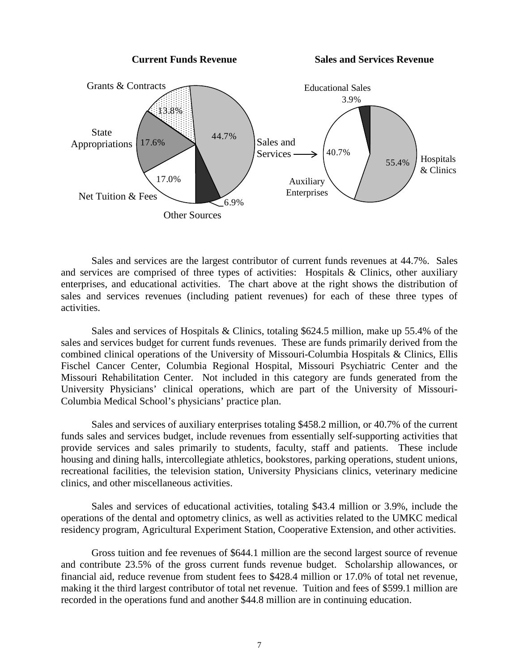**Current Funds Revenue Sales and Services Revenue**



Sales and services are the largest contributor of current funds revenues at 44.7%. Sales and services are comprised of three types of activities: Hospitals & Clinics, other auxiliary enterprises, and educational activities. The chart above at the right shows the distribution of sales and services revenues (including patient revenues) for each of these three types of activities.

Sales and services of Hospitals & Clinics, totaling \$624.5 million, make up 55.4% of the sales and services budget for current funds revenues. These are funds primarily derived from the combined clinical operations of the University of Missouri-Columbia Hospitals & Clinics, Ellis Fischel Cancer Center, Columbia Regional Hospital, Missouri Psychiatric Center and the Missouri Rehabilitation Center. Not included in this category are funds generated from the University Physicians' clinical operations, which are part of the University of Missouri-Columbia Medical School's physicians' practice plan.

Sales and services of auxiliary enterprises totaling \$458.2 million, or 40.7% of the current funds sales and services budget, include revenues from essentially self-supporting activities that provide services and sales primarily to students, faculty, staff and patients. These include housing and dining halls, intercollegiate athletics, bookstores, parking operations, student unions, recreational facilities, the television station, University Physicians clinics, veterinary medicine clinics, and other miscellaneous activities.

Sales and services of educational activities, totaling \$43.4 million or 3.9%, include the operations of the dental and optometry clinics, as well as activities related to the UMKC medical residency program, Agricultural Experiment Station, Cooperative Extension, and other activities.

Gross tuition and fee revenues of \$644.1 million are the second largest source of revenue and contribute 23.5% of the gross current funds revenue budget. Scholarship allowances, or financial aid, reduce revenue from student fees to \$428.4 million or 17.0% of total net revenue, making it the third largest contributor of total net revenue. Tuition and fees of \$599.1 million are recorded in the operations fund and another \$44.8 million are in continuing education.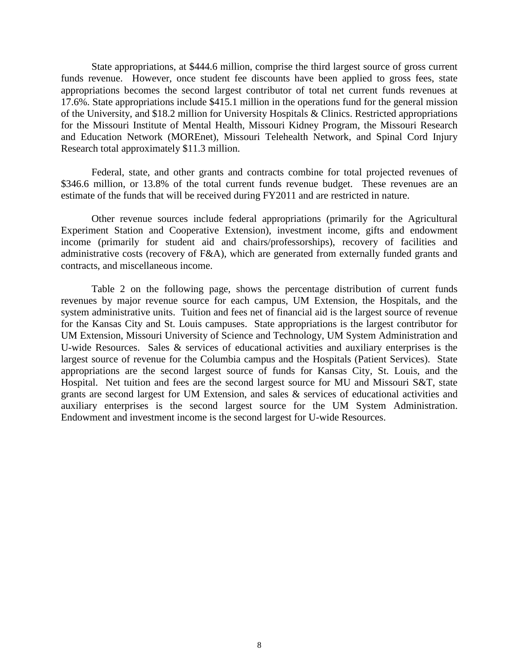State appropriations, at \$444.6 million, comprise the third largest source of gross current funds revenue. However, once student fee discounts have been applied to gross fees, state appropriations becomes the second largest contributor of total net current funds revenues at 17.6%. State appropriations include \$415.1 million in the operations fund for the general mission of the University, and \$18.2 million for University Hospitals & Clinics. Restricted appropriations for the Missouri Institute of Mental Health, Missouri Kidney Program, the Missouri Research and Education Network (MOREnet), Missouri Telehealth Network, and Spinal Cord Injury Research total approximately \$11.3 million.

Federal, state, and other grants and contracts combine for total projected revenues of \$346.6 million, or 13.8% of the total current funds revenue budget. These revenues are an estimate of the funds that will be received during FY2011 and are restricted in nature.

Other revenue sources include federal appropriations (primarily for the Agricultural Experiment Station and Cooperative Extension), investment income, gifts and endowment income (primarily for student aid and chairs/professorships), recovery of facilities and administrative costs (recovery of F&A), which are generated from externally funded grants and contracts, and miscellaneous income.

Table 2 on the following page, shows the percentage distribution of current funds revenues by major revenue source for each campus, UM Extension, the Hospitals, and the system administrative units. Tuition and fees net of financial aid is the largest source of revenue for the Kansas City and St. Louis campuses. State appropriations is the largest contributor for UM Extension, Missouri University of Science and Technology, UM System Administration and U-wide Resources. Sales & services of educational activities and auxiliary enterprises is the largest source of revenue for the Columbia campus and the Hospitals (Patient Services). State appropriations are the second largest source of funds for Kansas City, St. Louis, and the Hospital. Net tuition and fees are the second largest source for MU and Missouri S&T, state grants are second largest for UM Extension, and sales & services of educational activities and auxiliary enterprises is the second largest source for the UM System Administration. Endowment and investment income is the second largest for U-wide Resources.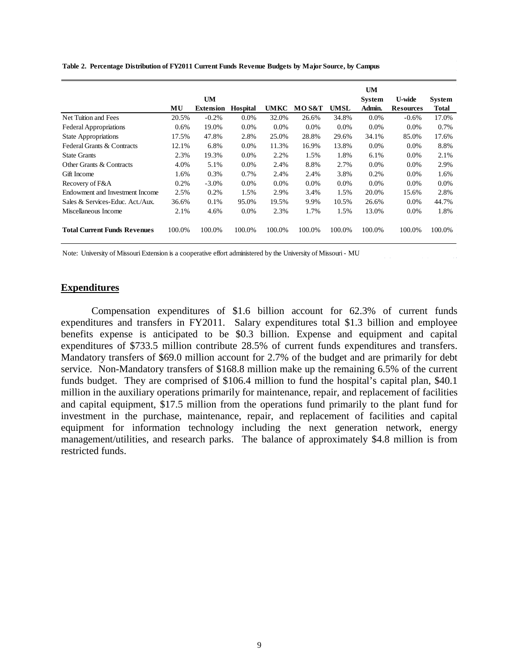|                                     |         | <b>UM</b>        |                 |        |        |        | UM<br><b>System</b> | <b>U-wide</b>    | <b>System</b> |
|-------------------------------------|---------|------------------|-----------------|--------|--------|--------|---------------------|------------------|---------------|
|                                     | MU      | <b>Extension</b> | <b>Hospital</b> | UMKC   | MO S&T | UMSL   | Admin.              | <b>Resources</b> | Total         |
| Net Tuition and Fees                | 20.5%   | $-0.2%$          | $0.0\%$         | 32.0%  | 26.6%  | 34.8%  | 0.0%                | $-0.6%$          | 17.0%         |
| <b>Federal Appropriations</b>       | $0.6\%$ | 19.0%            | $0.0\%$         | 0.0%   | 0.0%   | 0.0%   | 0.0%                | 0.0%             | 0.7%          |
| <b>State Appropriations</b>         | 17.5%   | 47.8%            | 2.8%            | 25.0%  | 28.8%  | 29.6%  | 34.1%               | 85.0%            | 17.6%         |
| Federal Grants & Contracts          | 12.1%   | 6.8%             | $0.0\%$         | 11.3%  | 16.9%  | 13.8%  | 0.0%                | $0.0\%$          | 8.8%          |
| <b>State Grants</b>                 | 2.3%    | 19.3%            | $0.0\%$         | 2.2%   | 1.5%   | 1.8%   | 6.1%                | $0.0\%$          | 2.1%          |
| Other Grants & Contracts            | 4.0%    | 5.1%             | $0.0\%$         | 2.4%   | 8.8%   | 2.7%   | 0.0%                | $0.0\%$          | 2.9%          |
| Gift Income                         | 1.6%    | 0.3%             | 0.7%            | 2.4%   | 2.4%   | 3.8%   | 0.2%                | $0.0\%$          | 1.6%          |
| Recovery of F&A                     | 0.2%    | $-3.0%$          | 0.0%            | 0.0%   | 0.0%   | 0.0%   | 0.0%                | $0.0\%$          | 0.0%          |
| Endowment and Investment Income     | 2.5%    | 0.2%             | 1.5%            | 2.9%   | 3.4%   | 1.5%   | 20.0%               | 15.6%            | 2.8%          |
| Sales & Services-Educ. Act./Aux.    | 36.6%   | 0.1%             | 95.0%           | 19.5%  | 9.9%   | 10.5%  | 26.6%               | $0.0\%$          | 44.7%         |
| Miscellaneous Income                | 2.1%    | 4.6%             | 0.0%            | 2.3%   | 1.7%   | 1.5%   | 13.0%               | $0.0\%$          | 1.8%          |
| <b>Total Current Funds Revenues</b> | 100.0%  | 100.0%           | 100.0%          | 100.0% | 100.0% | 100.0% | 100.0%              | 100.0%           | 100.0%        |

**Table 2. Percentage Distribution of FY2011 Current Funds Revenue Budgets by Major Source, by Campus**

Note: University of Missouri Extension is a cooperative effort administered by the University of Missouri - MU

#### **Expenditures**

Compensation expenditures of \$1.6 billion account for 62.3% of current funds expenditures and transfers in FY2011. Salary expenditures total \$1.3 billion and employee benefits expense is anticipated to be \$0.3 billion. Expense and equipment and capital expenditures of \$733.5 million contribute 28.5% of current funds expenditures and transfers. Mandatory transfers of \$69.0 million account for 2.7% of the budget and are primarily for debt service. Non-Mandatory transfers of \$168.8 million make up the remaining 6.5% of the current funds budget. They are comprised of \$106.4 million to fund the hospital's capital plan, \$40.1 million in the auxiliary operations primarily for maintenance, repair, and replacement of facilities and capital equipment, \$17.5 million from the operations fund primarily to the plant fund for investment in the purchase, maintenance, repair, and replacement of facilities and capital equipment for information technology including the next generation network, energy management/utilities, and research parks. The balance of approximately \$4.8 million is from restricted funds.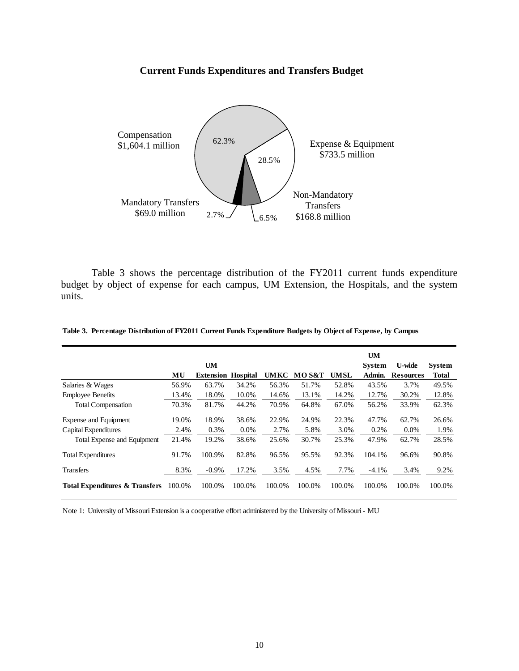#### **Current Funds Expenditures and Transfers Budget**



Table 3 shows the percentage distribution of the FY2011 current funds expenditure budget by object of expense for each campus, UM Extension, the Hospitals, and the system units.

|                                           |        |                           |         |             |        |             | <b>UM</b>     |                  |               |
|-------------------------------------------|--------|---------------------------|---------|-------------|--------|-------------|---------------|------------------|---------------|
|                                           |        | <b>UM</b>                 |         |             |        |             | <b>System</b> | <b>U-wide</b>    | <b>System</b> |
|                                           | MU     | <b>Extension Hospital</b> |         | <b>UMKC</b> | MO S&T | <b>UMSL</b> | Admin.        | <b>Resources</b> | <b>Total</b>  |
| Salaries & Wages                          | 56.9%  | 63.7%                     | 34.2%   | 56.3%       | 51.7%  | 52.8%       | 43.5%         | 3.7%             | 49.5%         |
| <b>Employee Benefits</b>                  | 13.4%  | 18.0%                     | 10.0%   | 14.6%       | 13.1%  | 14.2%       | 12.7%         | 30.2%            | 12.8%         |
| <b>Total Compensation</b>                 | 70.3%  | 81.7%                     | 44.2%   | 70.9%       | 64.8%  | 67.0%       | 56.2%         | 33.9%            | 62.3%         |
| Expense and Equipment                     | 19.0%  | 18.9%                     | 38.6%   | 22.9%       | 24.9%  | 22.3%       | 47.7%         | 62.7%            | 26.6%         |
| Capital Expenditures                      | 2.4%   | 0.3%                      | $0.0\%$ | 2.7%        | 5.8%   | 3.0%        | 0.2%          | $0.0\%$          | 1.9%          |
| Total Expense and Equipment               | 21.4%  | 19.2%                     | 38.6%   | 25.6%       | 30.7%  | 25.3%       | 47.9%         | 62.7%            | 28.5%         |
| <b>Total Expenditures</b>                 | 91.7%  | 100.9%                    | 82.8%   | 96.5%       | 95.5%  | 92.3%       | 104.1%        | 96.6%            | 90.8%         |
| <b>Transfers</b>                          | 8.3%   | $-0.9\%$                  | 17.2%   | 3.5%        | 4.5%   | 7.7%        | $-4.1%$       | 3.4%             | 9.2%          |
| <b>Total Expenditures &amp; Transfers</b> | 100.0% | 100.0%                    | 100.0%  | 100.0%      | 100.0% | 100.0%      | 100.0%        | 100.0%           | 100.0%        |

#### **Table 3. Percentage Distribution of FY2011 Current Funds Expenditure Budgets by Object of Expense, by Campus**

Note 1: University of Missouri Extension is a cooperative effort administered by the University of Missouri - MU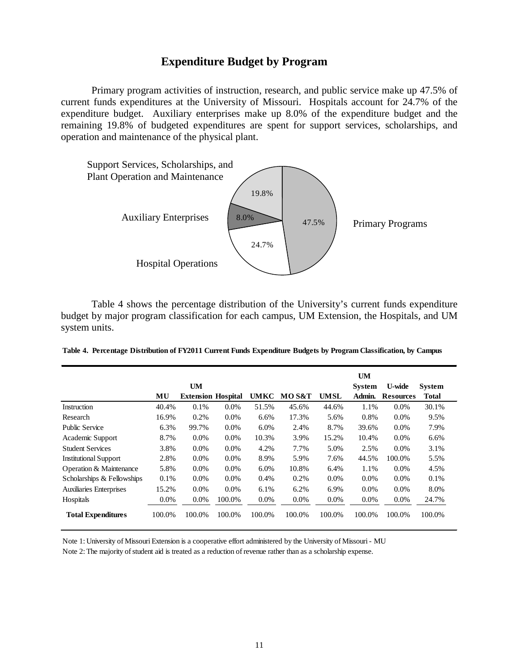## **Expenditure Budget by Program**

Primary program activities of instruction, research, and public service make up 47.5% of current funds expenditures at the University of Missouri. Hospitals account for 24.7% of the expenditure budget. Auxiliary enterprises make up 8.0% of the expenditure budget and the remaining 19.8% of budgeted expenditures are spent for support services, scholarships, and operation and maintenance of the physical plant.



Table 4 shows the percentage distribution of the University's current funds expenditure budget by major program classification for each campus, UM Extension, the Hospitals, and UM system units.

| Table 4. Percentage Distribution of FY2011 Current Funds Expenditure Budgets by Program Classification, by Campus |  |  |  |  |  |
|-------------------------------------------------------------------------------------------------------------------|--|--|--|--|--|
|-------------------------------------------------------------------------------------------------------------------|--|--|--|--|--|

|                                |         | <b>UM</b>                 |         |             |         |             | <b>UM</b><br><b>System</b> | <b>U-wide</b>    | <b>System</b> |
|--------------------------------|---------|---------------------------|---------|-------------|---------|-------------|----------------------------|------------------|---------------|
|                                | MU      | <b>Extension Hospital</b> |         | <b>UMKC</b> | MOS&T   | <b>UMSL</b> | Admin.                     | <b>Resources</b> | Total         |
| Instruction                    | 40.4%   | 0.1%                      | $0.0\%$ | 51.5%       | 45.6%   | 44.6%       | 1.1%                       | $0.0\%$          | 30.1%         |
| Research                       | 16.9%   | 0.2%                      | $0.0\%$ | 6.6%        | 17.3%   | 5.6%        | 0.8%                       | $0.0\%$          | 9.5%          |
| <b>Public Service</b>          | 6.3%    | 99.7%                     | $0.0\%$ | 6.0%        | 2.4%    | 8.7%        | 39.6%                      | $0.0\%$          | 7.9%          |
| Academic Support               | 8.7%    | $0.0\%$                   | $0.0\%$ | 10.3%       | 3.9%    | 15.2%       | 10.4%                      | $0.0\%$          | $6.6\%$       |
| <b>Student Services</b>        | 3.8%    | 0.0%                      | 0.0%    | 4.2%        | 7.7%    | 5.0%        | 2.5%                       | 0.0%             | 3.1%          |
| <b>Institutional Support</b>   | 2.8%    | $0.0\%$                   | 0.0%    | 8.9%        | 5.9%    | 7.6%        | 44.5%                      | 100.0%           | 5.5%          |
| Operation & Maintenance        | 5.8%    | $0.0\%$                   | $0.0\%$ | 6.0%        | 10.8%   | 6.4%        | 1.1%                       | $0.0\%$          | 4.5%          |
| Scholarships & Fellowships     | 0.1%    | $0.0\%$                   | $0.0\%$ | 0.4%        | 0.2%    | $0.0\%$     | $0.0\%$                    | $0.0\%$          | 0.1%          |
| <b>Auxiliaries Enterprises</b> | 15.2%   | $0.0\%$                   | $0.0\%$ | 6.1%        | 6.2%    | 6.9%        | $0.0\%$                    | $0.0\%$          | 8.0%          |
| Hospitals                      | $0.0\%$ | $0.0\%$                   | 100.0%  | $0.0\%$     | $0.0\%$ | $0.0\%$     | $0.0\%$                    | 0.0%             | 24.7%         |
| <b>Total Expenditures</b>      | 100.0%  | 100.0%                    | 100.0%  | 100.0%      | 100.0%  | 100.0%      | 100.0%                     | 100.0%           | 100.0%        |

Note 1: University of Missouri Extension is a cooperative effort administered by the University of Missouri - MU Note 2: The majority of student aid is treated as a reduction of revenue rather than as a scholarship expense.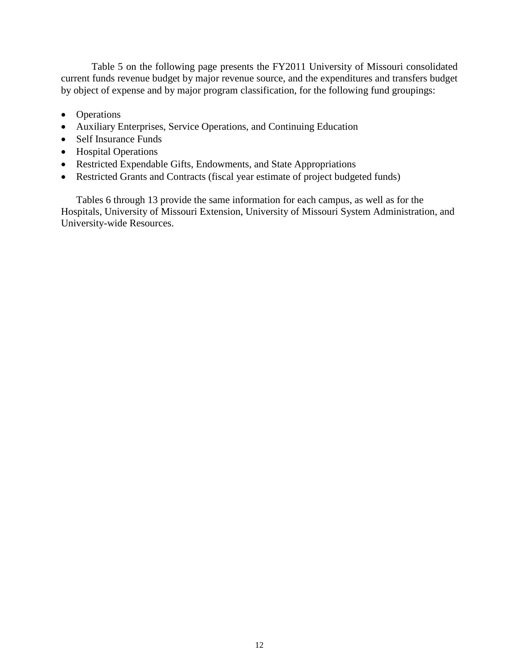Table 5 on the following page presents the FY2011 University of Missouri consolidated current funds revenue budget by major revenue source, and the expenditures and transfers budget by object of expense and by major program classification, for the following fund groupings:

- Operations
- Auxiliary Enterprises, Service Operations, and Continuing Education
- Self Insurance Funds
- Hospital Operations
- Restricted Expendable Gifts, Endowments, and State Appropriations
- Restricted Grants and Contracts (fiscal year estimate of project budgeted funds)

Tables 6 through 13 provide the same information for each campus, as well as for the Hospitals, University of Missouri Extension, University of Missouri System Administration, and University-wide Resources.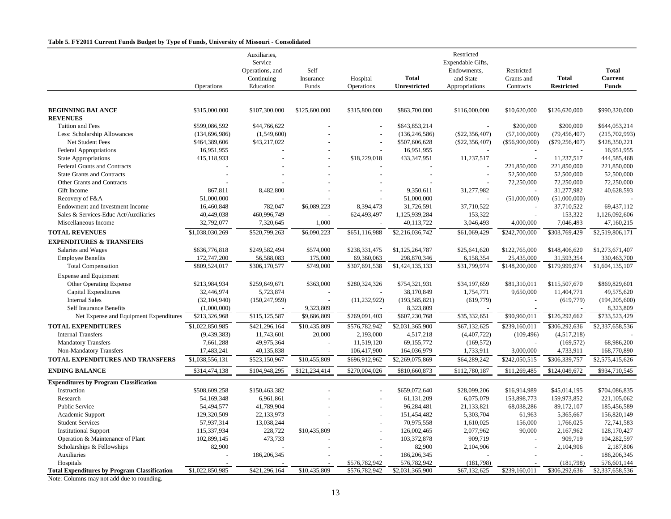#### **Table 5. FY2011 Current Funds Budget by Type of Funds, University of Missouri - Consolidated**

|                                                     |                 | Auxiliaries,<br>Service<br>Operations, and | Self          |                |                     | Restricted<br>Expendable Gifts,<br>Endowments, | Restricted     |                   | <b>Total</b>    |
|-----------------------------------------------------|-----------------|--------------------------------------------|---------------|----------------|---------------------|------------------------------------------------|----------------|-------------------|-----------------|
|                                                     |                 | Continuing                                 | Insurance     | Hospital       | <b>Total</b>        | and State                                      | Grants and     | <b>Total</b>      | Current         |
|                                                     | Operations      | Education                                  | Funds         | Operations     | <b>Unrestricted</b> | Appropriations                                 | Contracts      | <b>Restricted</b> | <b>Funds</b>    |
|                                                     |                 |                                            |               |                |                     |                                                |                |                   |                 |
| <b>BEGINNING BALANCE</b>                            | \$315,000,000   | \$107,300,000                              | \$125,600,000 | \$315,800,000  | \$863,700,000       | \$116,000,000                                  | \$10,620,000   | \$126,620,000     | \$990,320,000   |
| <b>REVENUES</b>                                     |                 |                                            |               |                |                     |                                                |                |                   |                 |
| Tuition and Fees                                    | \$599,086,592   | \$44,766,622                               |               |                | \$643,853,214       |                                                | \$200,000      | \$200,000         | \$644,053,214   |
| Less: Scholarship Allowances                        | (134, 696, 986) | (1,549,600)                                |               |                | (136, 246, 586)     | $(\$22,356,407)$                               | (57, 100, 000) | (79, 456, 407)    | (215,702,993)   |
| Net Student Fees                                    | \$464,389,606   | \$43.217.022                               |               |                | \$507,606,628       | (S22.356.407)                                  | (\$56,900,000) | $(\$79,256,407)$  | \$428,350,221   |
| <b>Federal Appropriations</b>                       | 16,951,955      |                                            |               |                | 16,951,955          |                                                |                |                   | 16,951,955      |
| <b>State Appropriations</b>                         | 415,118,933     |                                            |               | \$18,229,018   | 433, 347, 951       | 11,237,517                                     |                | 11,237,517        | 444,585,468     |
| Federal Grants and Contracts                        |                 |                                            |               |                |                     |                                                | 221,850,000    | 221,850,000       | 221,850,000     |
| <b>State Grants and Contracts</b>                   |                 |                                            |               |                |                     | $\overline{\phantom{a}}$                       | 52,500,000     | 52,500,000        | 52,500,000      |
| Other Grants and Contracts                          |                 |                                            |               |                |                     |                                                | 72,250,000     | 72,250,000        | 72,250,000      |
| Gift Income                                         | 867,811         | 8,482,800                                  |               |                | 9,350,611           | 31,277,982                                     |                | 31,277,982        | 40,628,593      |
| Recovery of F&A                                     | 51,000,000      |                                            |               |                | 51,000,000          |                                                | (51,000,000)   | (51,000,000)      |                 |
| Endowment and Investment Income                     | 16,460,848      | 782,047                                    | \$6,089,223   | 8,394,473      | 31,726,591          | 37,710,522                                     |                | 37,710,522        | 69,437,112      |
| Sales & Services-Educ Act/Auxiliaries               | 40,449,038      | 460,996,749                                |               | 624,493,497    | 1,125,939,284       | 153,322                                        |                | 153,322           | 1,126,092,606   |
| Miscellaneous Income                                | 32,792,077      | 7,320,645                                  | 1,000         |                | 40,113,722          | 3,046,493                                      | 4,000,000      | 7,046,493         | 47,160,215      |
| <b>TOTAL REVENUES</b>                               | \$1,038,030,269 | \$520,799,263                              | \$6,090,223   | \$651,116,988  | \$2,216,036,742     | \$61,069,429                                   | \$242,700,000  | \$303,769,429     | \$2,519,806,171 |
| <b>EXPENDITURES &amp; TRANSFERS</b>                 |                 |                                            |               |                |                     |                                                |                |                   |                 |
| Salaries and Wages                                  | \$636,776,818   | \$249,582,494                              | \$574,000     | \$238,331,475  | \$1,125,264,787     | \$25,641,620                                   | \$122,765,000  | \$148,406,620     | \$1,273,671,407 |
| <b>Employee Benefits</b>                            | 172,747,200     | 56,588,083                                 | 175,000       | 69,360,063     | 298,870,346         | 6,158,354                                      | 25,435,000     | 31,593,354        | 330,463,700     |
| <b>Total Compensation</b>                           | \$809,524,017   | \$306,170,577                              | \$749,000     | \$307,691,538  | \$1,424,135,133     | \$31,799,974                                   | \$148,200,000  | \$179,999,974     | \$1,604,135,107 |
| <b>Expense and Equipment</b>                        |                 |                                            |               |                |                     |                                                |                |                   |                 |
| Other Operating Expense                             | \$213,984,934   | \$259,649,671                              | \$363,000     | \$280,324,326  | \$754,321,931       | \$34,197,659                                   | \$81,310,011   | \$115,507,670     | \$869,829,601   |
| Capital Expenditures                                | 32,446,974      | 5,723,874                                  |               |                | 38,170,849          | 1,754,771                                      | 9,650,000      | 11,404,771        | 49,575,620      |
| <b>Internal Sales</b>                               | (32, 104, 940)  | (150, 247, 959)                            |               | (11, 232, 922) | (193, 585, 821)     | (619,779)                                      |                | (619, 779)        | (194, 205, 600) |
| Self Insurance Benefits                             | (1,000,000)     |                                            | 9.323.809     |                | 8,323,809           |                                                |                |                   | 8,323,809       |
| Net Expense and Equipment Expenditures              | \$213,326,968   | \$115,125,587                              | \$9,686,809   | \$269,091,403  | \$607,230,768       | \$35,332,651                                   | \$90,960,011   | \$126,292,662     | \$733,523,429   |
| <b>TOTAL EXPENDITURES</b>                           | \$1,022,850,985 | \$421,296,164                              | \$10,435,809  | \$576,782,942  | \$2,031,365,900     | \$67,132,625                                   | \$239,160,011  | \$306,292,636     | \$2,337,658,536 |
| <b>Internal Transfers</b>                           | (9, 439, 383)   | 11,743,601                                 | 20,000        | 2,193,000      | 4,517,218           | (4,407,722)                                    |                | (4,517,218)       |                 |
| <b>Mandatory Transfers</b>                          | 7,661,288       | 49,975,364                                 |               | 11,519,120     | 69,155,772          | (169, 572)                                     | (109, 496)     | (169, 572)        | 68,986,200      |
| Non-Mandatory Transfers                             | 17,483,241      | 40,135,838                                 |               | 106,417,900    | 164,036,979         | 1,733,911                                      | 3,000,000      | 4,733,911         | 168,770,890     |
| TOTAL EXPENDITURES AND TRANSFERS                    | \$1,038,556,131 | \$523,150,967                              | \$10,455,809  | \$696,912,962  | \$2,269,075,869     | \$64,289,242                                   | \$242,050,515  | \$306,339,757     | \$2,575,415,626 |
|                                                     |                 |                                            |               |                |                     |                                                |                |                   |                 |
| <b>ENDING BALANCE</b>                               | \$314,474,138   | \$104,948,295                              | \$121,234,414 | \$270,004,026  | \$810,660,873       | \$112,780,187                                  | \$11,269,485   | \$124,049,672     | \$934,710,545   |
| <b>Expenditures by Program Classification</b>       |                 |                                            |               |                |                     |                                                |                |                   |                 |
| Instruction                                         | \$508,609,258   | \$150,463,382                              |               |                | \$659,072,640       | \$28,099,206                                   | \$16,914,989   | \$45,014,195      | \$704,086,835   |
| Research                                            | 54, 169, 348    | 6,961,861                                  |               |                | 61,131,209          | 6,075,079                                      | 153,898,773    | 159,973,852       | 221,105,062     |
| <b>Public Service</b>                               | 54,494,577      | 41,789,904                                 |               |                | 96,284,481          | 21,133,821                                     | 68,038,286     | 89,172,107        | 185,456,589     |
| Academic Support                                    | 129,320,509     | 22,133,973                                 |               |                | 151,454,482         | 5,303,704                                      | 61,963         | 5,365,667         | 156,820,149     |
| <b>Student Services</b>                             | 57,937,314      | 13,038,244                                 |               |                | 70,975,558          | 1,610,025                                      | 156,000        | 1,766,025         | 72,741,583      |
| <b>Institutional Support</b>                        | 115,337,934     | 228,722                                    | \$10,435,809  |                | 126,002,465         | 2,077,962                                      | 90,000         | 2,167,962         | 128,170,427     |
| Operation & Maintenance of Plant                    | 102,899,145     | 473,733                                    |               |                | 103,372,878         | 909,719                                        |                | 909,719           | 104,282,597     |
| Scholarships & Fellowships                          | 82,900          |                                            |               |                | 82,900              | 2,104,906                                      |                | 2,104,906         | 2,187,806       |
| Auxiliaries                                         |                 | 186,206,345                                |               |                | 186,206,345         |                                                |                |                   | 186,206,345     |
| Hospitals                                           |                 |                                            |               | \$576,782,942  | 576,782,942         | (181,798)                                      |                | (181,798)         | 576,601,144     |
| <b>Total Expenditures by Program Classification</b> | \$1,022,850,985 | \$421,296,164                              | \$10,435,809  | \$576,782,942  | \$2,031,365,900     | \$67,132,625                                   | \$239,160,011  | \$306,292,636     | \$2,337,658,536 |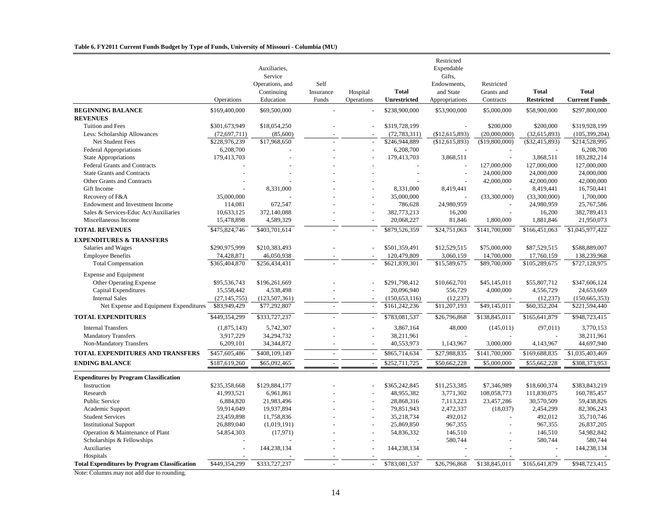#### **Table 6. FY2011 Current Funds Budget by Type of Funds, University of Missouri - Columbia (MU)**

|                                                     | Operations     | Auxiliaries,<br>Service<br>Operations, and<br>Continuing<br>Education | Self<br>Insurance<br>Funds | Hospital<br>Operations | <b>Total</b><br>Unrestricted | Restricted<br>Expendable<br>Gifts,<br>Endowments,<br>and State<br>Appropriations | Restricted<br>Grants and<br>Contracts | <b>Total</b><br><b>Restricted</b> | <b>Total</b><br><b>Current Funds</b> |
|-----------------------------------------------------|----------------|-----------------------------------------------------------------------|----------------------------|------------------------|------------------------------|----------------------------------------------------------------------------------|---------------------------------------|-----------------------------------|--------------------------------------|
| <b>BEGINNING BALANCE</b>                            | \$169,400,000  | \$69,500,000                                                          |                            |                        | \$238,900,000                | \$53,900,000                                                                     | \$5,000,000                           | \$58,900,000                      | \$297,800,000                        |
| <b>REVENUES</b>                                     |                |                                                                       |                            |                        |                              |                                                                                  |                                       |                                   |                                      |
| Tuition and Fees                                    | \$301,673,949  | \$18,054,250                                                          |                            |                        | \$319,728,199                |                                                                                  | \$200,000                             | \$200,000                         | \$319,928,199                        |
| Less: Scholarship Allowances                        | (72, 697, 711) | (85,600)                                                              |                            |                        | (72, 783, 311)               | (\$12,615,893)                                                                   | (20,000,000)                          | (32, 615, 893)                    | (105, 399, 204)                      |
| Net Student Fees                                    | \$228,976,239  | \$17,968,650                                                          |                            |                        | \$246,944,889                | (\$12,615,893)                                                                   | (\$19,800,000)                        | $(\$32,415,893)$                  | \$214,528,995                        |
| <b>Federal Appropriations</b>                       | 6,208,700      |                                                                       |                            |                        | 6,208,700                    |                                                                                  |                                       |                                   | 6,208,700                            |
| <b>State Appropriations</b>                         | 179,413,703    |                                                                       |                            |                        | 179,413,703                  | 3,868,511                                                                        |                                       | 3,868,511                         | 183,282,214                          |
| Federal Grants and Contracts                        |                |                                                                       |                            |                        |                              |                                                                                  | 127,000,000                           | 127,000,000                       | 127,000,000                          |
| <b>State Grants and Contracts</b>                   |                |                                                                       |                            |                        |                              | $\sim$                                                                           | 24,000,000                            | 24,000,000                        | 24,000,000                           |
| Other Grants and Contracts                          |                |                                                                       |                            |                        |                              |                                                                                  | 42,000,000                            | 42,000,000                        | 42,000,000                           |
| Gift Income                                         |                | 8,331,000                                                             |                            |                        | 8,331,000                    | 8,419,441                                                                        |                                       | 8,419,441                         | 16,750,441                           |
| Recovery of F&A                                     | 35,000,000     |                                                                       |                            |                        | 35,000,000                   |                                                                                  | (33,300,000)                          | (33,300,000)                      | 1,700,000                            |
| Endowment and Investment Income                     | 114,081        | 672,547                                                               |                            |                        | 786,628                      | 24,980,959                                                                       |                                       | 24,980,959                        | 25,767,586                           |
| Sales & Services-Educ Act/Auxiliaries               | 10,633,125     | 372,140,088                                                           |                            |                        | 382,773,213                  | 16,200                                                                           | ÷.                                    | 16,200                            | 382,789,413                          |
| Miscellaneous Income                                | 15,478,898     | 4,589,329                                                             |                            |                        | 20,068,227                   | 81,846                                                                           | 1,800,000                             | 1,881,846                         | 21,950,073                           |
| <b>TOTAL REVENUES</b>                               | \$475,824,746  | \$403,701,614                                                         |                            |                        | \$879,526,359                | \$24,751,063                                                                     | \$141,700,000                         | \$166,451,063                     | \$1,045,977,422                      |
| <b>EXPENDITURES &amp; TRANSFERS</b>                 |                |                                                                       |                            |                        |                              |                                                                                  |                                       |                                   |                                      |
| Salaries and Wages                                  | \$290,975,999  | \$210,383,493                                                         |                            |                        | \$501,359,491                | \$12,529,515                                                                     | \$75,000,000                          | \$87,529,515                      | \$588,889,007                        |
| <b>Employee Benefits</b>                            | 74,428,871     | 46,050,938                                                            |                            |                        | 120,479,809                  | 3,060,159                                                                        | 14,700,000                            | 17,760,159                        | 138,239,968                          |
| <b>Total Compensation</b>                           | \$365,404,870  | \$256,434,431                                                         |                            |                        | \$621,839,301                | \$15,589,675                                                                     | \$89,700,000                          | \$105,289,675                     | \$727,128,975                        |
| <b>Expense and Equipment</b>                        |                |                                                                       |                            |                        |                              |                                                                                  |                                       |                                   |                                      |
| Other Operating Expense                             | \$95,536,743   | \$196,261,669                                                         |                            |                        | \$291.798.412                | \$10,662,701                                                                     | \$45,145,011                          | \$55,807,712                      | \$347,606,124                        |
| Capital Expenditures                                | 15,558,442     | 4,538,498                                                             |                            |                        | 20,096,940                   | 556,729                                                                          | 4,000,000                             | 4,556,729                         | 24,653,669                           |
| <b>Internal Sales</b>                               | (27, 145, 755) | (123, 507, 361)                                                       |                            |                        | (150, 653, 116)              | (12, 237)                                                                        |                                       | (12, 237)                         | (150, 665, 353)                      |
| Net Expense and Equipment Expenditures              | \$83,949,429   | \$77,292,807                                                          |                            |                        | \$161,242,236                | \$11,207,193                                                                     | \$49,145,011                          | \$60,352,204                      | \$221,594,440                        |
| <b>TOTAL EXPENDITURES</b>                           | \$449,354,299  | \$333,727,237                                                         |                            |                        | \$783,081,537                | \$26,796,868                                                                     | \$138,845,011                         | \$165,641,879                     | \$948,723,415                        |
| <b>Internal Transfers</b>                           | (1,875,143)    | 5,742,307                                                             |                            |                        | 3,867,164                    | 48,000                                                                           | (145, 011)                            | (97, 011)                         | 3,770,153                            |
| <b>Mandatory Transfers</b>                          | 3,917,229      | 34,294,732                                                            |                            |                        | 38,211,961                   |                                                                                  |                                       |                                   | 38,211,961                           |
| Non-Mandatory Transfers                             | 6,209,101      | 34, 344, 872                                                          |                            |                        | 40,553,973                   | 1,143,967                                                                        | 3,000,000                             | 4,143,967                         | 44,697,940                           |
| TOTAL EXPENDITURES AND TRANSFERS                    | \$457,605,486  | \$408,109,149                                                         |                            |                        | \$865,714,634                | \$27,988,835                                                                     | \$141,700,000                         | \$169,688,835                     | \$1,035,403,469                      |
| <b>ENDING BALANCE</b>                               | \$187,619,260  | \$65,092,465                                                          | $\sim$                     | $\sim$                 | \$252,711,725                | \$50,662,228                                                                     | \$5,000,000                           | \$55,662,228                      | \$308,373,953                        |
| <b>Expenditures by Program Classification</b>       |                |                                                                       |                            |                        |                              |                                                                                  |                                       |                                   |                                      |
| Instruction                                         | \$235,358,668  | \$129,884,177                                                         |                            |                        | \$365,242,845                | \$11,253,385                                                                     | \$7,346,989                           | \$18,600,374                      | \$383,843,219                        |
| Research                                            | 41,993,521     | 6,961,861                                                             |                            |                        | 48,955,382                   | 3,771,302                                                                        | 108,058,773                           | 111,830,075                       | 160,785,457                          |
| <b>Public Service</b>                               | 6,884,820      | 21,983,496                                                            |                            |                        | 28,868,316                   | 7,113,223                                                                        | 23,457,286                            | 30,570,509                        | 59,438,826                           |
| Academic Support                                    | 59,914,049     | 19,937,894                                                            |                            |                        | 79,851,943                   | 2,472,337                                                                        | (18,037)                              | 2,454,299                         | 82,306,243                           |
| <b>Student Services</b>                             | 23,459,898     | 11,758,836                                                            |                            |                        | 35,218,734                   | 492,012                                                                          |                                       | 492,012                           | 35,710,746                           |
| <b>Institutional Support</b>                        | 26,889,040     | (1,019,191)                                                           |                            |                        | 25,869,850                   | 967,355                                                                          |                                       | 967.355                           | 26.837.205                           |
| Operation & Maintenance of Plant                    | 54,854,303     | (17,971)                                                              |                            |                        | 54,836,332                   | 146,510                                                                          |                                       | 146,510                           | 54,982,842                           |
| Scholarships & Fellowships                          |                |                                                                       |                            |                        |                              | 580,744                                                                          |                                       | 580,744                           | 580,744                              |
| Auxiliaries                                         |                | 144,238,134                                                           |                            |                        | 144,238,134                  |                                                                                  |                                       |                                   | 144,238,134                          |
| Hospitals                                           |                |                                                                       |                            |                        |                              |                                                                                  |                                       |                                   |                                      |
| <b>Total Expenditures by Program Classification</b> | \$449,354,299  | \$333,727,237                                                         |                            |                        | \$783,081,537                | \$26,796,868                                                                     | \$138,845,011                         | \$165,641,879                     | \$948,723,415                        |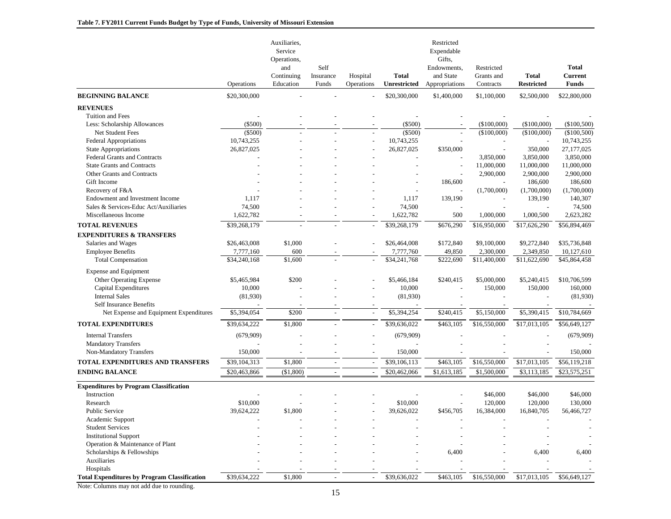| <b>BEGINNING BALANCE</b><br>\$20,300,000<br>\$20,300,000<br>\$1,400,000<br>\$1,100,000<br>\$2,500,000<br>\$22,800,000<br><b>REVENUES</b><br>Tuition and Fees<br>(\$500)<br>(\$500)<br>(\$100,000)<br>(\$100,000)<br>(\$100,500)<br>Less: Scholarship Allowances<br>$(\$500)$<br>$(\$500)$<br>(\$100,000)<br>$(\$100,000)$<br>(\$100,500)<br>Net Student Fees<br>10,743,255<br>10,743,255<br>10,743,255<br>Federal Appropriations<br>27,177,025<br><b>State Appropriations</b><br>26,827,025<br>26,827,025<br>\$350,000<br>350,000<br>3,850,000<br>Federal Grants and Contracts<br>3,850,000<br>3,850,000<br><b>State Grants and Contracts</b><br>11,000,000<br>11,000,000<br>11,000,000<br>2,900,000<br>2,900,000<br>Other Grants and Contracts<br>2,900,000<br>186,600<br>186,600<br>186,600<br>Gift Income<br>(1,700,000)<br>Recovery of F&A<br>(1,700,000)<br>(1,700,000)<br>140,307<br>Endowment and Investment Income<br>1,117<br>1,117<br>139,190<br>139,190<br>Sales & Services-Educ Act/Auxiliaries<br>74,500<br>74,500<br>74,500<br>1,622,782<br>1,622,782<br>500<br>1,000,000<br>2,623,282<br>Miscellaneous Income<br>1,000,500<br>\$39,268,179<br><b>TOTAL REVENUES</b><br>\$39,268,179<br>\$676,290<br>\$16,950,000<br>\$17,626,290<br>\$56,894,469<br><b>EXPENDITURES &amp; TRANSFERS</b><br>\$1,000<br>\$35,736,848<br>\$26,463,008<br>\$26,464,008<br>\$172,840<br>\$9,100,000<br>\$9,272,840<br>Salaries and Wages<br><b>Employee Benefits</b><br>7,777,160<br>600<br>49,850<br>2,300,000<br>2,349,850<br>10,127,610<br>7,777,760<br>\$1,600<br>\$34,241,768<br>\$222,690<br>\$11,400,000<br>\$11,622,690<br>\$45,864,458<br>\$34,240,168<br><b>Total Compensation</b><br><b>Expense and Equipment</b><br><b>Other Operating Expense</b><br>\$5,465,984<br>\$200<br>\$240,415<br>\$5,000,000<br>\$5,240,415<br>\$10,706,599<br>\$5,466,184<br>Capital Expenditures<br>10,000<br>10,000<br>150,000<br>150,000<br>160,000<br><b>Internal Sales</b><br>(81,930)<br>(81,930)<br>(81,930)<br>Self Insurance Benefits<br>\$5,394,054<br>\$200<br>\$5,394,254<br>\$240,415<br>\$5,150,000<br>\$5,390,415<br>\$10,784,669<br>Net Expense and Equipment Expenditures<br>$\overline{\phantom{a}}$<br><b>TOTAL EXPENDITURES</b><br>\$39,634,222<br>\$1,800<br>\$39,636,022<br>\$463,105<br>\$16,550,000<br>\$17,013,105<br>\$56,649,127<br><b>Internal Transfers</b><br>(679,909)<br>(679,909)<br>(679,909)<br><b>Mandatory Transfers</b><br>150,000<br>150,000<br>Non-Mandatory Transfers<br>150,000<br>\$1,800<br>TOTAL EXPENDITURES AND TRANSFERS<br>\$39,104,313<br>\$39,106,113<br>\$463,105<br>\$16,550,000<br>\$17,013,105<br>\$56,119,218<br>$\overline{a}$<br>$\overline{a}$<br>\$20,462,066<br>\$23,575,251<br><b>ENDING BALANCE</b><br>\$20,463,866<br>(\$1,800)<br>\$1,613,185<br>\$1,500,000<br>\$3,113,185<br>$\sim$<br>$\overline{\phantom{a}}$<br><b>Expenditures by Program Classification</b><br>\$46,000<br>\$46,000<br>Instruction<br>\$46,000<br>\$10,000<br>Research<br>\$10,000<br>120,000<br>120,000<br>130,000<br>Public Service<br>39,624,222<br>\$1,800<br>39,626,022<br>\$456,705<br>16,384,000<br>16,840,705<br>56,466,727<br>Academic Support<br><b>Student Services</b><br><b>Institutional Support</b><br>Operation & Maintenance of Plant<br>Scholarships & Fellowships<br>6,400<br>6,400<br>6,400<br>Auxiliaries<br>Hospitals | Operations | Auxiliaries,<br>Service<br>Operations,<br>and<br>Continuing<br>Education | Self<br>Insurance<br>Funds | Hospital<br>Operations | <b>Total</b><br><b>Unrestricted</b> | Restricted<br>Expendable<br>Gifts.<br>Endowments,<br>and State<br>Appropriations | Restricted<br>Grants and<br>Contracts | <b>Total</b><br><b>Restricted</b> | <b>Total</b><br><b>Current</b><br><b>Funds</b> |
|----------------------------------------------------------------------------------------------------------------------------------------------------------------------------------------------------------------------------------------------------------------------------------------------------------------------------------------------------------------------------------------------------------------------------------------------------------------------------------------------------------------------------------------------------------------------------------------------------------------------------------------------------------------------------------------------------------------------------------------------------------------------------------------------------------------------------------------------------------------------------------------------------------------------------------------------------------------------------------------------------------------------------------------------------------------------------------------------------------------------------------------------------------------------------------------------------------------------------------------------------------------------------------------------------------------------------------------------------------------------------------------------------------------------------------------------------------------------------------------------------------------------------------------------------------------------------------------------------------------------------------------------------------------------------------------------------------------------------------------------------------------------------------------------------------------------------------------------------------------------------------------------------------------------------------------------------------------------------------------------------------------------------------------------------------------------------------------------------------------------------------------------------------------------------------------------------------------------------------------------------------------------------------------------------------------------------------------------------------------------------------------------------------------------------------------------------------------------------------------------------------------------------------------------------------------------------------------------------------------------------------------------------------------------------------------------------------------------------------------------------------------------------------------------------------------------------------------------------------------------------------------------------------------------------------------------------------------------------------------------------------------------------------------------------------------------------------------------------------------------------------------------------------------------------------------------------------------------------------------------------------------------------------------------------------------------------------------------------------------------|------------|--------------------------------------------------------------------------|----------------------------|------------------------|-------------------------------------|----------------------------------------------------------------------------------|---------------------------------------|-----------------------------------|------------------------------------------------|
|                                                                                                                                                                                                                                                                                                                                                                                                                                                                                                                                                                                                                                                                                                                                                                                                                                                                                                                                                                                                                                                                                                                                                                                                                                                                                                                                                                                                                                                                                                                                                                                                                                                                                                                                                                                                                                                                                                                                                                                                                                                                                                                                                                                                                                                                                                                                                                                                                                                                                                                                                                                                                                                                                                                                                                                                                                                                                                                                                                                                                                                                                                                                                                                                                                                                                                                                                                      |            |                                                                          |                            |                        |                                     |                                                                                  |                                       |                                   |                                                |
|                                                                                                                                                                                                                                                                                                                                                                                                                                                                                                                                                                                                                                                                                                                                                                                                                                                                                                                                                                                                                                                                                                                                                                                                                                                                                                                                                                                                                                                                                                                                                                                                                                                                                                                                                                                                                                                                                                                                                                                                                                                                                                                                                                                                                                                                                                                                                                                                                                                                                                                                                                                                                                                                                                                                                                                                                                                                                                                                                                                                                                                                                                                                                                                                                                                                                                                                                                      |            |                                                                          |                            |                        |                                     |                                                                                  |                                       |                                   |                                                |
|                                                                                                                                                                                                                                                                                                                                                                                                                                                                                                                                                                                                                                                                                                                                                                                                                                                                                                                                                                                                                                                                                                                                                                                                                                                                                                                                                                                                                                                                                                                                                                                                                                                                                                                                                                                                                                                                                                                                                                                                                                                                                                                                                                                                                                                                                                                                                                                                                                                                                                                                                                                                                                                                                                                                                                                                                                                                                                                                                                                                                                                                                                                                                                                                                                                                                                                                                                      |            |                                                                          |                            |                        |                                     |                                                                                  |                                       |                                   |                                                |
|                                                                                                                                                                                                                                                                                                                                                                                                                                                                                                                                                                                                                                                                                                                                                                                                                                                                                                                                                                                                                                                                                                                                                                                                                                                                                                                                                                                                                                                                                                                                                                                                                                                                                                                                                                                                                                                                                                                                                                                                                                                                                                                                                                                                                                                                                                                                                                                                                                                                                                                                                                                                                                                                                                                                                                                                                                                                                                                                                                                                                                                                                                                                                                                                                                                                                                                                                                      |            |                                                                          |                            |                        |                                     |                                                                                  |                                       |                                   |                                                |
|                                                                                                                                                                                                                                                                                                                                                                                                                                                                                                                                                                                                                                                                                                                                                                                                                                                                                                                                                                                                                                                                                                                                                                                                                                                                                                                                                                                                                                                                                                                                                                                                                                                                                                                                                                                                                                                                                                                                                                                                                                                                                                                                                                                                                                                                                                                                                                                                                                                                                                                                                                                                                                                                                                                                                                                                                                                                                                                                                                                                                                                                                                                                                                                                                                                                                                                                                                      |            |                                                                          |                            |                        |                                     |                                                                                  |                                       |                                   |                                                |
|                                                                                                                                                                                                                                                                                                                                                                                                                                                                                                                                                                                                                                                                                                                                                                                                                                                                                                                                                                                                                                                                                                                                                                                                                                                                                                                                                                                                                                                                                                                                                                                                                                                                                                                                                                                                                                                                                                                                                                                                                                                                                                                                                                                                                                                                                                                                                                                                                                                                                                                                                                                                                                                                                                                                                                                                                                                                                                                                                                                                                                                                                                                                                                                                                                                                                                                                                                      |            |                                                                          |                            |                        |                                     |                                                                                  |                                       |                                   |                                                |
|                                                                                                                                                                                                                                                                                                                                                                                                                                                                                                                                                                                                                                                                                                                                                                                                                                                                                                                                                                                                                                                                                                                                                                                                                                                                                                                                                                                                                                                                                                                                                                                                                                                                                                                                                                                                                                                                                                                                                                                                                                                                                                                                                                                                                                                                                                                                                                                                                                                                                                                                                                                                                                                                                                                                                                                                                                                                                                                                                                                                                                                                                                                                                                                                                                                                                                                                                                      |            |                                                                          |                            |                        |                                     |                                                                                  |                                       |                                   |                                                |
|                                                                                                                                                                                                                                                                                                                                                                                                                                                                                                                                                                                                                                                                                                                                                                                                                                                                                                                                                                                                                                                                                                                                                                                                                                                                                                                                                                                                                                                                                                                                                                                                                                                                                                                                                                                                                                                                                                                                                                                                                                                                                                                                                                                                                                                                                                                                                                                                                                                                                                                                                                                                                                                                                                                                                                                                                                                                                                                                                                                                                                                                                                                                                                                                                                                                                                                                                                      |            |                                                                          |                            |                        |                                     |                                                                                  |                                       |                                   |                                                |
|                                                                                                                                                                                                                                                                                                                                                                                                                                                                                                                                                                                                                                                                                                                                                                                                                                                                                                                                                                                                                                                                                                                                                                                                                                                                                                                                                                                                                                                                                                                                                                                                                                                                                                                                                                                                                                                                                                                                                                                                                                                                                                                                                                                                                                                                                                                                                                                                                                                                                                                                                                                                                                                                                                                                                                                                                                                                                                                                                                                                                                                                                                                                                                                                                                                                                                                                                                      |            |                                                                          |                            |                        |                                     |                                                                                  |                                       |                                   |                                                |
|                                                                                                                                                                                                                                                                                                                                                                                                                                                                                                                                                                                                                                                                                                                                                                                                                                                                                                                                                                                                                                                                                                                                                                                                                                                                                                                                                                                                                                                                                                                                                                                                                                                                                                                                                                                                                                                                                                                                                                                                                                                                                                                                                                                                                                                                                                                                                                                                                                                                                                                                                                                                                                                                                                                                                                                                                                                                                                                                                                                                                                                                                                                                                                                                                                                                                                                                                                      |            |                                                                          |                            |                        |                                     |                                                                                  |                                       |                                   |                                                |
|                                                                                                                                                                                                                                                                                                                                                                                                                                                                                                                                                                                                                                                                                                                                                                                                                                                                                                                                                                                                                                                                                                                                                                                                                                                                                                                                                                                                                                                                                                                                                                                                                                                                                                                                                                                                                                                                                                                                                                                                                                                                                                                                                                                                                                                                                                                                                                                                                                                                                                                                                                                                                                                                                                                                                                                                                                                                                                                                                                                                                                                                                                                                                                                                                                                                                                                                                                      |            |                                                                          |                            |                        |                                     |                                                                                  |                                       |                                   |                                                |
|                                                                                                                                                                                                                                                                                                                                                                                                                                                                                                                                                                                                                                                                                                                                                                                                                                                                                                                                                                                                                                                                                                                                                                                                                                                                                                                                                                                                                                                                                                                                                                                                                                                                                                                                                                                                                                                                                                                                                                                                                                                                                                                                                                                                                                                                                                                                                                                                                                                                                                                                                                                                                                                                                                                                                                                                                                                                                                                                                                                                                                                                                                                                                                                                                                                                                                                                                                      |            |                                                                          |                            |                        |                                     |                                                                                  |                                       |                                   |                                                |
|                                                                                                                                                                                                                                                                                                                                                                                                                                                                                                                                                                                                                                                                                                                                                                                                                                                                                                                                                                                                                                                                                                                                                                                                                                                                                                                                                                                                                                                                                                                                                                                                                                                                                                                                                                                                                                                                                                                                                                                                                                                                                                                                                                                                                                                                                                                                                                                                                                                                                                                                                                                                                                                                                                                                                                                                                                                                                                                                                                                                                                                                                                                                                                                                                                                                                                                                                                      |            |                                                                          |                            |                        |                                     |                                                                                  |                                       |                                   |                                                |
|                                                                                                                                                                                                                                                                                                                                                                                                                                                                                                                                                                                                                                                                                                                                                                                                                                                                                                                                                                                                                                                                                                                                                                                                                                                                                                                                                                                                                                                                                                                                                                                                                                                                                                                                                                                                                                                                                                                                                                                                                                                                                                                                                                                                                                                                                                                                                                                                                                                                                                                                                                                                                                                                                                                                                                                                                                                                                                                                                                                                                                                                                                                                                                                                                                                                                                                                                                      |            |                                                                          |                            |                        |                                     |                                                                                  |                                       |                                   |                                                |
|                                                                                                                                                                                                                                                                                                                                                                                                                                                                                                                                                                                                                                                                                                                                                                                                                                                                                                                                                                                                                                                                                                                                                                                                                                                                                                                                                                                                                                                                                                                                                                                                                                                                                                                                                                                                                                                                                                                                                                                                                                                                                                                                                                                                                                                                                                                                                                                                                                                                                                                                                                                                                                                                                                                                                                                                                                                                                                                                                                                                                                                                                                                                                                                                                                                                                                                                                                      |            |                                                                          |                            |                        |                                     |                                                                                  |                                       |                                   |                                                |
|                                                                                                                                                                                                                                                                                                                                                                                                                                                                                                                                                                                                                                                                                                                                                                                                                                                                                                                                                                                                                                                                                                                                                                                                                                                                                                                                                                                                                                                                                                                                                                                                                                                                                                                                                                                                                                                                                                                                                                                                                                                                                                                                                                                                                                                                                                                                                                                                                                                                                                                                                                                                                                                                                                                                                                                                                                                                                                                                                                                                                                                                                                                                                                                                                                                                                                                                                                      |            |                                                                          |                            |                        |                                     |                                                                                  |                                       |                                   |                                                |
|                                                                                                                                                                                                                                                                                                                                                                                                                                                                                                                                                                                                                                                                                                                                                                                                                                                                                                                                                                                                                                                                                                                                                                                                                                                                                                                                                                                                                                                                                                                                                                                                                                                                                                                                                                                                                                                                                                                                                                                                                                                                                                                                                                                                                                                                                                                                                                                                                                                                                                                                                                                                                                                                                                                                                                                                                                                                                                                                                                                                                                                                                                                                                                                                                                                                                                                                                                      |            |                                                                          |                            |                        |                                     |                                                                                  |                                       |                                   |                                                |
|                                                                                                                                                                                                                                                                                                                                                                                                                                                                                                                                                                                                                                                                                                                                                                                                                                                                                                                                                                                                                                                                                                                                                                                                                                                                                                                                                                                                                                                                                                                                                                                                                                                                                                                                                                                                                                                                                                                                                                                                                                                                                                                                                                                                                                                                                                                                                                                                                                                                                                                                                                                                                                                                                                                                                                                                                                                                                                                                                                                                                                                                                                                                                                                                                                                                                                                                                                      |            |                                                                          |                            |                        |                                     |                                                                                  |                                       |                                   |                                                |
|                                                                                                                                                                                                                                                                                                                                                                                                                                                                                                                                                                                                                                                                                                                                                                                                                                                                                                                                                                                                                                                                                                                                                                                                                                                                                                                                                                                                                                                                                                                                                                                                                                                                                                                                                                                                                                                                                                                                                                                                                                                                                                                                                                                                                                                                                                                                                                                                                                                                                                                                                                                                                                                                                                                                                                                                                                                                                                                                                                                                                                                                                                                                                                                                                                                                                                                                                                      |            |                                                                          |                            |                        |                                     |                                                                                  |                                       |                                   |                                                |
|                                                                                                                                                                                                                                                                                                                                                                                                                                                                                                                                                                                                                                                                                                                                                                                                                                                                                                                                                                                                                                                                                                                                                                                                                                                                                                                                                                                                                                                                                                                                                                                                                                                                                                                                                                                                                                                                                                                                                                                                                                                                                                                                                                                                                                                                                                                                                                                                                                                                                                                                                                                                                                                                                                                                                                                                                                                                                                                                                                                                                                                                                                                                                                                                                                                                                                                                                                      |            |                                                                          |                            |                        |                                     |                                                                                  |                                       |                                   |                                                |
|                                                                                                                                                                                                                                                                                                                                                                                                                                                                                                                                                                                                                                                                                                                                                                                                                                                                                                                                                                                                                                                                                                                                                                                                                                                                                                                                                                                                                                                                                                                                                                                                                                                                                                                                                                                                                                                                                                                                                                                                                                                                                                                                                                                                                                                                                                                                                                                                                                                                                                                                                                                                                                                                                                                                                                                                                                                                                                                                                                                                                                                                                                                                                                                                                                                                                                                                                                      |            |                                                                          |                            |                        |                                     |                                                                                  |                                       |                                   |                                                |
|                                                                                                                                                                                                                                                                                                                                                                                                                                                                                                                                                                                                                                                                                                                                                                                                                                                                                                                                                                                                                                                                                                                                                                                                                                                                                                                                                                                                                                                                                                                                                                                                                                                                                                                                                                                                                                                                                                                                                                                                                                                                                                                                                                                                                                                                                                                                                                                                                                                                                                                                                                                                                                                                                                                                                                                                                                                                                                                                                                                                                                                                                                                                                                                                                                                                                                                                                                      |            |                                                                          |                            |                        |                                     |                                                                                  |                                       |                                   |                                                |
|                                                                                                                                                                                                                                                                                                                                                                                                                                                                                                                                                                                                                                                                                                                                                                                                                                                                                                                                                                                                                                                                                                                                                                                                                                                                                                                                                                                                                                                                                                                                                                                                                                                                                                                                                                                                                                                                                                                                                                                                                                                                                                                                                                                                                                                                                                                                                                                                                                                                                                                                                                                                                                                                                                                                                                                                                                                                                                                                                                                                                                                                                                                                                                                                                                                                                                                                                                      |            |                                                                          |                            |                        |                                     |                                                                                  |                                       |                                   |                                                |
|                                                                                                                                                                                                                                                                                                                                                                                                                                                                                                                                                                                                                                                                                                                                                                                                                                                                                                                                                                                                                                                                                                                                                                                                                                                                                                                                                                                                                                                                                                                                                                                                                                                                                                                                                                                                                                                                                                                                                                                                                                                                                                                                                                                                                                                                                                                                                                                                                                                                                                                                                                                                                                                                                                                                                                                                                                                                                                                                                                                                                                                                                                                                                                                                                                                                                                                                                                      |            |                                                                          |                            |                        |                                     |                                                                                  |                                       |                                   |                                                |
|                                                                                                                                                                                                                                                                                                                                                                                                                                                                                                                                                                                                                                                                                                                                                                                                                                                                                                                                                                                                                                                                                                                                                                                                                                                                                                                                                                                                                                                                                                                                                                                                                                                                                                                                                                                                                                                                                                                                                                                                                                                                                                                                                                                                                                                                                                                                                                                                                                                                                                                                                                                                                                                                                                                                                                                                                                                                                                                                                                                                                                                                                                                                                                                                                                                                                                                                                                      |            |                                                                          |                            |                        |                                     |                                                                                  |                                       |                                   |                                                |
|                                                                                                                                                                                                                                                                                                                                                                                                                                                                                                                                                                                                                                                                                                                                                                                                                                                                                                                                                                                                                                                                                                                                                                                                                                                                                                                                                                                                                                                                                                                                                                                                                                                                                                                                                                                                                                                                                                                                                                                                                                                                                                                                                                                                                                                                                                                                                                                                                                                                                                                                                                                                                                                                                                                                                                                                                                                                                                                                                                                                                                                                                                                                                                                                                                                                                                                                                                      |            |                                                                          |                            |                        |                                     |                                                                                  |                                       |                                   |                                                |
|                                                                                                                                                                                                                                                                                                                                                                                                                                                                                                                                                                                                                                                                                                                                                                                                                                                                                                                                                                                                                                                                                                                                                                                                                                                                                                                                                                                                                                                                                                                                                                                                                                                                                                                                                                                                                                                                                                                                                                                                                                                                                                                                                                                                                                                                                                                                                                                                                                                                                                                                                                                                                                                                                                                                                                                                                                                                                                                                                                                                                                                                                                                                                                                                                                                                                                                                                                      |            |                                                                          |                            |                        |                                     |                                                                                  |                                       |                                   |                                                |
|                                                                                                                                                                                                                                                                                                                                                                                                                                                                                                                                                                                                                                                                                                                                                                                                                                                                                                                                                                                                                                                                                                                                                                                                                                                                                                                                                                                                                                                                                                                                                                                                                                                                                                                                                                                                                                                                                                                                                                                                                                                                                                                                                                                                                                                                                                                                                                                                                                                                                                                                                                                                                                                                                                                                                                                                                                                                                                                                                                                                                                                                                                                                                                                                                                                                                                                                                                      |            |                                                                          |                            |                        |                                     |                                                                                  |                                       |                                   |                                                |
|                                                                                                                                                                                                                                                                                                                                                                                                                                                                                                                                                                                                                                                                                                                                                                                                                                                                                                                                                                                                                                                                                                                                                                                                                                                                                                                                                                                                                                                                                                                                                                                                                                                                                                                                                                                                                                                                                                                                                                                                                                                                                                                                                                                                                                                                                                                                                                                                                                                                                                                                                                                                                                                                                                                                                                                                                                                                                                                                                                                                                                                                                                                                                                                                                                                                                                                                                                      |            |                                                                          |                            |                        |                                     |                                                                                  |                                       |                                   |                                                |
|                                                                                                                                                                                                                                                                                                                                                                                                                                                                                                                                                                                                                                                                                                                                                                                                                                                                                                                                                                                                                                                                                                                                                                                                                                                                                                                                                                                                                                                                                                                                                                                                                                                                                                                                                                                                                                                                                                                                                                                                                                                                                                                                                                                                                                                                                                                                                                                                                                                                                                                                                                                                                                                                                                                                                                                                                                                                                                                                                                                                                                                                                                                                                                                                                                                                                                                                                                      |            |                                                                          |                            |                        |                                     |                                                                                  |                                       |                                   |                                                |
|                                                                                                                                                                                                                                                                                                                                                                                                                                                                                                                                                                                                                                                                                                                                                                                                                                                                                                                                                                                                                                                                                                                                                                                                                                                                                                                                                                                                                                                                                                                                                                                                                                                                                                                                                                                                                                                                                                                                                                                                                                                                                                                                                                                                                                                                                                                                                                                                                                                                                                                                                                                                                                                                                                                                                                                                                                                                                                                                                                                                                                                                                                                                                                                                                                                                                                                                                                      |            |                                                                          |                            |                        |                                     |                                                                                  |                                       |                                   |                                                |
|                                                                                                                                                                                                                                                                                                                                                                                                                                                                                                                                                                                                                                                                                                                                                                                                                                                                                                                                                                                                                                                                                                                                                                                                                                                                                                                                                                                                                                                                                                                                                                                                                                                                                                                                                                                                                                                                                                                                                                                                                                                                                                                                                                                                                                                                                                                                                                                                                                                                                                                                                                                                                                                                                                                                                                                                                                                                                                                                                                                                                                                                                                                                                                                                                                                                                                                                                                      |            |                                                                          |                            |                        |                                     |                                                                                  |                                       |                                   |                                                |
|                                                                                                                                                                                                                                                                                                                                                                                                                                                                                                                                                                                                                                                                                                                                                                                                                                                                                                                                                                                                                                                                                                                                                                                                                                                                                                                                                                                                                                                                                                                                                                                                                                                                                                                                                                                                                                                                                                                                                                                                                                                                                                                                                                                                                                                                                                                                                                                                                                                                                                                                                                                                                                                                                                                                                                                                                                                                                                                                                                                                                                                                                                                                                                                                                                                                                                                                                                      |            |                                                                          |                            |                        |                                     |                                                                                  |                                       |                                   |                                                |
|                                                                                                                                                                                                                                                                                                                                                                                                                                                                                                                                                                                                                                                                                                                                                                                                                                                                                                                                                                                                                                                                                                                                                                                                                                                                                                                                                                                                                                                                                                                                                                                                                                                                                                                                                                                                                                                                                                                                                                                                                                                                                                                                                                                                                                                                                                                                                                                                                                                                                                                                                                                                                                                                                                                                                                                                                                                                                                                                                                                                                                                                                                                                                                                                                                                                                                                                                                      |            |                                                                          |                            |                        |                                     |                                                                                  |                                       |                                   |                                                |
|                                                                                                                                                                                                                                                                                                                                                                                                                                                                                                                                                                                                                                                                                                                                                                                                                                                                                                                                                                                                                                                                                                                                                                                                                                                                                                                                                                                                                                                                                                                                                                                                                                                                                                                                                                                                                                                                                                                                                                                                                                                                                                                                                                                                                                                                                                                                                                                                                                                                                                                                                                                                                                                                                                                                                                                                                                                                                                                                                                                                                                                                                                                                                                                                                                                                                                                                                                      |            |                                                                          |                            |                        |                                     |                                                                                  |                                       |                                   |                                                |
|                                                                                                                                                                                                                                                                                                                                                                                                                                                                                                                                                                                                                                                                                                                                                                                                                                                                                                                                                                                                                                                                                                                                                                                                                                                                                                                                                                                                                                                                                                                                                                                                                                                                                                                                                                                                                                                                                                                                                                                                                                                                                                                                                                                                                                                                                                                                                                                                                                                                                                                                                                                                                                                                                                                                                                                                                                                                                                                                                                                                                                                                                                                                                                                                                                                                                                                                                                      |            |                                                                          |                            |                        |                                     |                                                                                  |                                       |                                   |                                                |
|                                                                                                                                                                                                                                                                                                                                                                                                                                                                                                                                                                                                                                                                                                                                                                                                                                                                                                                                                                                                                                                                                                                                                                                                                                                                                                                                                                                                                                                                                                                                                                                                                                                                                                                                                                                                                                                                                                                                                                                                                                                                                                                                                                                                                                                                                                                                                                                                                                                                                                                                                                                                                                                                                                                                                                                                                                                                                                                                                                                                                                                                                                                                                                                                                                                                                                                                                                      |            |                                                                          |                            |                        |                                     |                                                                                  |                                       |                                   |                                                |
|                                                                                                                                                                                                                                                                                                                                                                                                                                                                                                                                                                                                                                                                                                                                                                                                                                                                                                                                                                                                                                                                                                                                                                                                                                                                                                                                                                                                                                                                                                                                                                                                                                                                                                                                                                                                                                                                                                                                                                                                                                                                                                                                                                                                                                                                                                                                                                                                                                                                                                                                                                                                                                                                                                                                                                                                                                                                                                                                                                                                                                                                                                                                                                                                                                                                                                                                                                      |            |                                                                          |                            |                        |                                     |                                                                                  |                                       |                                   |                                                |
|                                                                                                                                                                                                                                                                                                                                                                                                                                                                                                                                                                                                                                                                                                                                                                                                                                                                                                                                                                                                                                                                                                                                                                                                                                                                                                                                                                                                                                                                                                                                                                                                                                                                                                                                                                                                                                                                                                                                                                                                                                                                                                                                                                                                                                                                                                                                                                                                                                                                                                                                                                                                                                                                                                                                                                                                                                                                                                                                                                                                                                                                                                                                                                                                                                                                                                                                                                      |            |                                                                          |                            |                        |                                     |                                                                                  |                                       |                                   |                                                |
|                                                                                                                                                                                                                                                                                                                                                                                                                                                                                                                                                                                                                                                                                                                                                                                                                                                                                                                                                                                                                                                                                                                                                                                                                                                                                                                                                                                                                                                                                                                                                                                                                                                                                                                                                                                                                                                                                                                                                                                                                                                                                                                                                                                                                                                                                                                                                                                                                                                                                                                                                                                                                                                                                                                                                                                                                                                                                                                                                                                                                                                                                                                                                                                                                                                                                                                                                                      |            |                                                                          |                            |                        |                                     |                                                                                  |                                       |                                   |                                                |
|                                                                                                                                                                                                                                                                                                                                                                                                                                                                                                                                                                                                                                                                                                                                                                                                                                                                                                                                                                                                                                                                                                                                                                                                                                                                                                                                                                                                                                                                                                                                                                                                                                                                                                                                                                                                                                                                                                                                                                                                                                                                                                                                                                                                                                                                                                                                                                                                                                                                                                                                                                                                                                                                                                                                                                                                                                                                                                                                                                                                                                                                                                                                                                                                                                                                                                                                                                      |            |                                                                          |                            |                        |                                     |                                                                                  |                                       |                                   |                                                |
|                                                                                                                                                                                                                                                                                                                                                                                                                                                                                                                                                                                                                                                                                                                                                                                                                                                                                                                                                                                                                                                                                                                                                                                                                                                                                                                                                                                                                                                                                                                                                                                                                                                                                                                                                                                                                                                                                                                                                                                                                                                                                                                                                                                                                                                                                                                                                                                                                                                                                                                                                                                                                                                                                                                                                                                                                                                                                                                                                                                                                                                                                                                                                                                                                                                                                                                                                                      |            |                                                                          |                            |                        |                                     |                                                                                  |                                       |                                   |                                                |
|                                                                                                                                                                                                                                                                                                                                                                                                                                                                                                                                                                                                                                                                                                                                                                                                                                                                                                                                                                                                                                                                                                                                                                                                                                                                                                                                                                                                                                                                                                                                                                                                                                                                                                                                                                                                                                                                                                                                                                                                                                                                                                                                                                                                                                                                                                                                                                                                                                                                                                                                                                                                                                                                                                                                                                                                                                                                                                                                                                                                                                                                                                                                                                                                                                                                                                                                                                      |            |                                                                          |                            |                        |                                     |                                                                                  |                                       |                                   |                                                |
| \$463,105<br>\$17,013,105<br>\$56,649,127<br>\$39,634,222<br>\$1,800<br>\$39,636,022<br>\$16,550,000<br><b>Total Expenditures by Program Classification</b>                                                                                                                                                                                                                                                                                                                                                                                                                                                                                                                                                                                                                                                                                                                                                                                                                                                                                                                                                                                                                                                                                                                                                                                                                                                                                                                                                                                                                                                                                                                                                                                                                                                                                                                                                                                                                                                                                                                                                                                                                                                                                                                                                                                                                                                                                                                                                                                                                                                                                                                                                                                                                                                                                                                                                                                                                                                                                                                                                                                                                                                                                                                                                                                                          |            |                                                                          |                            |                        |                                     |                                                                                  |                                       |                                   |                                                |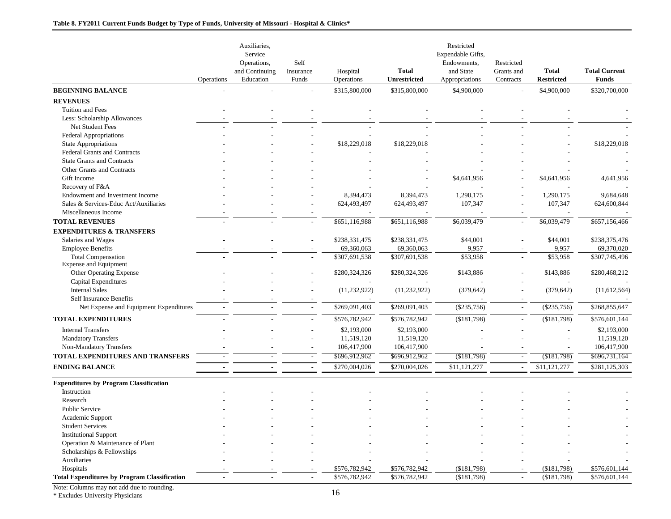|                                                     |            | Auxiliaries,   |                |                |                | Restricted        |                          |                   |                      |
|-----------------------------------------------------|------------|----------------|----------------|----------------|----------------|-------------------|--------------------------|-------------------|----------------------|
|                                                     |            | Service        |                |                |                | Expendable Gifts, |                          |                   |                      |
|                                                     |            | Operations,    | Self           |                |                | Endowments,       | Restricted               |                   |                      |
|                                                     |            | and Continuing | Insurance      | Hospital       | <b>Total</b>   | and State         | Grants and               | <b>Total</b>      | <b>Total Current</b> |
|                                                     | Operations | Education      | Funds          | Operations     | Unrestricted   | Appropriations    | Contracts                | <b>Restricted</b> | <b>Funds</b>         |
| <b>BEGINNING BALANCE</b>                            |            |                |                | \$315,800,000  | \$315,800,000  | \$4,900,000       |                          | \$4,900,000       | \$320,700,000        |
| <b>REVENUES</b>                                     |            |                |                |                |                |                   |                          |                   |                      |
| Tuition and Fees                                    |            |                |                |                |                |                   |                          |                   |                      |
| Less: Scholarship Allowances                        |            |                |                |                |                |                   |                          |                   |                      |
| Net Student Fees                                    |            |                |                |                |                |                   |                          |                   |                      |
| <b>Federal Appropriations</b>                       |            |                |                |                |                |                   |                          |                   |                      |
| <b>State Appropriations</b>                         |            |                |                | \$18,229,018   | \$18,229,018   |                   |                          |                   | \$18,229,018         |
| Federal Grants and Contracts                        |            |                |                |                |                |                   |                          |                   |                      |
| <b>State Grants and Contracts</b>                   |            |                |                |                |                |                   |                          |                   |                      |
| Other Grants and Contracts                          |            |                |                |                |                |                   |                          |                   |                      |
| Gift Income                                         |            |                |                |                |                | \$4,641,956       |                          | \$4,641,956       | 4,641,956            |
| Recovery of F&A                                     |            |                |                |                |                |                   |                          |                   |                      |
| Endowment and Investment Income                     |            |                |                | 8,394,473      | 8,394,473      | 1,290,175         |                          | 1,290,175         | 9,684,648            |
| Sales & Services-Educ Act/Auxiliaries               |            |                |                | 624,493,497    | 624,493,497    | 107,347           |                          | 107,347           | 624,600,844          |
| Miscellaneous Income                                |            |                |                |                |                |                   |                          |                   |                      |
| <b>TOTAL REVENUES</b>                               |            |                |                | \$651,116,988  | \$651,116,988  | \$6,039,479       | $\overline{\phantom{a}}$ | \$6,039,479       | \$657,156,466        |
| <b>EXPENDITURES &amp; TRANSFERS</b>                 |            |                |                |                |                |                   |                          |                   |                      |
| Salaries and Wages                                  |            |                |                | \$238,331,475  | \$238,331,475  | \$44,001          |                          | \$44,001          | \$238,375,476        |
| <b>Employee Benefits</b>                            |            |                |                | 69,360,063     | 69,360,063     | 9,957             |                          | 9,957             | 69,370,020           |
| <b>Total Compensation</b>                           |            |                |                | \$307,691,538  | \$307,691,538  | \$53,958          |                          | \$53,958          | \$307,745,496        |
| Expense and Equipment                               |            |                |                |                |                |                   |                          |                   |                      |
| Other Operating Expense                             |            |                |                | \$280,324,326  | \$280,324,326  | \$143,886         |                          | \$143,886         | \$280,468,212        |
| Capital Expenditures                                |            |                |                |                |                |                   |                          |                   |                      |
| <b>Internal Sales</b>                               |            |                |                | (11, 232, 922) | (11, 232, 922) | (379, 642)        |                          | (379, 642)        | (11, 612, 564)       |
| <b>Self Insurance Benefits</b>                      |            |                |                |                |                |                   |                          |                   |                      |
| Net Expense and Equipment Expenditures              |            |                |                | \$269,091,403  | \$269,091,403  | $(\$235,756)$     | $\overline{\phantom{a}}$ | $(\$235,756)$     | \$268,855,647        |
| <b>TOTAL EXPENDITURES</b>                           |            |                |                | \$576,782,942  | \$576,782,942  | ( \$181,798)      |                          | (\$181,798)       | \$576,601,144        |
| <b>Internal Transfers</b>                           |            |                |                | \$2,193,000    | \$2,193,000    |                   |                          |                   | \$2,193,000          |
| <b>Mandatory Transfers</b>                          |            |                |                | 11,519,120     | 11,519,120     |                   |                          |                   | 11,519,120           |
| Non-Mandatory Transfers                             |            |                |                | 106,417,900    | 106,417,900    |                   |                          |                   | 106,417,900          |
| TOTAL EXPENDITURES AND TRANSFERS                    |            |                |                | \$696,912,962  | \$696,912,962  | (\$181,798)       | $\sim$                   | (\$181,798)       | \$696,731,164        |
| <b>ENDING BALANCE</b>                               | $\sim$     | $\sim$         | $\overline{a}$ | \$270,004,026  | \$270,004,026  | \$11,121,277      | $\sim$                   | \$11,121,277      | \$281,125,303        |
|                                                     |            |                |                |                |                |                   |                          |                   |                      |
| <b>Expenditures by Program Classification</b>       |            |                |                |                |                |                   |                          |                   |                      |
| Instruction                                         |            |                |                |                |                |                   |                          |                   |                      |
| Research                                            |            |                |                |                |                |                   |                          |                   |                      |
| <b>Public Service</b>                               |            |                |                |                |                |                   |                          |                   |                      |
| Academic Support                                    |            |                |                |                |                |                   |                          |                   |                      |
| <b>Student Services</b>                             |            |                |                |                |                |                   |                          |                   |                      |
| <b>Institutional Support</b>                        |            |                |                |                |                |                   |                          |                   |                      |
| Operation & Maintenance of Plant                    |            |                |                |                |                |                   |                          |                   |                      |
| Scholarships & Fellowships                          |            |                |                |                |                |                   |                          |                   |                      |
| Auxiliaries                                         |            |                |                |                |                |                   |                          |                   |                      |
| Hospitals                                           |            |                |                | \$576,782,942  | \$576,782,942  | ( \$181,798)      |                          | ( \$181,798)      | \$576,601,144        |
| <b>Total Expenditures by Program Classification</b> |            |                |                | \$576,782,942  | \$576,782,942  | ( \$181,798)      |                          | ( \$181,798)      | \$576,601,144        |

\* Excludes University Physicians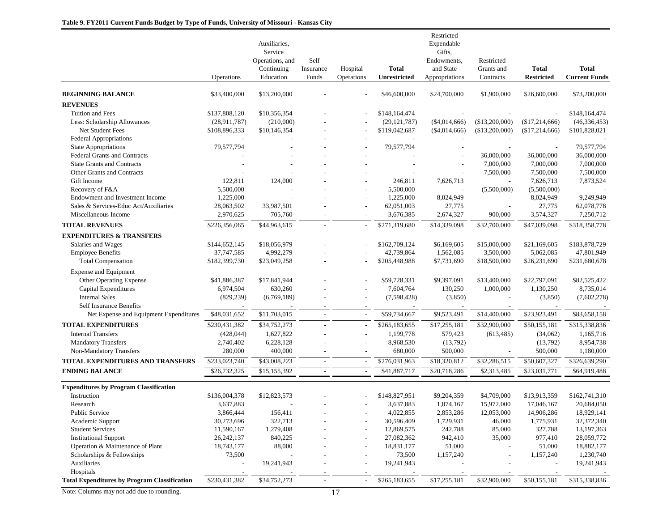|                                                              |                | Auxiliaries,<br>Service<br>Operations, and<br>Continuing | Self<br>Insurance | Hospital                 | <b>Total</b>   | Restricted<br>Expendable<br>Gifts,<br>Endowments,<br>and State | Restricted<br>Grants and | <b>Total</b>      | <b>Total</b>         |
|--------------------------------------------------------------|----------------|----------------------------------------------------------|-------------------|--------------------------|----------------|----------------------------------------------------------------|--------------------------|-------------------|----------------------|
|                                                              | Operations     | Education                                                | Funds             | Operations               | Unrestricted   | Appropriations                                                 | Contracts                | <b>Restricted</b> | <b>Current Funds</b> |
| <b>BEGINNING BALANCE</b>                                     | \$33,400,000   | \$13,200,000                                             |                   |                          | \$46,600,000   | \$24,700,000                                                   | \$1,900,000              | \$26,600,000      | \$73,200,000         |
| <b>REVENUES</b>                                              |                |                                                          |                   |                          |                |                                                                |                          |                   |                      |
| Tuition and Fees                                             | \$137,808,120  | \$10,356,354                                             |                   |                          | \$148,164,474  |                                                                |                          |                   | \$148,164,474        |
| Less: Scholarship Allowances                                 | (28, 911, 787) | (210,000)                                                |                   |                          | (29, 121, 787) | $(\$4,014,666)$                                                | (\$13,200,000)           | (\$17,214,666)    | (46, 336, 453)       |
| Net Student Fees                                             | \$108,896,333  | \$10,146,354                                             |                   | $\overline{\phantom{a}}$ | \$119,042,687  | (\$4,014,666)                                                  | (\$13,200,000)           | (\$17,214,666)    | \$101,828,021        |
| <b>Federal Appropriations</b>                                |                |                                                          |                   |                          |                |                                                                |                          |                   |                      |
| State Appropriations                                         | 79,577,794     |                                                          |                   |                          | 79,577,794     |                                                                |                          |                   | 79,577,794           |
| <b>Federal Grants and Contracts</b>                          |                |                                                          |                   |                          |                |                                                                | 36,000,000               | 36,000,000        | 36,000,000           |
| <b>State Grants and Contracts</b>                            |                |                                                          |                   |                          |                |                                                                | 7,000,000                | 7,000,000         | 7,000,000            |
| Other Grants and Contracts                                   |                |                                                          |                   |                          |                |                                                                | 7,500,000                | 7,500,000         | 7,500,000            |
| Gift Income                                                  | 122,811        | 124,000                                                  |                   |                          | 246,811        | 7,626,713                                                      |                          | 7,626,713         | 7,873,524            |
| Recovery of F&A                                              | 5,500,000      |                                                          |                   |                          | 5,500,000      |                                                                | (5,500,000)              | (5,500,000)       |                      |
| Endowment and Investment Income                              | 1,225,000      |                                                          |                   |                          | 1,225,000      | 8,024,949                                                      |                          | 8,024,949         | 9,249,949            |
| Sales & Services-Educ Act/Auxiliaries                        | 28,063,502     | 33,987,501                                               |                   |                          | 62,051,003     | 27,775                                                         |                          | 27,775            | 62,078,778           |
| Miscellaneous Income                                         | 2,970,625      | 705,760                                                  |                   |                          | 3,676,385      | 2,674,327                                                      | 900,000                  | 3,574,327         | 7,250,712            |
| <b>TOTAL REVENUES</b>                                        | \$226,356,065  | \$44,963,615                                             |                   |                          | \$271,319,680  | \$14,339,098                                                   | \$32,700,000             | \$47,039,098      | \$318,358,778        |
| <b>EXPENDITURES &amp; TRANSFERS</b>                          |                |                                                          |                   |                          |                |                                                                |                          |                   |                      |
| Salaries and Wages                                           | \$144,652,145  | \$18,056,979                                             |                   |                          | \$162,709,124  | \$6,169,605                                                    | \$15,000,000             | \$21,169,605      | \$183,878,729        |
| <b>Employee Benefits</b>                                     | 37,747,585     | 4,992,279                                                |                   |                          | 42,739,864     | 1,562,085                                                      | 3,500,000                | 5,062,085         | 47,801,949           |
| <b>Total Compensation</b>                                    | \$182,399,730  | \$23,049,258                                             |                   | $\overline{a}$           | \$205,448,988  | \$7,731,690                                                    | \$18,500,000             | \$26,231,690      | \$231,680,678        |
| <b>Expense and Equipment</b>                                 |                |                                                          |                   |                          |                |                                                                |                          |                   |                      |
| Other Operating Expense                                      | \$41,886,387   | \$17,841,944                                             |                   |                          | \$59,728,331   | \$9,397,091                                                    | \$13,400,000             | \$22,797,091      | \$82,525,422         |
| <b>Capital Expenditures</b>                                  | 6,974,504      | 630,260                                                  |                   |                          | 7,604,764      | 130,250                                                        | 1,000,000                | 1,130,250         | 8,735,014            |
| <b>Internal Sales</b>                                        | (829, 239)     | (6,769,189)                                              |                   |                          | (7,598,428)    | (3,850)                                                        |                          | (3,850)           | (7,602,278)          |
| <b>Self Insurance Benefits</b>                               |                |                                                          |                   |                          |                |                                                                |                          |                   |                      |
| Net Expense and Equipment Expenditures                       | \$48,031,652   | \$11,703,015                                             |                   | $\sim$                   | \$59,734,667   | \$9,523,491                                                    | \$14,400,000             | \$23,923,491      | \$83,658,158         |
| <b>TOTAL EXPENDITURES</b>                                    | \$230,431,382  | \$34,752,273                                             |                   | $\overline{a}$           | \$265,183,655  | \$17,255,181                                                   | \$32,900,000             | \$50,155,181      | \$315,338,836        |
| <b>Internal Transfers</b>                                    | (428, 044)     | 1,627,822                                                |                   |                          | 1,199,778      | 579,423                                                        | (613, 485)               | (34,062)          | 1,165,716            |
| <b>Mandatory Transfers</b>                                   | 2,740,402      | 6,228,128                                                |                   |                          | 8,968,530      | (13,792)                                                       |                          | (13,792)          | 8,954,738            |
| Non-Mandatory Transfers                                      | 280,000        | 400,000                                                  |                   |                          | 680,000        | 500,000                                                        |                          | 500,000           | 1,180,000            |
| <b>TOTAL EXPENDITURES AND TRANSFERS</b>                      | \$233,023,740  | \$43,008,223                                             |                   |                          | \$276,031,963  | \$18,320,812                                                   | \$32,286,515             | \$50,607,327      | \$326,639,290        |
| <b>ENDING BALANCE</b>                                        | \$26,732,325   | \$15,155,392                                             |                   |                          | \$41,887,717   | \$20,718,286                                                   | \$2,313,485              | \$23,031,771      | \$64,919,488         |
|                                                              |                |                                                          |                   |                          |                |                                                                |                          |                   |                      |
| <b>Expenditures by Program Classification</b><br>Instruction | \$136,004,378  | \$12,823,573                                             |                   |                          | \$148,827,951  | \$9,204,359                                                    | \$4,709,000              | \$13,913,359      | \$162,741,310        |
| Research                                                     | 3,637,883      |                                                          |                   |                          | 3,637,883      | 1,074,167                                                      | 15,972,000               | 17,046,167        | 20,684,050           |
| Public Service                                               | 3,866,444      | 156,411                                                  |                   |                          | 4,022,855      | 2,853,286                                                      | 12,053,000               | 14,906,286        | 18,929,141           |
| Academic Support                                             | 30,273,696     | 322,713                                                  |                   |                          | 30,596,409     | 1,729,931                                                      | 46,000                   | 1,775,931         | 32,372,340           |
| <b>Student Services</b>                                      | 11,590,167     | 1,279,408                                                |                   |                          | 12,869,575     | 242,788                                                        | 85,000                   | 327,788           | 13,197,363           |
| <b>Institutional Support</b>                                 | 26, 242, 137   | 840,225                                                  |                   |                          | 27,082,362     | 942,410                                                        | 35,000                   | 977,410           | 28,059,772           |
| Operation & Maintenance of Plant                             | 18,743,177     | 88,000                                                   |                   |                          | 18,831,177     | 51,000                                                         |                          | 51,000            | 18,882,177           |
| Scholarships & Fellowships                                   | 73,500         |                                                          |                   |                          | 73,500         | 1,157,240                                                      | $\overline{a}$           | 1,157,240         | 1,230,740            |
| Auxiliaries                                                  |                | 19,241,943                                               |                   |                          | 19,241,943     |                                                                |                          |                   | 19,241,943           |
| Hospitals                                                    |                |                                                          |                   |                          |                |                                                                |                          |                   |                      |
| <b>Total Expenditures by Program Classification</b>          | \$230,431,382  | \$34,752,273                                             |                   | $\overline{\phantom{a}}$ | \$265,183,655  | \$17,255,181                                                   | \$32,900,000             | \$50,155,181      | \$315,338,836        |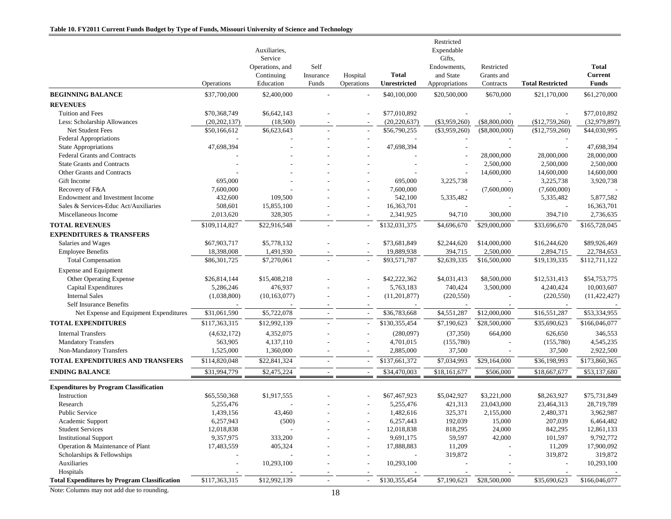|                                                                          |                      | Auxiliaries,<br>Service<br>Operations, and<br>Continuing | Self<br>Insurance        | Hospital                 | <b>Total</b>          | Restricted<br>Expendable<br>Gifts,<br>Endowments,<br>and State | Restricted<br>Grants and |                         | <b>Total</b><br><b>Current</b> |
|--------------------------------------------------------------------------|----------------------|----------------------------------------------------------|--------------------------|--------------------------|-----------------------|----------------------------------------------------------------|--------------------------|-------------------------|--------------------------------|
|                                                                          | Operations           | Education                                                | Funds                    | Operations               | Unrestricted          | Appropriations                                                 | Contracts                | <b>Total Restricted</b> | <b>Funds</b>                   |
| <b>BEGINNING BALANCE</b>                                                 | \$37,700,000         | \$2,400,000                                              |                          |                          | \$40,100,000          | \$20,500,000                                                   | \$670,000                | \$21,170,000            | \$61,270,000                   |
| <b>REVENUES</b>                                                          |                      |                                                          |                          |                          |                       |                                                                |                          |                         |                                |
| Tuition and Fees                                                         | \$70,368,749         | \$6,642,143                                              |                          |                          | \$77,010,892          |                                                                |                          |                         | \$77,010,892                   |
| Less: Scholarship Allowances                                             | (20, 202, 137)       | (18,500)                                                 |                          | $\overline{\phantom{a}}$ | (20, 220, 637)        | $(\$3,959,260)$                                                | $(\$8,800,000)$          | (\$12,759,260)          | (32,979,897)                   |
| <b>Net Student Fees</b>                                                  | \$50,166,612         | \$6,623,643                                              |                          |                          | \$56,790,255          | $(\$3,959,260)$                                                | $(\$8,800,000)$          | (\$12,759,260)          | \$44,030,995                   |
| Federal Appropriations                                                   |                      |                                                          |                          |                          |                       |                                                                |                          |                         |                                |
| <b>State Appropriations</b>                                              | 47,698,394           |                                                          |                          |                          | 47,698,394            |                                                                |                          |                         | 47,698,394                     |
| <b>Federal Grants and Contracts</b>                                      |                      |                                                          |                          |                          |                       |                                                                | 28,000,000               | 28,000,000              | 28,000,000                     |
| <b>State Grants and Contracts</b>                                        |                      |                                                          |                          |                          |                       |                                                                | 2,500,000                | 2,500,000               | 2,500,000                      |
| Other Grants and Contracts                                               |                      |                                                          |                          |                          |                       |                                                                | 14,600,000               | 14,600,000              | 14,600,000                     |
| Gift Income                                                              | 695,000              |                                                          |                          |                          | 695,000               | 3,225,738                                                      |                          | 3,225,738               | 3,920,738                      |
| Recovery of F&A                                                          | 7,600,000            |                                                          |                          |                          | 7,600,000             |                                                                | (7,600,000)              | (7,600,000)             |                                |
| Endowment and Investment Income<br>Sales & Services-Educ Act/Auxiliaries | 432,600              | 109,500                                                  |                          |                          | 542,100<br>16,363,701 | 5,335,482                                                      | $\sim$                   | 5,335,482               | 5,877,582                      |
| Miscellaneous Income                                                     | 508,601<br>2,013,620 | 15,855,100<br>328,305                                    |                          |                          | 2,341,925             | 94,710                                                         | 300,000                  | 394,710                 | 16,363,701<br>2,736,635        |
|                                                                          |                      |                                                          |                          |                          |                       |                                                                |                          |                         |                                |
| <b>TOTAL REVENUES</b>                                                    | \$109,114,827        | \$22,916,548                                             |                          |                          | \$132,031,375         | \$4,696,670                                                    | \$29,000,000             | \$33,696,670            | $\overline{$165,728,045}$      |
| <b>EXPENDITURES &amp; TRANSFERS</b>                                      |                      |                                                          |                          |                          |                       |                                                                |                          |                         |                                |
| Salaries and Wages                                                       | \$67,903,717         | \$5,778,132                                              |                          |                          | \$73,681,849          | \$2,244,620                                                    | \$14,000,000             | \$16,244,620            | \$89,926,469                   |
| <b>Employee Benefits</b>                                                 | 18,398,008           | 1,491,930                                                |                          |                          | 19,889,938            | 394,715                                                        | 2,500,000                | 2,894,715               | 22,784,653                     |
| <b>Total Compensation</b>                                                | \$86,301,725         | \$7,270,061                                              |                          | $\sim$                   | \$93,571,787          | \$2,639,335                                                    | \$16,500,000             | \$19,139,335            | \$112,711,122                  |
| <b>Expense and Equipment</b>                                             |                      |                                                          |                          |                          |                       |                                                                |                          |                         |                                |
| Other Operating Expense                                                  | \$26,814,144         | \$15,408,218                                             |                          |                          | \$42,222,362          | \$4,031,413                                                    | \$8,500,000              | \$12,531,413            | \$54,753,775                   |
| Capital Expenditures                                                     | 5,286,246            | 476,937                                                  |                          |                          | 5,763,183             | 740,424                                                        | 3,500,000                | 4,240,424               | 10,003,607                     |
| <b>Internal Sales</b>                                                    | (1,038,800)          | (10, 163, 077)                                           |                          |                          | (11,201,877)          | (220, 550)                                                     |                          | (220, 550)              | (11, 422, 427)                 |
| Self Insurance Benefits                                                  |                      |                                                          |                          |                          |                       |                                                                |                          |                         |                                |
| Net Expense and Equipment Expenditures                                   | \$31,061,590         | \$5,722,078                                              |                          |                          | \$36,783,668          | \$4,551,287                                                    | \$12,000,000             | \$16,551,287            | \$53,334,955                   |
| <b>TOTAL EXPENDITURES</b>                                                | \$117,363,315        | \$12,992,139                                             | $\overline{a}$           |                          | \$130,355,454         | \$7,190,623                                                    | \$28,500,000             | \$35,690,623            | \$166,046,077                  |
| <b>Internal Transfers</b>                                                | (4,632,172)          | 4,352,075                                                |                          |                          | (280,097)             | (37, 350)                                                      | 664,000                  | 626,650                 | 346,553                        |
| <b>Mandatory Transfers</b>                                               | 563,905              | 4,137,110                                                |                          |                          | 4,701,015             | (155,780)                                                      |                          | (155,780)               | 4,545,235                      |
| Non-Mandatory Transfers                                                  | 1,525,000            | 1,360,000                                                |                          |                          | 2,885,000             | 37,500                                                         |                          | 37,500                  | 2,922,500                      |
| TOTAL EXPENDITURES AND TRANSFERS                                         | \$114,820,048        | \$22,841,324                                             | $\sim$                   |                          | \$137,661,372         | \$7,034,993                                                    | \$29,164,000             | \$36,198,993            | \$173,860,365                  |
| <b>ENDING BALANCE</b>                                                    | \$31,994,779         | \$2,475,224                                              |                          |                          | \$34,470,003          | \$18,161,677                                                   | \$506,000                | \$18,667,677            | \$53,137,680                   |
|                                                                          |                      |                                                          |                          |                          |                       |                                                                |                          |                         |                                |
| <b>Expenditures by Program Classification</b><br>Instruction             | \$65,550,368         | \$1,917,555                                              |                          |                          | \$67,467,923          | \$5,042,927                                                    | \$3,221,000              | \$8,263,927             | \$75,731,849                   |
| Research                                                                 | 5,255,476            |                                                          |                          |                          | 5,255,476             | 421,313                                                        | 23,043,000               | 23,464,313              | 28,719,789                     |
| <b>Public Service</b>                                                    | 1,439,156            | 43,460                                                   |                          |                          | 1,482,616             | 325,371                                                        | 2,155,000                | 2,480,371               | 3,962,987                      |
| Academic Support                                                         | 6,257,943            | (500)                                                    |                          |                          | 6,257,443             | 192,039                                                        | 15,000                   | 207,039                 | 6,464,482                      |
| <b>Student Services</b>                                                  | 12,018,838           |                                                          |                          |                          | 12,018,838            | 818,295                                                        | 24,000                   | 842,295                 | 12,861,133                     |
| <b>Institutional Support</b>                                             | 9,357,975            | 333,200                                                  |                          |                          | 9,691,175             | 59,597                                                         | 42,000                   | 101,597                 | 9,792,772                      |
| Operation & Maintenance of Plant                                         | 17,483,559           | 405,324                                                  |                          |                          | 17,888,883            | 11,209                                                         |                          | 11,209                  | 17,900,092                     |
| Scholarships & Fellowships                                               |                      |                                                          |                          |                          |                       | 319,872                                                        |                          | 319,872                 | 319,872                        |
| Auxiliaries                                                              |                      | 10,293,100                                               |                          |                          | 10,293,100            |                                                                |                          |                         | 10,293,100                     |
| Hospitals                                                                |                      |                                                          |                          |                          |                       |                                                                |                          |                         |                                |
| <b>Total Expenditures by Program Classification</b>                      | \$117,363,315        | \$12,992,139                                             | $\overline{\phantom{a}}$ |                          | \$130,355,454         | \$7,190,623                                                    | \$28,500,000             | \$35,690,623            | \$166,046,077                  |
|                                                                          |                      |                                                          |                          |                          |                       |                                                                |                          |                         |                                |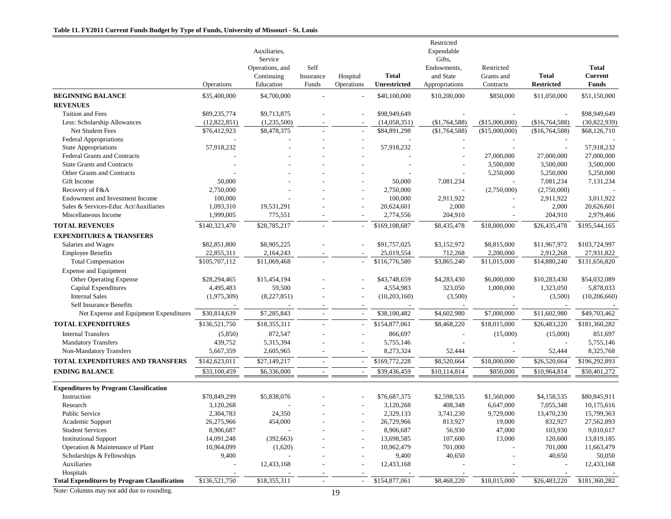|                                                     | Operations    | Auxiliaries,<br>Service<br>Operations, and<br>Continuing<br>Education | Self<br>Insurance<br>Funds | Hospital<br>Operations   | <b>Total</b><br>Unrestricted | Restricted<br>Expendable<br>Gifts,<br>Endowments.<br>and State<br>Appropriations | Restricted<br>Grants and<br>Contracts | <b>Total</b><br><b>Restricted</b> | <b>Total</b><br><b>Current</b><br><b>Funds</b> |
|-----------------------------------------------------|---------------|-----------------------------------------------------------------------|----------------------------|--------------------------|------------------------------|----------------------------------------------------------------------------------|---------------------------------------|-----------------------------------|------------------------------------------------|
| <b>BEGINNING BALANCE</b>                            | \$35,400,000  | \$4,700,000                                                           |                            |                          | \$40,100,000                 | \$10,200,000                                                                     | \$850,000                             | \$11,050,000                      | \$51,150,000                                   |
| <b>REVENUES</b>                                     |               |                                                                       |                            |                          |                              |                                                                                  |                                       |                                   |                                                |
| <b>Tuition and Fees</b>                             | \$89,235,774  | \$9,713,875                                                           |                            |                          | \$98,949,649                 |                                                                                  |                                       |                                   | \$98,949,649                                   |
| Less: Scholarship Allowances                        | (12,822,851)  | (1,235,500)                                                           |                            |                          | (14,058,351)                 | (\$1,764,588)                                                                    | (\$15,000,000)                        | (\$16,764,588)                    | (30,822,939)                                   |
| Net Student Fees                                    | \$76,412,923  | \$8,478,375                                                           |                            | $\overline{\phantom{a}}$ | \$84,891,298                 | (\$1,764,588)                                                                    | (\$15,000,000)                        | (\$16,764,588)                    | \$68,126,710                                   |
| <b>Federal Appropriations</b>                       |               |                                                                       |                            |                          |                              |                                                                                  |                                       |                                   |                                                |
| <b>State Appropriations</b>                         | 57,918,232    |                                                                       |                            |                          | 57,918,232                   |                                                                                  |                                       |                                   | 57,918,232                                     |
| <b>Federal Grants and Contracts</b>                 |               |                                                                       |                            |                          |                              |                                                                                  | 27,000,000                            | 27,000,000                        | 27,000,000                                     |
| <b>State Grants and Contracts</b>                   |               |                                                                       |                            |                          |                              |                                                                                  | 3,500,000                             | 3,500,000                         | 3,500,000                                      |
| Other Grants and Contracts                          |               |                                                                       |                            |                          |                              |                                                                                  | 5,250,000                             | 5,250,000                         | 5,250,000                                      |
| Gift Income                                         | 50,000        |                                                                       |                            |                          | 50,000                       | 7,081,234                                                                        |                                       | 7,081,234                         | 7,131,234                                      |
| Recovery of F&A                                     | 2,750,000     |                                                                       |                            |                          | 2,750,000                    |                                                                                  | (2,750,000)                           | (2,750,000)                       |                                                |
| Endowment and Investment Income                     | 100,000       |                                                                       |                            |                          | 100,000                      | 2,911,922                                                                        |                                       | 2,911,922                         | 3,011,922                                      |
| Sales & Services-Educ Act/Auxiliaries               | 1,093,310     | 19,531,291                                                            |                            |                          | 20,624,601                   | 2,000                                                                            |                                       | 2,000                             | 20,626,601                                     |
| Miscellaneous Income                                | 1,999,005     | 775,551                                                               |                            |                          | 2,774,556                    | 204,910                                                                          |                                       | 204,910                           | 2,979,466                                      |
| <b>TOTAL REVENUES</b>                               | \$140,323,470 | \$28,785,217                                                          |                            |                          | \$169,108,687                | \$8,435,478                                                                      | \$18,000,000                          | \$26,435,478                      | \$195,544,165                                  |
| <b>EXPENDITURES &amp; TRANSFERS</b>                 |               |                                                                       |                            |                          |                              |                                                                                  |                                       |                                   |                                                |
| Salaries and Wages                                  | \$82,851,800  | \$8,905,225                                                           |                            |                          | \$91,757,025                 | \$3,152,972                                                                      | \$8,815,000                           | \$11,967,972                      | \$103,724,997                                  |
| <b>Employee Benefits</b>                            | 22,855,311    | 2,164,243                                                             |                            |                          | 25,019,554                   | 712,268                                                                          | 2,200,000                             | 2,912,268                         | 27,931,822                                     |
| <b>Total Compensation</b>                           | \$105,707,112 | \$11,069,468                                                          |                            | $\sim$                   | \$116,776,580                | $\overline{$3,865,240}$                                                          | \$11,015,000                          | \$14,880,240                      | \$131,656,820                                  |
| Expense and Equipment                               |               |                                                                       |                            |                          |                              |                                                                                  |                                       |                                   |                                                |
| Other Operating Expense                             | \$28,294,465  | \$15,454,194                                                          |                            |                          | \$43,748,659                 | \$4,283,430                                                                      | \$6,000,000                           | \$10,283,430                      | \$54,032,089                                   |
| Capital Expenditures                                | 4,495,483     | 59,500                                                                |                            |                          | 4,554,983                    | 323,050                                                                          | 1,000,000                             | 1,323,050                         | 5,878,033                                      |
| <b>Internal Sales</b>                               | (1,975,309)   | (8,227,851)                                                           |                            |                          | (10, 203, 160)               | (3,500)                                                                          |                                       | (3,500)                           | (10,206,660)                                   |
| Self Insurance Benefits                             |               |                                                                       |                            |                          |                              |                                                                                  |                                       |                                   |                                                |
| Net Expense and Equipment Expenditures              | \$30,814,639  | \$7,285,843                                                           |                            |                          | \$38,100,482                 | \$4,602,980                                                                      | \$7,000,000                           | \$11,602,980                      | \$49,703,462                                   |
| <b>TOTAL EXPENDITURES</b>                           | \$136,521,750 | \$18,355,311                                                          |                            |                          | \$154,877,061                | \$8,468,220                                                                      | \$18,015,000                          | \$26,483,220                      | \$181,360,282                                  |
| <b>Internal Transfers</b>                           | (5,850)       | 872,547                                                               |                            |                          | 866,697                      |                                                                                  | (15,000)                              | (15,000)                          | 851,697                                        |
| <b>Mandatory Transfers</b>                          | 439,752       | 5,315,394                                                             |                            |                          | 5,755,146                    |                                                                                  |                                       |                                   | 5,755,146                                      |
| Non-Mandatory Transfers                             | 5,667,359     | 2,605,965                                                             |                            |                          | 8,273,324                    | 52,444                                                                           |                                       | 52,444                            | 8,325,768                                      |
| TOTAL EXPENDITURES AND TRANSFERS                    | \$142,623,011 | \$27,149,217                                                          |                            |                          | \$169,772,228                | \$8,520,664                                                                      | \$18,000,000                          | \$26,520,664                      | \$196,292,893                                  |
| <b>ENDING BALANCE</b>                               | \$33,100,459  | \$6,336,000                                                           | $\overline{\phantom{a}}$   | $\sim$                   | \$39,436,459                 | \$10,114,814                                                                     | \$850,000                             | \$10,964,814                      | \$50,401,272                                   |
| <b>Expenditures by Program Classification</b>       |               |                                                                       |                            |                          |                              |                                                                                  |                                       |                                   |                                                |
| Instruction                                         | \$70,849,299  | \$5,838,076                                                           |                            |                          | \$76,687,375                 | \$2,598,535                                                                      | \$1,560,000                           | \$4,158,535                       | \$80,845,911                                   |
| Research                                            | 3,120,268     |                                                                       |                            |                          | 3,120,268                    | 408,348                                                                          | 6,647,000                             | 7,055,348                         | 10,175,616                                     |
| <b>Public Service</b>                               | 2,304,783     | 24,350                                                                |                            |                          | 2,329,133                    | 3,741,230                                                                        | 9,729,000                             | 13,470,230                        | 15,799,363                                     |
| Academic Support                                    | 26,275,966    | 454,000                                                               |                            |                          | 26,729,966                   | 813,927                                                                          | 19,000                                | 832,927                           | 27,562,893                                     |
| <b>Student Services</b>                             | 8,906,687     |                                                                       |                            |                          | 8,906,687                    | 56,930                                                                           | 47,000                                | 103,930                           | 9,010,617                                      |
| <b>Institutional Support</b>                        | 14,091,248    | (392, 663)                                                            |                            |                          | 13,698,585                   | 107,600                                                                          | 13,000                                | 120,600                           | 13,819,185                                     |
| Operation & Maintenance of Plant                    | 10,964,099    | (1,620)                                                               |                            |                          | 10,962,479                   | 701,000                                                                          |                                       | 701,000                           | 11,663,479                                     |
| Scholarships & Fellowships                          | 9,400         |                                                                       |                            |                          | 9,400                        | 40,650                                                                           |                                       | 40,650                            | 50,050                                         |
| Auxiliaries                                         |               | 12,433,168                                                            |                            |                          | 12,433,168                   |                                                                                  |                                       |                                   | 12,433,168                                     |
| Hospitals                                           |               |                                                                       |                            |                          |                              |                                                                                  |                                       |                                   |                                                |
| <b>Total Expenditures by Program Classification</b> | \$136,521,750 | \$18,355,311                                                          |                            |                          | \$154,877,061                | \$8,468,220                                                                      | \$18,015,000                          | \$26,483,220                      | \$181,360,282                                  |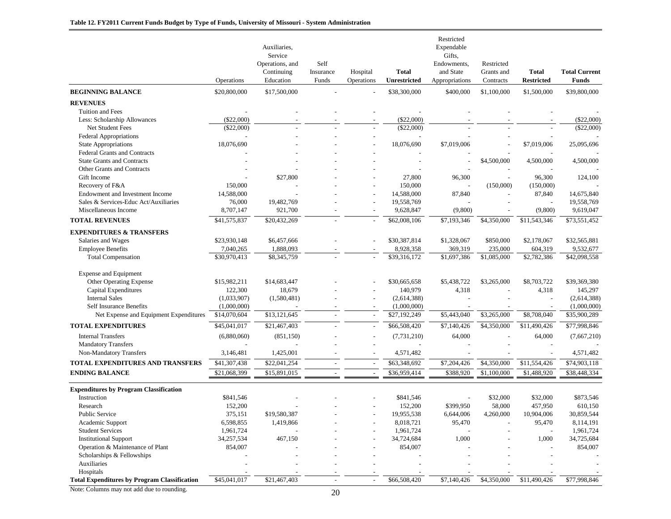|                                                     | Operations   | Auxiliaries,<br>Service<br>Operations, and<br>Continuing<br>Education | Self<br>Insurance<br>Funds | Hospital<br>Operations   | <b>Total</b><br><b>Unrestricted</b> | Restricted<br>Expendable<br>Gifts,<br>Endowments,<br>and State<br>Appropriations | Restricted<br>Grants and<br>Contracts | Total<br><b>Restricted</b> | <b>Total Current</b><br><b>Funds</b> |
|-----------------------------------------------------|--------------|-----------------------------------------------------------------------|----------------------------|--------------------------|-------------------------------------|----------------------------------------------------------------------------------|---------------------------------------|----------------------------|--------------------------------------|
| <b>BEGINNING BALANCE</b>                            | \$20,800,000 | \$17,500,000                                                          |                            |                          | \$38,300,000                        | \$400,000                                                                        | \$1,100,000                           | \$1,500,000                | \$39,800,000                         |
| <b>REVENUES</b>                                     |              |                                                                       |                            |                          |                                     |                                                                                  |                                       |                            |                                      |
| Tuition and Fees                                    |              |                                                                       |                            |                          |                                     |                                                                                  |                                       |                            |                                      |
| Less: Scholarship Allowances                        | $(\$22,000)$ |                                                                       |                            |                          | (\$22,000)                          |                                                                                  |                                       |                            | $(\$22,000)$                         |
| <b>Net Student Fees</b>                             | $(\$22,000)$ |                                                                       |                            |                          | $(\$22,000)$                        |                                                                                  |                                       |                            | $(\$22,000)$                         |
| <b>Federal Appropriations</b>                       |              |                                                                       |                            |                          |                                     |                                                                                  |                                       |                            |                                      |
| <b>State Appropriations</b>                         | 18,076,690   |                                                                       |                            |                          | 18,076,690                          | \$7,019,006                                                                      |                                       | \$7,019,006                | 25,095,696                           |
| <b>Federal Grants and Contracts</b>                 |              |                                                                       |                            |                          |                                     |                                                                                  |                                       |                            |                                      |
| <b>State Grants and Contracts</b>                   |              |                                                                       |                            |                          |                                     |                                                                                  | \$4,500,000                           | 4,500,000                  | 4,500,000                            |
| Other Grants and Contracts                          |              |                                                                       |                            |                          |                                     |                                                                                  |                                       |                            |                                      |
| Gift Income                                         |              | \$27,800                                                              |                            |                          | 27,800                              | 96,300                                                                           |                                       | 96,300                     | 124,100                              |
| Recovery of F&A                                     | 150,000      |                                                                       |                            |                          | 150,000                             |                                                                                  | (150,000)                             | (150,000)                  |                                      |
| Endowment and Investment Income                     | 14,588,000   |                                                                       |                            |                          | 14,588,000                          | 87,840                                                                           |                                       | 87,840                     | 14,675,840                           |
| Sales & Services-Educ Act/Auxiliaries               | 76,000       | 19,482,769                                                            |                            |                          | 19,558,769                          |                                                                                  |                                       |                            | 19,558,769                           |
| Miscellaneous Income                                | 8,707,147    | 921,700                                                               |                            | $\overline{a}$           | 9,628,847                           | (9,800)                                                                          |                                       | (9,800)                    | 9,619,047                            |
| <b>TOTAL REVENUES</b>                               | \$41,575,837 | \$20,432,269                                                          |                            | $\overline{\phantom{a}}$ | \$62,008,106                        | \$7,193,346                                                                      | \$4,350,000                           | $\overline{11,543,346}$    | \$73,551,452                         |
| <b>EXPENDITURES &amp; TRANSFERS</b>                 |              |                                                                       |                            |                          |                                     |                                                                                  |                                       |                            |                                      |
| Salaries and Wages                                  | \$23,930,148 | \$6,457,666                                                           |                            |                          | \$30,387,814                        | \$1,328,067                                                                      | \$850,000                             | \$2,178,067                | \$32,565,881                         |
| <b>Employee Benefits</b>                            | 7,040,265    | 1,888,093                                                             |                            |                          | 8,928,358                           | 369,319                                                                          | 235,000                               | 604,319                    | 9,532,677                            |
| <b>Total Compensation</b>                           | \$30,970,413 | \$8,345,759                                                           |                            | $\sim$                   | \$39,316,172                        | \$1,697,386                                                                      | $\overline{1,085,000}$                | \$2,782,386                | \$42,098,558                         |
| <b>Expense and Equipment</b>                        |              |                                                                       |                            |                          |                                     |                                                                                  |                                       |                            |                                      |
| Other Operating Expense                             | \$15,982,211 | \$14,683,447                                                          |                            |                          | \$30,665,658                        | \$5,438,722                                                                      | \$3,265,000                           | \$8,703,722                | \$39,369,380                         |
| Capital Expenditures                                | 122,300      | 18,679                                                                |                            |                          | 140,979                             | 4,318                                                                            |                                       | 4,318                      | 145,297                              |
| <b>Internal Sales</b>                               | (1,033,907)  | (1,580,481)                                                           |                            | $\overline{a}$           | (2,614,388)                         |                                                                                  |                                       |                            | (2,614,388)                          |
| <b>Self Insurance Benefits</b>                      | (1,000,000)  |                                                                       |                            |                          | (1,000,000)                         |                                                                                  |                                       |                            | (1,000,000)                          |
| Net Expense and Equipment Expenditures              | \$14,070,604 | \$13,121,645                                                          |                            |                          | \$27,192,249                        | \$5,443,040                                                                      | \$3,265,000                           | \$8,708,040                | \$35,900,289                         |
| <b>TOTAL EXPENDITURES</b>                           | \$45,041,017 | \$21,467,403                                                          |                            | $\overline{\phantom{a}}$ | \$66,508,420                        | \$7,140,426                                                                      | \$4,350,000                           | \$11,490,426               | \$77,998,846                         |
| <b>Internal Transfers</b>                           | (6,880,060)  | (851, 150)                                                            |                            |                          | (7, 731, 210)                       | 64,000                                                                           |                                       | 64,000                     | (7,667,210)                          |
| <b>Mandatory Transfers</b>                          |              |                                                                       |                            |                          |                                     |                                                                                  |                                       |                            |                                      |
| Non-Mandatory Transfers                             | 3,146,481    | 1,425,001                                                             |                            |                          | 4,571,482                           |                                                                                  |                                       |                            | 4,571,482                            |
| TOTAL EXPENDITURES AND TRANSFERS                    | \$41,307,438 | \$22,041,254                                                          |                            | $\overline{\phantom{a}}$ | \$63,348,692                        | \$7,204,426                                                                      | \$4,350,000                           | \$11,554,426               | \$74,903,118                         |
| <b>ENDING BALANCE</b>                               | \$21,068,399 | \$15,891,015                                                          | $\overline{\phantom{a}}$   | $\sim$                   | \$36,959,414                        | \$388,920                                                                        | \$1,100,000                           | \$1,488,920                | \$38,448,334                         |
|                                                     |              |                                                                       |                            |                          |                                     |                                                                                  |                                       |                            |                                      |
| <b>Expenditures by Program Classification</b>       |              |                                                                       |                            |                          |                                     |                                                                                  |                                       |                            |                                      |
| Instruction                                         | \$841,546    |                                                                       |                            |                          | \$841,546                           |                                                                                  | \$32,000                              | \$32,000                   | \$873,546                            |
| Research                                            | 152,200      |                                                                       |                            |                          | 152,200                             | \$399,950                                                                        | 58,000                                | 457,950                    | 610,150                              |
| <b>Public Service</b>                               | 375,151      | \$19,580,387                                                          |                            |                          | 19,955,538                          | 6,644,006                                                                        | 4.260,000                             | 10,904,006                 | 30,859,544                           |
| Academic Support                                    | 6,598,855    | 1,419,866                                                             |                            |                          | 8,018,721                           | 95,470                                                                           |                                       | 95,470                     | 8,114,191                            |
| <b>Student Services</b>                             | 1,961,724    |                                                                       |                            |                          | 1,961,724                           |                                                                                  |                                       |                            | 1,961,724                            |
| <b>Institutional Support</b>                        | 34,257,534   | 467,150                                                               |                            |                          | 34,724,684                          | 1,000                                                                            |                                       | 1,000                      | 34,725,684                           |
| Operation & Maintenance of Plant                    | 854,007      |                                                                       |                            |                          | 854,007                             |                                                                                  |                                       |                            | 854,007                              |
| Scholarships & Fellowships                          |              |                                                                       |                            |                          |                                     |                                                                                  |                                       |                            |                                      |
| Auxiliaries                                         |              |                                                                       |                            |                          |                                     |                                                                                  |                                       |                            |                                      |
| Hospitals                                           |              |                                                                       |                            |                          |                                     |                                                                                  |                                       |                            |                                      |
| <b>Total Expenditures by Program Classification</b> | \$45,041,017 | \$21,467,403                                                          |                            | $\overline{a}$           | \$66,508,420                        | \$7,140,426                                                                      | \$4,350,000                           | \$11,490,426               | \$77,998,846                         |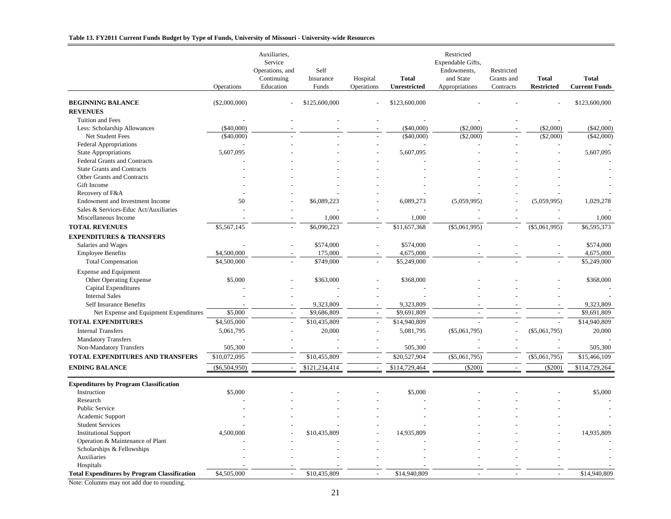#### **Table 13. FY2011 Current Funds Budget by Type of Funds, University of Missouri - University-wide Resources**

|                                                                | Operations      | Auxiliaries,<br>Service<br>Operations, and<br>Continuing<br>Education | Self<br>Insurance<br>Funds | Hospital<br>Operations   | <b>Total</b><br><b>Unrestricted</b> | Restricted<br>Expendable Gifts,<br>Endowments,<br>and State<br>Appropriations | Restricted<br>Grants and<br>Contracts | <b>Total</b><br><b>Restricted</b> | <b>Total</b><br><b>Current Funds</b> |
|----------------------------------------------------------------|-----------------|-----------------------------------------------------------------------|----------------------------|--------------------------|-------------------------------------|-------------------------------------------------------------------------------|---------------------------------------|-----------------------------------|--------------------------------------|
| <b>BEGINNING BALANCE</b>                                       | $(\$2,000,000)$ |                                                                       | \$125,600,000              |                          | \$123,600,000                       |                                                                               |                                       |                                   | \$123,600,000                        |
| <b>REVENUES</b>                                                |                 |                                                                       |                            |                          |                                     |                                                                               |                                       |                                   |                                      |
| Tuition and Fees                                               |                 |                                                                       |                            |                          |                                     |                                                                               |                                       |                                   |                                      |
| Less: Scholarship Allowances                                   | (\$40,000)      |                                                                       |                            |                          | $(\$40,000)$                        | $(\$2,000)$                                                                   |                                       | $(\$2,000)$                       | $(\$42,000)$                         |
| Net Student Fees                                               | $(\$40,000)$    |                                                                       |                            |                          | (\$40,000)                          | (\$2,000)                                                                     |                                       | $(\$2,000)$                       | ( \$42,000)                          |
| <b>Federal Appropriations</b>                                  |                 |                                                                       |                            |                          |                                     |                                                                               |                                       |                                   |                                      |
| <b>State Appropriations</b>                                    | 5,607,095       |                                                                       |                            |                          | 5,607,095                           |                                                                               |                                       |                                   | 5,607,095                            |
| <b>Federal Grants and Contracts</b>                            |                 |                                                                       |                            |                          |                                     |                                                                               |                                       |                                   |                                      |
| <b>State Grants and Contracts</b>                              |                 |                                                                       |                            |                          |                                     |                                                                               |                                       |                                   |                                      |
| <b>Other Grants and Contracts</b>                              |                 |                                                                       |                            |                          |                                     |                                                                               |                                       |                                   |                                      |
| Gift Income                                                    |                 |                                                                       |                            |                          |                                     |                                                                               |                                       |                                   |                                      |
| Recovery of F&A                                                |                 |                                                                       |                            |                          |                                     |                                                                               |                                       |                                   |                                      |
| Endowment and Investment Income                                | 50              |                                                                       | \$6,089,223                |                          | 6,089,273                           | (5,059,995)                                                                   |                                       | (5,059,995)                       | 1,029,278                            |
| Sales & Services-Educ Act/Auxiliaries                          |                 |                                                                       |                            |                          |                                     |                                                                               |                                       |                                   |                                      |
| Miscellaneous Income                                           |                 |                                                                       | 1,000                      |                          | 1,000                               |                                                                               |                                       |                                   | 1,000                                |
| <b>TOTAL REVENUES</b>                                          | \$5,567,145     | $\sim$                                                                | \$6,090,223                | $\overline{\phantom{a}}$ | \$11,657,368                        | $(\$5,061,995)$                                                               | $\overline{a}$                        | $(\$5,061,995)$                   | \$6,595,373                          |
| <b>EXPENDITURES &amp; TRANSFERS</b>                            |                 |                                                                       |                            |                          |                                     |                                                                               |                                       |                                   |                                      |
| Salaries and Wages                                             |                 |                                                                       | \$574,000                  | $\overline{a}$           | \$574,000                           |                                                                               |                                       |                                   | \$574,000                            |
| <b>Employee Benefits</b>                                       | \$4,500,000     |                                                                       | 175,000                    |                          | 4,675,000                           |                                                                               |                                       |                                   | 4,675,000                            |
| <b>Total Compensation</b>                                      | \$4,500,000     |                                                                       | \$749,000                  | $\overline{a}$           | \$5,249,000                         |                                                                               |                                       |                                   | \$5,249,000                          |
|                                                                |                 |                                                                       |                            |                          |                                     |                                                                               |                                       |                                   |                                      |
| <b>Expense and Equipment</b><br><b>Other Operating Expense</b> | \$5,000         |                                                                       | \$363,000                  |                          | \$368,000                           |                                                                               |                                       |                                   | \$368,000                            |
|                                                                |                 |                                                                       |                            |                          |                                     |                                                                               |                                       |                                   |                                      |
| Capital Expenditures<br><b>Internal Sales</b>                  |                 |                                                                       |                            |                          |                                     |                                                                               |                                       |                                   |                                      |
| Self Insurance Benefits                                        |                 |                                                                       | 9,323,809                  |                          | 9,323,809                           |                                                                               |                                       |                                   | 9,323,809                            |
| Net Expense and Equipment Expenditures                         | \$5,000         | $\overline{a}$                                                        | \$9,686,809                | $\sim$                   | \$9,691,809                         | $\overline{a}$                                                                | $\overline{a}$                        |                                   | \$9,691,809                          |
|                                                                |                 |                                                                       |                            |                          |                                     |                                                                               |                                       |                                   |                                      |
| <b>TOTAL EXPENDITURES</b>                                      | \$4,505,000     |                                                                       | \$10,435,809               | $\overline{a}$           | $\overline{$}14,940,809$            |                                                                               |                                       |                                   | \$14,940,809                         |
| <b>Internal Transfers</b>                                      | 5,061,795       |                                                                       | 20,000                     | $\overline{a}$           | 5,081,795                           | $(\$5,061,795)$                                                               |                                       | $(\$5,061,795)$                   | 20,000                               |
| <b>Mandatory Transfers</b>                                     |                 |                                                                       |                            |                          |                                     |                                                                               |                                       |                                   |                                      |
| Non-Mandatory Transfers                                        | 505,300         |                                                                       |                            |                          | 505,300                             |                                                                               |                                       |                                   | 505,300                              |
| <b>TOTAL EXPENDITURES AND TRANSFERS</b>                        | \$10,072,095    | $\overline{a}$                                                        | \$10,455,809               | $\sim$                   | \$20,527,904                        | $(\$5,061,795)$                                                               | $\overline{a}$                        | $(\$5,061,795)$                   | \$15,466,109                         |
| <b>ENDING BALANCE</b>                                          | ( \$6,504,950)  | $\overline{\phantom{a}}$                                              | \$121,234,414              | $\overline{\phantom{a}}$ | \$114,729,464                       | $(\$200)$                                                                     | $\sim$                                | $(\$200)$                         | \$114,729,264                        |
| <b>Expenditures by Program Classification</b>                  |                 |                                                                       |                            |                          |                                     |                                                                               |                                       |                                   |                                      |
| Instruction                                                    | \$5,000         |                                                                       |                            |                          | \$5,000                             |                                                                               |                                       |                                   | \$5,000                              |
| Research                                                       |                 |                                                                       |                            |                          |                                     |                                                                               |                                       |                                   |                                      |
| <b>Public Service</b>                                          |                 |                                                                       |                            |                          |                                     |                                                                               |                                       |                                   |                                      |
| Academic Support                                               |                 |                                                                       |                            |                          |                                     |                                                                               |                                       |                                   |                                      |
| <b>Student Services</b>                                        |                 |                                                                       |                            |                          |                                     |                                                                               |                                       |                                   |                                      |
| <b>Institutional Support</b>                                   | 4,500,000       |                                                                       | \$10,435,809               |                          | 14,935,809                          |                                                                               |                                       |                                   | 14,935,809                           |
| Operation & Maintenance of Plant                               |                 |                                                                       |                            |                          |                                     |                                                                               |                                       |                                   |                                      |
| Scholarships & Fellowships                                     |                 |                                                                       |                            |                          |                                     |                                                                               |                                       |                                   |                                      |
| Auxiliaries                                                    |                 |                                                                       |                            |                          |                                     |                                                                               |                                       |                                   |                                      |
| Hospitals                                                      |                 |                                                                       |                            |                          |                                     |                                                                               |                                       |                                   |                                      |
| <b>Total Expenditures by Program Classification</b>            | \$4,505,000     |                                                                       | \$10,435,809               |                          | \$14,940,809                        |                                                                               |                                       |                                   | \$14,940,809                         |
|                                                                |                 |                                                                       |                            |                          |                                     |                                                                               |                                       |                                   |                                      |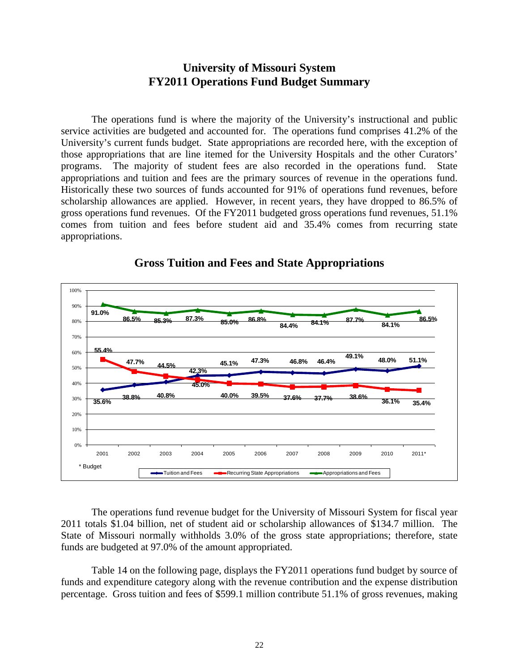## **University of Missouri System FY2011 Operations Fund Budget Summary**

The operations fund is where the majority of the University's instructional and public service activities are budgeted and accounted for. The operations fund comprises 41.2% of the University's current funds budget. State appropriations are recorded here, with the exception of those appropriations that are line itemed for the University Hospitals and the other Curators' programs. The majority of student fees are also recorded in the operations fund. State appropriations and tuition and fees are the primary sources of revenue in the operations fund. Historically these two sources of funds accounted for 91% of operations fund revenues, before scholarship allowances are applied. However, in recent years, they have dropped to 86.5% of gross operations fund revenues. Of the FY2011 budgeted gross operations fund revenues, 51.1% comes from tuition and fees before student aid and 35.4% comes from recurring state appropriations.



#### **Gross Tuition and Fees and State Appropriations**

The operations fund revenue budget for the University of Missouri System for fiscal year 2011 totals \$1.04 billion, net of student aid or scholarship allowances of \$134.7 million. The State of Missouri normally withholds 3.0% of the gross state appropriations; therefore, state funds are budgeted at 97.0% of the amount appropriated.

Table 14 on the following page, displays the FY2011 operations fund budget by source of funds and expenditure category along with the revenue contribution and the expense distribution percentage. Gross tuition and fees of \$599.1 million contribute 51.1% of gross revenues, making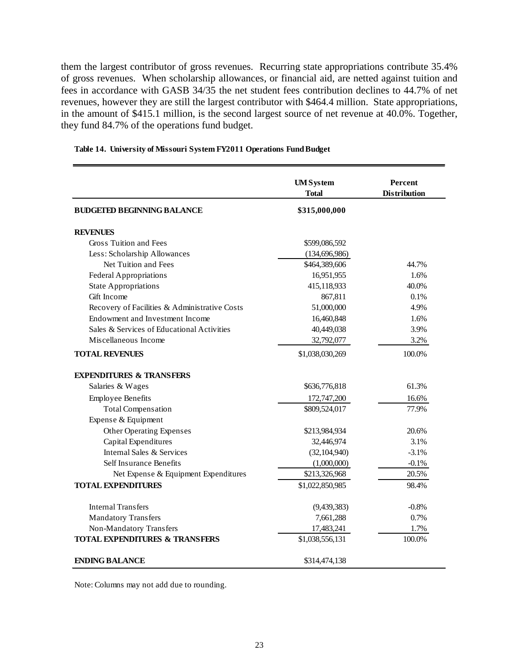them the largest contributor of gross revenues. Recurring state appropriations contribute 35.4% of gross revenues. When scholarship allowances, or financial aid, are netted against tuition and fees in accordance with GASB 34/35 the net student fees contribution declines to 44.7% of net revenues, however they are still the largest contributor with \$464.4 million. State appropriations, in the amount of \$415.1 million, is the second largest source of net revenue at 40.0%. Together, they fund 84.7% of the operations fund budget.

|                                               | <b>UMSystem</b><br><b>Total</b> | <b>Percent</b><br><b>Distribution</b> |
|-----------------------------------------------|---------------------------------|---------------------------------------|
| <b>BUDGETED BEGINNING BALANCE</b>             | \$315,000,000                   |                                       |
| <b>REVENUES</b>                               |                                 |                                       |
| Gross Tuition and Fees                        | \$599,086,592                   |                                       |
| Less: Scholarship Allowances                  | (134, 696, 986)                 |                                       |
| Net Tuition and Fees                          | \$464,389,606                   | 44.7%                                 |
| <b>Federal Appropriations</b>                 | 16,951,955                      | 1.6%                                  |
| <b>State Appropriations</b>                   | 415,118,933                     | 40.0%                                 |
| Gift Income                                   | 867,811                         | 0.1%                                  |
| Recovery of Facilities & Administrative Costs | 51,000,000                      | 4.9%                                  |
| Endowment and Investment Income               | 16,460,848                      | 1.6%                                  |
| Sales & Services of Educational Activities    | 40,449,038                      | 3.9%                                  |
| Miscellaneous Income                          | 32,792,077                      | 3.2%                                  |
| <b>TOTAL REVENUES</b>                         | \$1,038,030,269                 | 100.0%                                |
| <b>EXPENDITURES &amp; TRANSFERS</b>           |                                 |                                       |
| Salaries & Wages                              | \$636,776,818                   | 61.3%                                 |
| <b>Employee Benefits</b>                      | 172,747,200                     | 16.6%                                 |
| <b>Total Compensation</b>                     | \$809,524,017                   | 77.9%                                 |
| Expense & Equipment                           |                                 |                                       |
| <b>Other Operating Expenses</b>               | \$213,984,934                   | 20.6%                                 |
| Capital Expenditures                          | 32,446,974                      | 3.1%                                  |
| Internal Sales & Services                     | (32, 104, 940)                  | $-3.1%$                               |
| Self Insurance Benefits                       | (1,000,000)                     | $-0.1%$                               |
| Net Expense & Equipment Expenditures          | \$213,326,968                   | 20.5%                                 |
| <b>TOTAL EXPENDITURES</b>                     | \$1,022,850,985                 | 98.4%                                 |
| Internal Transfers                            | (9, 439, 383)                   | $-0.8%$                               |
| <b>Mandatory Transfers</b>                    | 7,661,288                       | 0.7%                                  |
| Non-Mandatory Transfers                       | 17,483,241                      | 1.7%                                  |
| <b>TOTAL EXPENDITURES &amp; TRANSFERS</b>     | \$1,038,556,131                 | 100.0%                                |
| <b>ENDING BALANCE</b>                         | \$314,474,138                   |                                       |

#### **Table 14. University of Missouri System FY2011 Operations Fund Budget**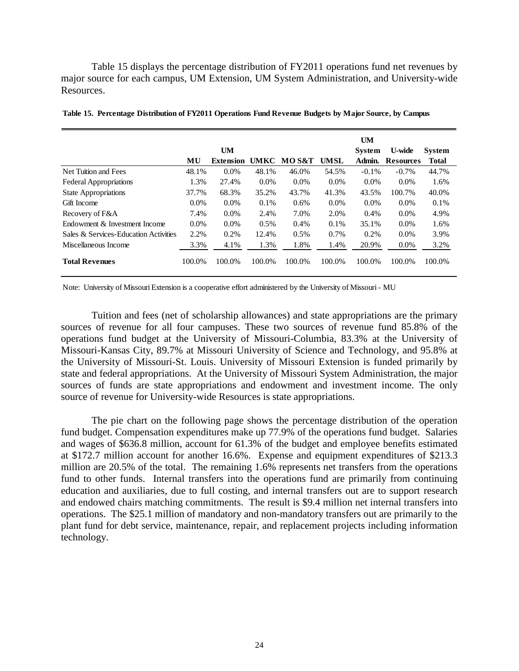Table 15 displays the percentage distribution of FY2011 operations fund net revenues by major source for each campus, UM Extension, UM System Administration, and University-wide Resources.

|                                       |         |                  |         |         |             | <b>UM</b>     |                  |               |
|---------------------------------------|---------|------------------|---------|---------|-------------|---------------|------------------|---------------|
|                                       |         | <b>UM</b>        |         |         |             | <b>System</b> | U-wide           | <b>System</b> |
|                                       | MU      | <b>Extension</b> | UMKC    | MO S&T  | <b>UMSL</b> | Admin.        | <b>Resources</b> | <b>Total</b>  |
| Net Tuition and Fees                  | 48.1%   | $0.0\%$          | 48.1%   | 46.0%   | 54.5%       | $-0.1\%$      | $-0.7\%$         | 44.7%         |
| <b>Federal Appropriations</b>         | 1.3%    | 27.4%            | $0.0\%$ | $0.0\%$ | $0.0\%$     | $0.0\%$       | $0.0\%$          | 1.6%          |
| <b>State Appropriations</b>           | 37.7%   | 68.3%            | 35.2%   | 43.7%   | 41.3%       | 43.5%         | 100.7%           | 40.0%         |
| Gift Income                           | $0.0\%$ | $0.0\%$          | 0.1%    | 0.6%    | $0.0\%$     | $0.0\%$       | $0.0\%$          | 0.1%          |
| Recovery of F&A                       | 7.4%    | $0.0\%$          | 2.4%    | 7.0%    | 2.0%        | 0.4%          | $0.0\%$          | 4.9%          |
| Endowment & Investment Income         | $0.0\%$ | $0.0\%$          | 0.5%    | 0.4%    | 0.1%        | 35.1%         | 0.0%             | 1.6%          |
| Sales & Services-Education Activities | 2.2%    | 0.2%             | 12.4%   | 0.5%    | 0.7%        | 0.2%          | $0.0\%$          | 3.9%          |
| Miscellaneous Income                  | 3.3%    | 4.1%             | 1.3%    | 1.8%    | 1.4%        | 20.9%         | $0.0\%$          | 3.2%          |
| <b>Total Revenues</b>                 | 100.0%  | 100.0%           | 100.0%  | 100.0%  | 100.0%      | 100.0%        | 100.0%           | 100.0%        |

**Table 15. Percentage Distribution of FY2011 Operations Fund Revenue Budgets by Major Source, by Campus**

Note: University of Missouri Extension is a cooperative effort administered by the University of Missouri - MU

Tuition and fees (net of scholarship allowances) and state appropriations are the primary sources of revenue for all four campuses. These two sources of revenue fund 85.8% of the operations fund budget at the University of Missouri-Columbia, 83.3% at the University of Missouri-Kansas City, 89.7% at Missouri University of Science and Technology, and 95.8% at the University of Missouri-St. Louis. University of Missouri Extension is funded primarily by state and federal appropriations. At the University of Missouri System Administration, the major sources of funds are state appropriations and endowment and investment income. The only source of revenue for University-wide Resources is state appropriations.

The pie chart on the following page shows the percentage distribution of the operation fund budget. Compensation expenditures make up 77.9% of the operations fund budget. Salaries and wages of \$636.8 million, account for 61.3% of the budget and employee benefits estimated at \$172.7 million account for another 16.6%. Expense and equipment expenditures of \$213.3 million are 20.5% of the total. The remaining 1.6% represents net transfers from the operations fund to other funds. Internal transfers into the operations fund are primarily from continuing education and auxiliaries, due to full costing, and internal transfers out are to support research and endowed chairs matching commitments. The result is \$9.4 million net internal transfers into operations. The \$25.1 million of mandatory and non-mandatory transfers out are primarily to the plant fund for debt service, maintenance, repair, and replacement projects including information technology.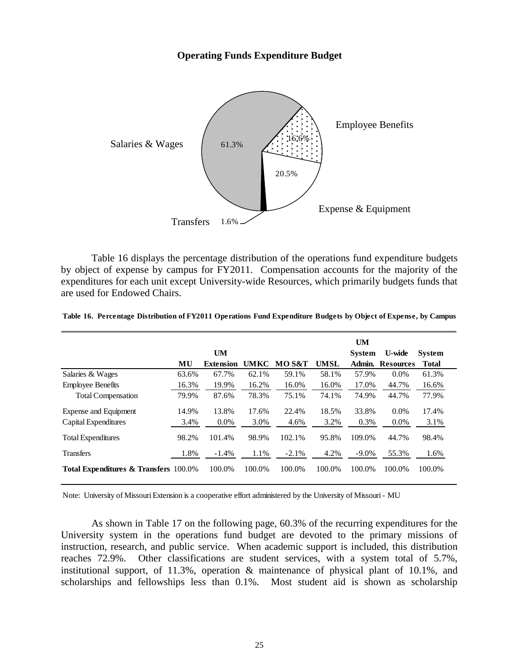#### **Operating Funds Expenditure Budget**



Table 16 displays the percentage distribution of the operations fund expenditure budgets by object of expense by campus for FY2011. Compensation accounts for the majority of the expenditures for each unit except University-wide Resources, which primarily budgets funds that are used for Endowed Chairs.

|                                                  |       |           |        |         |        | <b>UM</b>     |                         |               |
|--------------------------------------------------|-------|-----------|--------|---------|--------|---------------|-------------------------|---------------|
|                                                  |       | <b>UM</b> |        |         |        | <b>System</b> | <b>U-wide</b>           | <b>System</b> |
|                                                  | MU    | Extension | UMKC   | MO S&T  | UMSL   |               | <b>Admin. Resources</b> | Total         |
| Salaries & Wages                                 | 63.6% | 67.7%     | 62.1%  | 59.1%   | 58.1%  | 57.9%         | $0.0\%$                 | 61.3%         |
| <b>Employee Benefits</b>                         | 16.3% | 19.9%     | 16.2%  | 16.0%   | 16.0%  | 17.0%         | 44.7%                   | 16.6%         |
| <b>Total Compensation</b>                        | 79.9% | 87.6%     | 78.3%  | 75.1%   | 74.1%  | 74.9%         | 44.7%                   | 77.9%         |
| Expense and Equipment                            | 14.9% | 13.8%     | 17.6%  | 22.4%   | 18.5%  | 33.8%         | $0.0\%$                 | 17.4%         |
| Capital Expenditures                             | 3.4%  | $0.0\%$   | 3.0%   | 4.6%    | 3.2%   | 0.3%          | $0.0\%$                 | 3.1%          |
| <b>Total Expenditures</b>                        | 98.2% | 101.4%    | 98.9%  | 102.1%  | 95.8%  | 109.0%        | 44.7%                   | 98.4%         |
| <b>Transfers</b>                                 | 1.8%  | $-1.4%$   | 1.1%   | $-2.1%$ | 4.2%   | $-9.0\%$      | 55.3%                   | 1.6%          |
| <b>Total Expenditures &amp; Transfers 100.0%</b> |       | 100.0%    | 100.0% | 100.0%  | 100.0% | 100.0%        | 100.0%                  | 100.0%        |

**Table 16. Percentage Distribution of FY2011 Operations Fund Expenditure Budgets by Object of Expense, by Campus**

Note: University of Missouri Extension is a cooperative effort administered by the University of Missouri - MU

As shown in Table 17 on the following page, 60.3% of the recurring expenditures for the University system in the operations fund budget are devoted to the primary missions of instruction, research, and public service. When academic support is included, this distribution reaches 72.9%. Other classifications are student services, with a system total of 5.7%, institutional support, of 11.3%, operation & maintenance of physical plant of 10.1%, and scholarships and fellowships less than 0.1%. Most student aid is shown as scholarship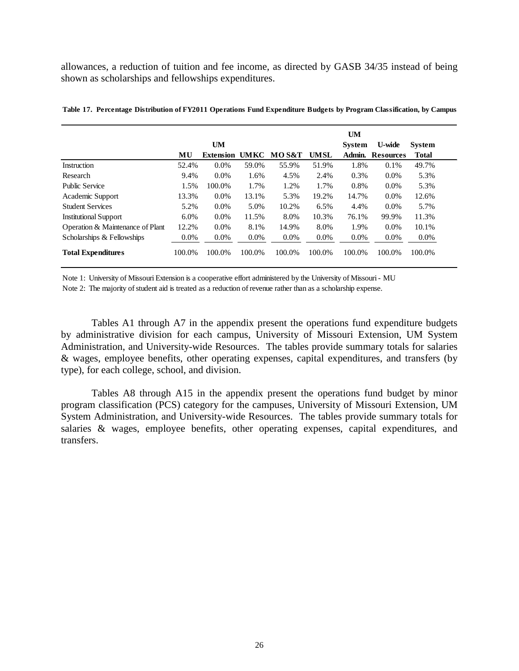allowances, a reduction of tuition and fee income, as directed by GASB 34/35 instead of being shown as scholarships and fellowships expenditures.

|                                  |         |                  |             |                  |             | <b>UM</b>     |                  |               |
|----------------------------------|---------|------------------|-------------|------------------|-------------|---------------|------------------|---------------|
|                                  |         | <b>UM</b>        |             |                  |             | <b>System</b> | <b>U-wide</b>    | <b>System</b> |
|                                  | MU      | <b>Extension</b> | <b>UMKC</b> | <b>MOS&amp;T</b> | <b>UMSL</b> | Admin.        | <b>Resources</b> | Total         |
| <b>Instruction</b>               | 52.4%   | $0.0\%$          | 59.0%       | 55.9%            | 51.9%       | 1.8%          | 0.1%             | 49.7%         |
| Research                         | 9.4%    | $0.0\%$          | 1.6%        | 4.5%             | 2.4%        | 0.3%          | $0.0\%$          | 5.3%          |
| <b>Public Service</b>            | 1.5%    | 100.0%           | 1.7%        | 1.2%             | 1.7%        | 0.8%          | $0.0\%$          | 5.3%          |
| Academic Support                 | 13.3%   | $0.0\%$          | 13.1%       | 5.3%             | 19.2%       | 14.7%         | $0.0\%$          | 12.6%         |
| <b>Student Services</b>          | 5.2%    | $0.0\%$          | 5.0%        | 10.2%            | 6.5%        | 4.4%          | $0.0\%$          | 5.7%          |
| <b>Institutional Support</b>     | $6.0\%$ | $0.0\%$          | 11.5%       | 8.0%             | 10.3%       | 76.1%         | 99.9%            | 11.3%         |
| Operation & Maintenance of Plant | 12.2%   | $0.0\%$          | 8.1%        | 14.9%            | 8.0%        | 1.9%          | $0.0\%$          | 10.1%         |
| Scholarships & Fellowships       | 0.0%    | $0.0\%$          | $0.0\%$     | $0.0\%$          | $0.0\%$     | $0.0\%$       | $0.0\%$          | $0.0\%$       |
| <b>Total Expenditures</b>        | 100.0%  | 100.0%           | 100.0%      | 100.0%           | 100.0%      | 100.0%        | 100.0%           | 100.0%        |

**Table 17. Percentage Distribution of FY2011 Operations Fund Expenditure Budgets by Program Classification, by Campus**

Note 1: University of Missouri Extension is a cooperative effort administered by the University of Missouri - MU Note 2: The majority of student aid is treated as a reduction of revenue rather than as a scholarship expense.

Tables A1 through A7 in the appendix present the operations fund expenditure budgets by administrative division for each campus, University of Missouri Extension, UM System Administration, and University-wide Resources. The tables provide summary totals for salaries & wages, employee benefits, other operating expenses, capital expenditures, and transfers (by type), for each college, school, and division.

Tables A8 through A15 in the appendix present the operations fund budget by minor program classification (PCS) category for the campuses, University of Missouri Extension, UM System Administration, and University-wide Resources. The tables provide summary totals for salaries & wages, employee benefits, other operating expenses, capital expenditures, and transfers.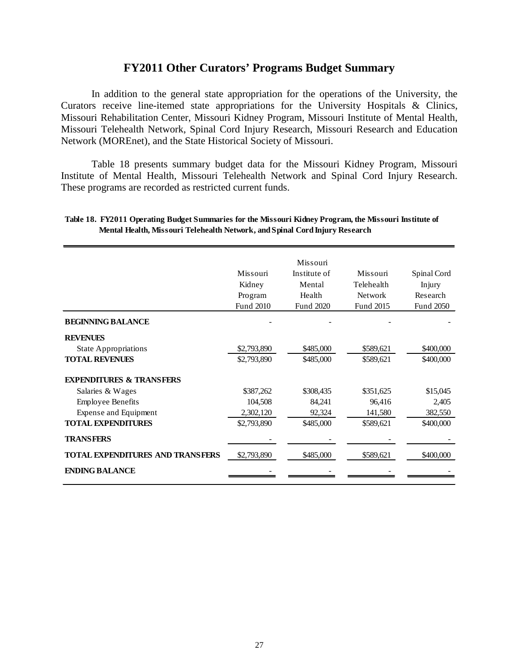## **FY2011 Other Curators' Programs Budget Summary**

In addition to the general state appropriation for the operations of the University, the Curators receive line-itemed state appropriations for the University Hospitals & Clinics, Missouri Rehabilitation Center, Missouri Kidney Program, Missouri Institute of Mental Health, Missouri Telehealth Network, Spinal Cord Injury Research, Missouri Research and Education Network (MOREnet), and the State Historical Society of Missouri.

Table 18 presents summary budget data for the Missouri Kidney Program, Missouri Institute of Mental Health, Missouri Telehealth Network and Spinal Cord Injury Research. These programs are recorded as restricted current funds.

|                                         |             | Missouri     |                |             |
|-----------------------------------------|-------------|--------------|----------------|-------------|
|                                         | Missouri    | Institute of | Missouri       | Spinal Cord |
|                                         | Kidney      | Mental       | Telehealth     | Injury      |
|                                         | Program     | Health       | <b>Network</b> | Research    |
|                                         | Fund 2010   | Fund 2020    | Fund 2015      | Fund 2050   |
| <b>BEGINNING BALANCE</b>                |             |              |                |             |
| <b>REVENUES</b>                         |             |              |                |             |
| <b>State Appropriations</b>             | \$2,793,890 | \$485,000    | \$589,621      | \$400,000   |
| <b>TOTAL REVENUES</b>                   | \$2,793,890 | \$485,000    | \$589,621      | \$400,000   |
| <b>EXPENDITURES &amp; TRANSFERS</b>     |             |              |                |             |
| Salaries & Wages                        | \$387,262   | \$308,435    | \$351,625      | \$15,045    |
| <b>Employee Benefits</b>                | 104,508     | 84,241       | 96,416         | 2,405       |
| Expense and Equipment                   | 2,302,120   | 92,324       | 141,580        | 382,550     |
| <b>TOTAL EXPENDITURES</b>               | \$2,793,890 | \$485,000    | \$589,621      | \$400,000   |
| <b>TRANSFERS</b>                        |             |              |                |             |
| <b>TOTAL EXPENDITURES AND TRANSFERS</b> | \$2,793,890 | \$485,000    | \$589,621      | \$400,000   |
| <b>ENDING BALANCE</b>                   |             |              |                |             |

#### **Table 18. FY2011 Operating Budget Summaries for the Missouri Kidney Program, the Missouri Institute of Mental Health, Missouri Telehealth Network, and Spinal Cord Injury Research**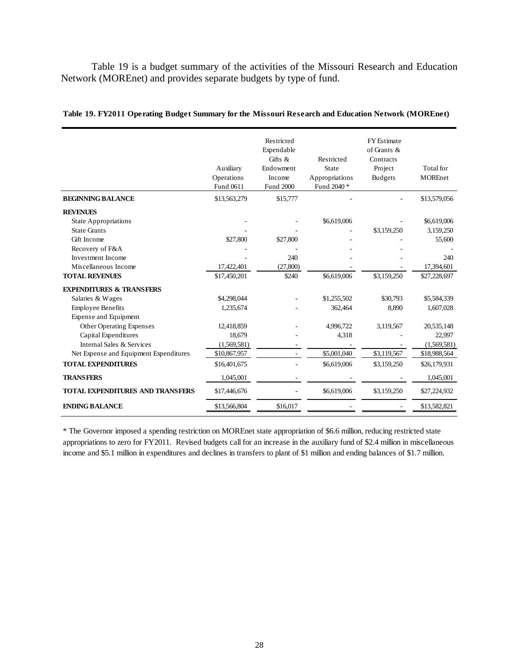Table 19 is a budget summary of the activities of the Missouri Research and Education Network (MOREnet) and provides separate budgets by type of fund.

|                                         | Auxiliary<br>Operations<br>Fund 0611 | Restricted<br>Expendable<br>$Giffs$ &<br>Endowment<br>Income<br>Fund 2000 | Restricted<br>State<br>Appropriations<br>Fund 2040 * | <b>FY</b> Estimate<br>of Grants &<br>Contracts<br>Project<br><b>Budgets</b> | Total for<br><b>MOREnet</b> |
|-----------------------------------------|--------------------------------------|---------------------------------------------------------------------------|------------------------------------------------------|-----------------------------------------------------------------------------|-----------------------------|
| <b>BEGINNING BALANCE</b>                | \$13,563,279                         | \$15,777                                                                  |                                                      |                                                                             | \$13,579,056                |
| <b>REVENUES</b>                         |                                      |                                                                           |                                                      |                                                                             |                             |
| <b>State Appropriations</b>             |                                      |                                                                           | \$6,619,006                                          |                                                                             | \$6,619,006                 |
| <b>State Grants</b>                     |                                      |                                                                           |                                                      | \$3,159,250                                                                 | 3,159,250                   |
| Gift Income                             | \$27,800                             | \$27,800                                                                  |                                                      |                                                                             | 55,600                      |
| Recovery of F&A                         |                                      |                                                                           |                                                      |                                                                             |                             |
| Investment Income                       |                                      | 240                                                                       |                                                      |                                                                             | 240                         |
| Miscellaneous Income                    | 17,422,401                           | (27,800)                                                                  |                                                      |                                                                             | 17,394,601                  |
| <b>TOTAL REVENUES</b>                   | \$17,450,201                         | \$240                                                                     | \$6,619,006                                          | \$3,159,250                                                                 | \$27,228,697                |
| <b>EXPENDITURES &amp; TRANSFERS</b>     |                                      |                                                                           |                                                      |                                                                             |                             |
| Salaries & Wages                        | \$4,298,044                          |                                                                           | \$1,255,502                                          | \$30,793                                                                    | \$5,584,339                 |
| <b>Employee Benefits</b>                | 1,235,674                            |                                                                           | 362,464                                              | 8,890                                                                       | 1,607,028                   |
| Expense and Equipment                   |                                      |                                                                           |                                                      |                                                                             |                             |
| Other Operating Expenses                | 12,418,859                           |                                                                           | 4,996,722                                            | 3,119,567                                                                   | 20,535,148                  |
| Capital Expenditures                    | 18.679                               |                                                                           | 4,318                                                |                                                                             | 22.997                      |
| Internal Sales & Services               | (1,569,581)                          |                                                                           |                                                      |                                                                             | (1,569,581)                 |
| Net Expense and Equipment Expenditures  | \$10,867,957                         |                                                                           | \$5,001,040                                          | \$3,119,567                                                                 | \$18,988,564                |
| <b>TOTAL EXPENDITURES</b>               | \$16,401,675                         |                                                                           | \$6,619,006                                          | \$3,159,250                                                                 | \$26,179,931                |
| <b>TRANSFERS</b>                        | 1,045,001                            |                                                                           |                                                      |                                                                             | 1,045,001                   |
| <b>TOTAL EXPENDITURES AND TRANSFERS</b> | \$17,446,676                         |                                                                           | \$6,619,006                                          | \$3,159,250                                                                 | \$27,224,932                |
| <b>ENDING BALANCE</b>                   | \$13,566,804                         | \$16.017                                                                  |                                                      |                                                                             | \$13,582,821                |

**Table 19. FY2011 Operating Budget Summary for the Missouri Research and Education Network (MOREnet)**

\* The Governor imposed a spending restriction on MOREnet state appropriation of \$6.6 million, reducing restricted state appropriations to zero for FY2011. Revised budgets call for an increase in the auxiliary fund of \$2.4 million in miscellaneous income and \$5.1 million in expenditures and declines in transfers to plant of \$1 million and ending balances of \$1.7 million.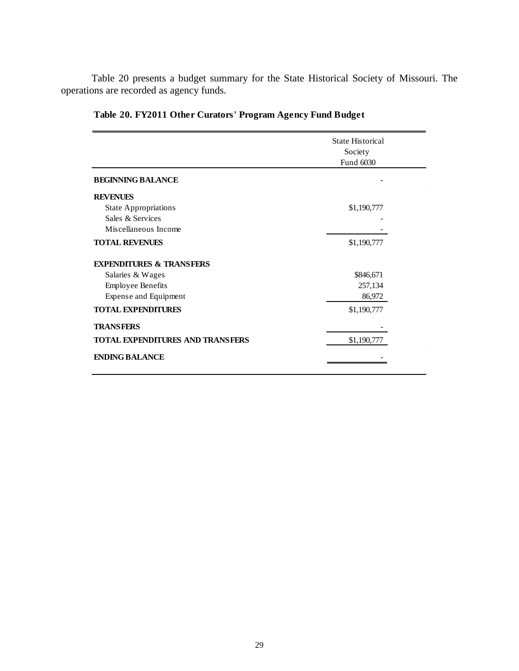Table 20 presents a budget summary for the State Historical Society of Missouri. The operations are recorded as agency funds.

|                                         | <b>State Historical</b><br>Society |  |
|-----------------------------------------|------------------------------------|--|
|                                         | Fund 6030                          |  |
| <b>BEGINNING BALANCE</b>                |                                    |  |
| <b>REVENUES</b>                         |                                    |  |
| <b>State Appropriations</b>             | \$1,190,777                        |  |
| Sales & Services                        |                                    |  |
| Miscellaneous Income                    |                                    |  |
| <b>TOTAL REVENUES</b>                   | \$1,190,777                        |  |
| <b>EXPENDITURES &amp; TRANSFERS</b>     |                                    |  |
| Salaries & Wages                        | \$846,671                          |  |
| <b>Employee Benefits</b>                | 257,134                            |  |
| Expense and Equipment                   | 86,972                             |  |
| <b>TOTAL EXPENDITURES</b>               | \$1,190,777                        |  |
| <b>TRANSFERS</b>                        |                                    |  |
| <b>TOTAL EXPENDITURES AND TRANSFERS</b> | \$1,190,777                        |  |
| <b>ENDING BALANCE</b>                   |                                    |  |

## **Table 20. FY2011 Other Curators' Program Agency Fund Budget**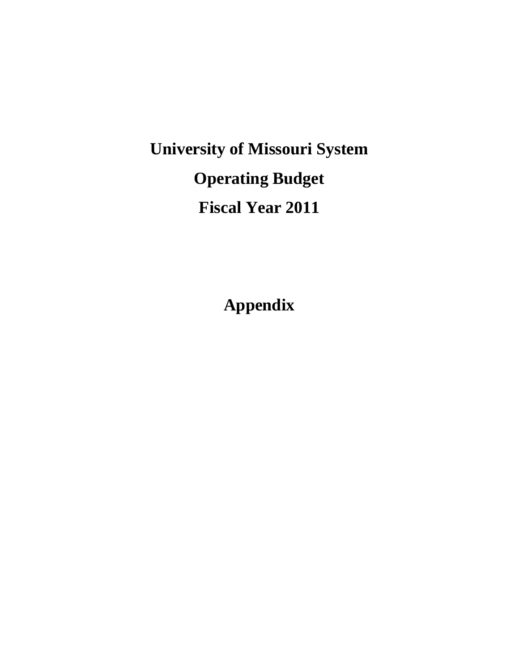## **University of Missouri System Operating Budget Fiscal Year 2011**

**Appendix**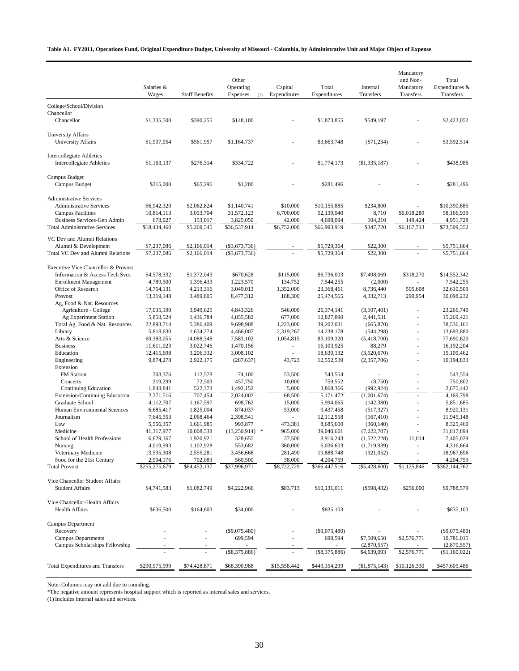#### **Table A1. FY2011, Operations Fund, Original Expenditure Budget, University of Missouri - Columbia, by Administrative Unit and Major Object of Expense**

|                                                                      | Salaries &<br>Wages        | <b>Staff Benefits</b>      | Other<br>Operating<br>Expenses<br>(1) | Capital<br>Expenditures | Total<br>Expenditures      | Internal<br>Transfers      | Mandatory<br>and Non-<br>Mandatory<br>Transfers | Total<br>Expenditures &<br>Transfers |
|----------------------------------------------------------------------|----------------------------|----------------------------|---------------------------------------|-------------------------|----------------------------|----------------------------|-------------------------------------------------|--------------------------------------|
| College/School/Division                                              |                            |                            |                                       |                         |                            |                            |                                                 |                                      |
| Chancellor                                                           |                            |                            |                                       |                         |                            |                            |                                                 |                                      |
| Chancellor                                                           | \$1,335,500                | \$390,255                  | \$148,100                             |                         | \$1,873,855                | \$549,197                  |                                                 | \$2,423,052                          |
| University Affairs<br>University Affairs                             | \$1,937,054                | \$561,957                  | \$1,164,737                           |                         | \$3,663,748                | $(\$71,234)$               |                                                 | \$3,592,514                          |
| <b>Intercollegiate Athletics</b><br><b>Intercollegiate Athletics</b> | \$1,163,137                | \$276,314                  | \$334,722                             |                         | \$1,774,173                | (\$1,335,187)              |                                                 | \$438,986                            |
| Campus Budget<br>Campus Budget                                       | \$215,000                  | \$65,296                   | \$1,200                               |                         | \$281,496                  |                            |                                                 | \$281.496                            |
| <b>Administrative Services</b>                                       |                            |                            |                                       |                         |                            |                            |                                                 |                                      |
| <b>Administrative Services</b>                                       | \$6,942,320                | \$2,062,824                | \$1,140,741                           | \$10,000                | \$10,155,885               | \$234,800                  |                                                 | \$10,390,685                         |
| <b>Campus Facilities</b>                                             | 10,814,113                 | 3,053,704                  | 31,572,123                            | 6,700,000               | 52,139,940                 | 8,710                      | \$6,018,289                                     | 58,166,939                           |
| Business Services-Gen Admin<br><b>Total Administrative Services</b>  | 678,027                    | 153,017                    | 3,825,050<br>\$36,537,914             | 42,000<br>\$6,752,000   | 4,698,094                  | 104,210<br>\$347,720       | 149,424<br>\$6,167,713                          | 4,951,728<br>\$73,509,352            |
|                                                                      | \$18,434,460               | \$5,269,545                |                                       |                         | \$66,993,919               |                            |                                                 |                                      |
| VC Dev and Alumni Relations                                          |                            |                            |                                       |                         |                            |                            |                                                 |                                      |
| Alumni & Development<br>Total VC Dev and Alumni Relations            | \$7,237,086<br>\$7,237,086 | \$2,166,014<br>\$2,166,014 | ( \$3,673,736)<br>( \$3,673,736)      |                         | \$5,729,364<br>\$5,729,364 | \$22,300<br>\$22,300       |                                                 | \$5,751,664<br>\$5,751,664           |
|                                                                      |                            |                            |                                       |                         |                            |                            |                                                 |                                      |
| Executive Vice Chancellor & Provost                                  |                            |                            |                                       |                         |                            |                            |                                                 |                                      |
| Information & Access Tech Svcs<br><b>Enrollment Management</b>       | \$4,578,332<br>4,789,500   | \$1,372,043<br>1,396,433   | \$670,628<br>1,223,570                | \$115,000<br>134,752    | \$6,736,003<br>7,544,255   | \$7,498,069<br>(2,000)     | \$318,270                                       | \$14,552,342<br>7,542,255            |
| Office of Research                                                   | 14,754,131                 | 4,213,316                  | 3,049,013                             | 1,352,000               | 23,368,461                 | 8,736,440                  | 505,608                                         | 32,610,509                           |
| Provost                                                              | 13,319,148                 | 3,489,805                  | 8,477,312                             | 188,300                 | 25,474,565                 | 4,332,713                  | 290,954                                         | 30,098,232                           |
| Ag, Food & Nat. Resources                                            |                            |                            |                                       |                         |                            |                            |                                                 |                                      |
| Agriculture - College                                                | 17,035,190                 | 3,949,625                  | 4,843,326                             | 546,000                 | 26,374,141                 | (3,107,401)                |                                                 | 23,266,740                           |
| Ag Experiment Station                                                | 5,858,524                  | 1,436,784                  | 4,855,582                             | 677,000                 | 12,827,890                 | 2,441,531                  | ٠                                               | 15,269,421                           |
| Total Ag, Food & Nat. Resources                                      | 22,893,714                 | 5,386,409                  | 9,698,908                             | 1,223,000               | 39,202,031                 | (665, 870)                 |                                                 | 38,536,161<br>13,693,880             |
| Library<br>Arts & Science                                            | 5,818,630<br>60,383,055    | 1,634,274<br>14,088,348    | 4,466,007<br>7,583,102                | 2,319,267<br>1,054,815  | 14,238,178<br>83,109,320   | (544, 298)<br>(5,418,700)  |                                                 | 77,690,620                           |
| <b>Business</b>                                                      | 11,611,023                 | 3,022,746                  | 1,470,156                             | ä,                      | 16,103,925                 | 88,279                     |                                                 | 16,192,204                           |
| Education                                                            | 12,415,698                 | 3,206,332                  | 3,008,102                             | ÷.                      | 18,630,132                 | (3,520,670)                |                                                 | 15,109,462                           |
| Engineering                                                          | 9,874,278                  | 2,922,175                  | (287, 637)                            | 43,723                  | 12,552,539                 | (2,357,706)                | $\sim$                                          | 10,194,833                           |
| Extension                                                            |                            |                            |                                       |                         |                            |                            |                                                 |                                      |
| <b>FM</b> Station                                                    | 303,376                    | 112,578                    | 74,100                                | 53,500                  | 543,554                    |                            |                                                 | 543,554                              |
| Concerts<br><b>Continuing Education</b>                              | 219,299<br>1,848,841       | 72,503<br>522,373          | 457,750<br>1,492,152                  | 10,000<br>5,000         | 759,552<br>3,868,366       | (8,750)<br>(992, 924)      | ٠                                               | 750,802<br>2,875,442                 |
| <b>Extension/Continuing Education</b>                                | 2,371,516                  | 707,454                    | 2,024,002                             | 68,500                  | 5,171,472                  | (1,001,674)                |                                                 | 4,169,798                            |
| Graduate School                                                      | 4,112,707                  | 1,167,597                  | 698,762                               | 15,000                  | 5,994,065                  | (142, 380)                 |                                                 | 5.851.685                            |
| Human Environmental Sciences                                         | 6,685,417                  | 1,825,004                  | 874,037                               | 53,000                  | 9,437,458                  | (517, 327)                 |                                                 | 8,920,131                            |
| Journalism                                                           | 7.645.553                  | 2,068,464                  | 2,398,541                             |                         | 12,112,558                 | (167, 410)                 |                                                 | 11,945,148                           |
| Law                                                                  | 5,556,357                  | 1,661,985                  | 993,877                               | 473,381                 | 8,685,600                  | (360, 140)                 |                                                 | 8,325,460                            |
| Medicine<br>School of Health Professions                             | 41,317,977<br>6,629,167    | 10,008,538                 | (13,250,914)<br>$\ast$<br>328,655     | 965,000<br>37,500       | 39,040,601                 | (7,222,707)<br>(1,522,228) | 11,014                                          | 31,817,894<br>7,405,029              |
| Nursing                                                              | 4,019,993                  | 1,920,921<br>1,102,928     | 553,682                               | 360,000                 | 8,916,243<br>6,036,603     | (1,719,939)                |                                                 | 4,316,664                            |
| Veterinary Medicine                                                  | 13,595,308                 | 2,555,281                  | 3,456,668                             | 281,490                 | 19,888,748                 | (921, 052)                 |                                                 | 18,967,696                           |
| Food for the 21st Century                                            | 2,904,176                  | 702,083                    | 560,500                               | 38,000                  | 4,204,759                  |                            |                                                 | 4,204,759                            |
| <b>Total Provost</b>                                                 | \$255,275,679              | \$64,452,137               | \$37,996,971                          | \$8,722,729             | \$366,447,516              | $(\$5,428,600)$            | \$1,125,846                                     | \$362,144,762                        |
| Vice Chancellor Student Affairs                                      |                            |                            |                                       |                         |                            |                            |                                                 |                                      |
| <b>Student Affairs</b>                                               | \$4,741,583                | \$1,082,749                | \$4,222,966                           | \$83,713                | \$10,131,011               | $(\$598,432)$              | \$256,000                                       | \$9,788,579                          |
|                                                                      |                            |                            |                                       |                         |                            |                            |                                                 |                                      |
| Vice Chancellor-Health Affairs<br><b>Health Affairs</b>              | \$636,500                  | \$164,603                  | \$34,000                              |                         | \$835,103                  |                            |                                                 | \$835,103                            |
| Campus Department                                                    |                            |                            |                                       |                         |                            |                            |                                                 |                                      |
| Recovery                                                             |                            |                            | $(\$9,075,480)$                       |                         | $(\$9,075,480)$            |                            |                                                 | $(\$9,075,480)$                      |
| <b>Campus Departments</b>                                            |                            |                            | 699,594                               |                         | 699,594                    | \$7,509,650                | \$2,576,771                                     | 10,786,015                           |
| Campus Scholarships Fellowship                                       |                            |                            | (\$8,375,886)                         |                         | $(\$8,375,886)$            | (2,870,557)<br>\$4,639,093 | \$2,576,771                                     | (2,870,557)<br>(\$1,160,022)         |
|                                                                      |                            |                            |                                       |                         |                            |                            |                                                 |                                      |
| <b>Total Expenditures and Transfers</b>                              | \$290,975,999              | \$74,428,871               | \$68,390,988                          | \$15,558,442            | \$449,354,299              | (\$1,875,143)              | \$10,126,330                                    | \$457,605,486                        |

Note: Columns may not add due to rounding.

\*The negative amount represents hospital support which is reported as internal sales and services.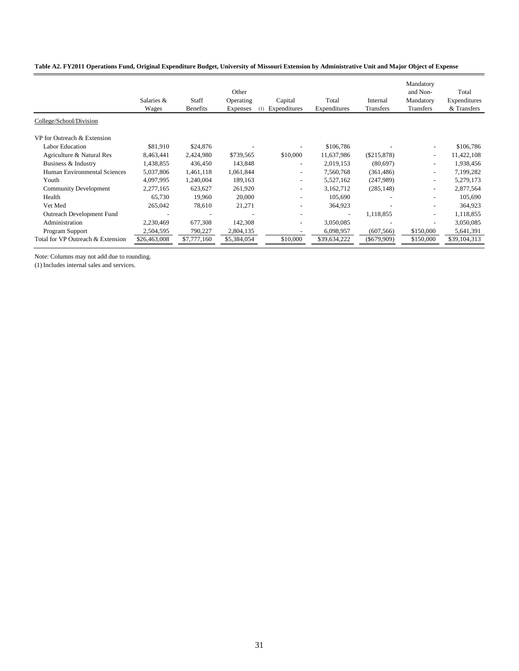#### **Table A2. FY2011 Operations Fund, Original Expenditure Budget, University of Missouri Extension by Administrative Unit and Major Object of Expense**

|                                   | Salaries &<br>Wages | Staff<br><b>Benefits</b> | Other<br>Operating<br><b>Expenses</b> | Capital<br>Expenditures<br>(1) | Total<br>Expenditures    | Internal<br>Transfers | Mandatory<br>and Non-<br>Mandatory<br>Transfers | Total<br>Expenditures<br>& Transfers |
|-----------------------------------|---------------------|--------------------------|---------------------------------------|--------------------------------|--------------------------|-----------------------|-------------------------------------------------|--------------------------------------|
| College/School/Division           |                     |                          |                                       |                                |                          |                       |                                                 |                                      |
| VP for Outreach & Extension       |                     |                          |                                       |                                |                          |                       |                                                 |                                      |
| <b>Labor Education</b>            | \$81,910            | \$24,876                 |                                       |                                | \$106,786                |                       |                                                 | \$106,786                            |
| Agriculture & Natural Res         | 8,463,441           | 2,424,980                | \$739,565                             | \$10,000                       | 11,637,986               | (\$215,878)           | $\tilde{\phantom{a}}$                           | 11,422,108                           |
| Business & Industry               | 1,438,855           | 436,450                  | 143,848                               | $\overline{\phantom{0}}$       | 2,019,153                | (80,697)              |                                                 | 1,938,456                            |
| Human Environmental Sciences      | 5,037,806           | 1,461,118                | 1,061,844                             | $\qquad \qquad \blacksquare$   | 7,560,768                | (361, 486)            | -                                               | 7,199,282                            |
| Youth                             | 4,097,995           | 1,240,004                | 189,163                               | $\qquad \qquad \blacksquare$   | 5,527,162                | (247,989)             |                                                 | 5,279,173                            |
| <b>Community Development</b>      | 2,277,165           | 623,627                  | 261,920                               | $\overline{\phantom{a}}$       | 3,162,712                | (285, 148)            | $\overline{\phantom{0}}$                        | 2,877,564                            |
| Health                            | 65,730              | 19,960                   | 20,000                                | ۰                              | 105,690                  |                       |                                                 | 105,690                              |
| Vet Med                           | 265,042             | 78,610                   | 21,271                                | $\qquad \qquad \blacksquare$   | 364,923                  |                       |                                                 | 364,923                              |
| Outreach Development Fund         |                     | $\overline{\phantom{a}}$ |                                       | ۰                              | $\overline{\phantom{a}}$ | 1,118,855             | $\overline{\phantom{0}}$                        | 1,118,855                            |
| Administration                    | 2,230,469           | 677,308                  | 142,308                               | $\qquad \qquad \blacksquare$   | 3,050,085                |                       |                                                 | 3,050,085                            |
| Program Support                   | 2,504,595           | 790,227                  | 2,804,135                             |                                | 6,098,957                | (607, 566)            | \$150,000                                       | 5,641,391                            |
| Total for VP Outreach & Extension | \$26,463,008        | \$7,777,160              | \$5,384,054                           | \$10,000                       | \$39,634,222             | $($ \$679,909)        | \$150,000                                       | \$39,104,313                         |
|                                   |                     |                          |                                       |                                |                          |                       |                                                 |                                      |

Note: Columns may not add due to rounding.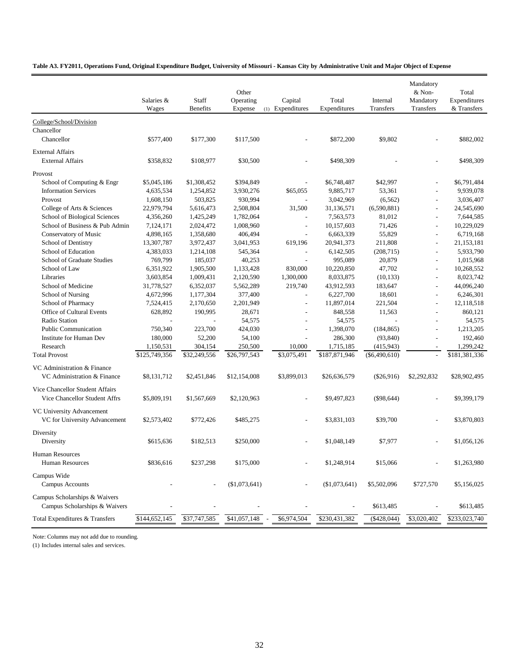#### **Table A3. FY2011, Operations Fund, Original Expenditure Budget, University of Missouri - Kansas City by Administrative Unit and Major Object of Expense**

|                                                                  | Salaries &<br>Wages | Staff<br><b>Benefits</b> | Other<br>Operating<br>Expense | Capital<br>(1) Expenditures | Total<br>Expenditures | Internal<br>Transfers | Mandatory<br>& Non-<br>Mandatory<br>Transfers | Total<br>Expenditures<br>& Transfers |
|------------------------------------------------------------------|---------------------|--------------------------|-------------------------------|-----------------------------|-----------------------|-----------------------|-----------------------------------------------|--------------------------------------|
| College/School/Division                                          |                     |                          |                               |                             |                       |                       |                                               |                                      |
| Chancellor                                                       |                     |                          |                               |                             |                       |                       |                                               |                                      |
| Chancellor                                                       | \$577,400           | \$177,300                | \$117,500                     |                             | \$872,200             | \$9,802               |                                               | \$882,002                            |
| <b>External Affairs</b><br><b>External Affairs</b>               | \$358,832           | \$108,977                | \$30,500                      |                             | \$498,309             |                       |                                               | \$498,309                            |
| Provost                                                          |                     |                          |                               |                             |                       |                       |                                               |                                      |
| School of Computing & Engr                                       | \$5,045,186         | \$1,308,452              | \$394,849                     |                             | \$6,748,487           | \$42,997              |                                               | \$6,791,484                          |
| <b>Information Services</b>                                      | 4,635,534           | 1,254,852                | 3,930,276                     | \$65,055                    | 9,885,717             | 53,361                |                                               | 9,939,078                            |
| Provost                                                          | 1,608,150           | 503,825                  | 930,994                       |                             | 3,042,969             | (6, 562)              | $\overline{\phantom{a}}$                      | 3,036,407                            |
| College of Arts & Sciences                                       | 22,979,794          | 5,616,473                | 2,508,804                     | 31,500                      | 31,136,571            | (6,590,881)           | $\overline{a}$                                | 24,545,690                           |
| School of Biological Sciences                                    | 4,356,260           | 1,425,249                | 1,782,064                     |                             | 7,563,573             | 81,012                | $\overline{\phantom{a}}$                      | 7,644,585                            |
| School of Business & Pub Admin                                   | 7,124,171           | 2,024,472                | 1,008,960                     | $\overline{a}$              | 10,157,603            | 71,426                | $\overline{a}$                                | 10,229,029                           |
| Conservatory of Music                                            | 4,898,165           | 1,358,680                | 406,494                       |                             | 6,663,339             | 55,829                | $\overline{a}$                                | 6,719,168                            |
| School of Dentistry                                              | 13,307,787          | 3,972,437                | 3,041,953                     | 619,196                     | 20,941,373            | 211,808               | $\overline{a}$                                | 21,153,181                           |
| School of Education                                              | 4,383,033           | 1,214,108                | 545,364                       |                             | 6,142,505             | (208, 715)            | $\overline{a}$                                | 5,933,790                            |
| School of Graduate Studies                                       | 769,799             | 185,037                  | 40,253                        | $\overline{a}$              | 995,089               | 20,879                | $\overline{\phantom{a}}$                      | 1,015,968                            |
| School of Law                                                    | 6,351,922           | 1,905,500                | 1,133,428                     | 830,000                     | 10,220,850            | 47,702                | $\overline{a}$                                | 10,268,552                           |
| Libraries                                                        | 3,603,854           | 1,009,431                | 2,120,590                     | 1,300,000                   | 8,033,875             | (10, 133)             | $\overline{\phantom{a}}$                      | 8,023,742                            |
| School of Medicine                                               | 31,778,527          | 6,352,037                | 5,562,289                     | 219,740                     | 43,912,593            | 183,647               | $\overline{\phantom{a}}$                      | 44,096,240                           |
| School of Nursing                                                | 4,672,996           | 1,177,304                | 377,400                       |                             | 6,227,700             | 18,601                | $\overline{a}$                                | 6,246,301                            |
| <b>School of Pharmacy</b>                                        | 7,524,415           | 2,170,650                | 2,201,949                     |                             | 11,897,014            | 221,504               | $\overline{a}$                                | 12,118,518                           |
| Office of Cultural Events                                        | 628,892             | 190,995                  | 28,671                        |                             | 848,558               | 11,563                | $\overline{a}$                                | 860,121                              |
| Radio Station                                                    |                     |                          | 54,575                        |                             | 54,575                |                       | $\overline{\phantom{a}}$                      | 54,575                               |
| <b>Public Communication</b>                                      | 750,340             | 223,700                  | 424,030                       | $\overline{a}$              | 1,398,070             | (184, 865)            | $\overline{\phantom{a}}$                      | 1,213,205                            |
| <b>Institute for Human Dev</b>                                   | 180,000             | 52,200                   | 54,100                        |                             | 286,300               | (93, 840)             | $\overline{a}$                                | 192,460                              |
| Research                                                         | 1,150,531           | 304,154                  | 250,500                       | 10,000                      | 1,715,185             | (415, 943)            | $\overline{\phantom{a}}$                      | 1,299,242                            |
| <b>Total Provost</b>                                             | \$125,749,356       | \$32,249,556             | \$26,797,543                  | \$3,075,491                 | \$187,871,946         | $(\$6,490,610)$       | $\overline{a}$                                | \$181,381,336                        |
|                                                                  |                     |                          |                               |                             |                       |                       |                                               |                                      |
| VC Administration & Finance<br>VC Administration & Finance       | \$8,131,712         | \$2,451,846              | \$12,154,008                  | \$3,899,013                 | \$26,636,579          | $(\$26,916)$          | \$2,292,832                                   | \$28,902,495                         |
|                                                                  |                     |                          |                               |                             |                       |                       |                                               |                                      |
| Vice Chancellor Student Affairs<br>Vice Chancellor Student Affrs | \$5,809,191         | \$1,567,669              | \$2,120,963                   |                             | \$9,497,823           | $(\$98,644)$          |                                               | \$9,399,179                          |
| VC University Advancement<br>VC for University Advancement       | \$2,573,402         | \$772,426                | \$485,275                     |                             | \$3,831,103           | \$39,700              |                                               | \$3,870,803                          |
| Diversity<br>Diversity                                           | \$615,636           | \$182,513                | \$250,000                     |                             | \$1,048,149           | \$7,977               |                                               | \$1,056,126                          |
| <b>Human Resources</b><br>Human Resources                        | \$836,616           | \$237,298                | \$175,000                     |                             | \$1,248,914           | \$15,066              |                                               | \$1,263,980                          |
| Campus Wide<br><b>Campus Accounts</b>                            |                     |                          | (\$1,073,641)                 |                             | $(\$1,073,641)$       | \$5,502,096           | \$727,570                                     | \$5,156,025                          |
| Campus Scholarships & Waivers<br>Campus Scholarships & Waivers   |                     |                          |                               |                             |                       | \$613,485             |                                               | \$613,485                            |
| Total Expenditures & Transfers                                   | \$144,652,145       | \$37,747,585             | \$41,057,148                  | \$6,974,504                 | \$230,431,382         | $(*428,044)$          | \$3,020,402                                   | \$233,023,740                        |

Note: Columns may not add due to rounding.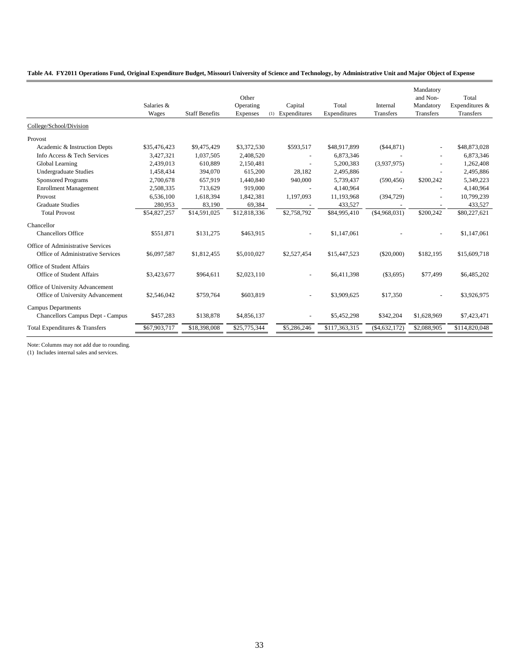|  | Table A4. FY2011 Operations Fund, Original Expenditure Budget, Missouri University of Science and Technology, by Administrative Unit and Major Object of Expense |  |  |  |  |  |  |
|--|------------------------------------------------------------------------------------------------------------------------------------------------------------------|--|--|--|--|--|--|
|--|------------------------------------------------------------------------------------------------------------------------------------------------------------------|--|--|--|--|--|--|

|                                                                        | Salaries &<br>Wages | <b>Staff Benefits</b> | Other<br>Operating<br>Expenses | Capital<br>(1) Expenditures | Total<br>Expenditures | Internal<br>Transfers | Mandatory<br>and Non-<br>Mandatory<br>Transfers | Total<br>Expenditures &<br><b>Transfers</b> |
|------------------------------------------------------------------------|---------------------|-----------------------|--------------------------------|-----------------------------|-----------------------|-----------------------|-------------------------------------------------|---------------------------------------------|
| College/School/Division                                                |                     |                       |                                |                             |                       |                       |                                                 |                                             |
| Provost                                                                |                     |                       |                                |                             |                       |                       |                                                 |                                             |
| Academic & Instruction Depts                                           | \$35,476,423        | \$9,475,429           | \$3,372,530                    | \$593,517                   | \$48,917,899          | (\$44,871)            |                                                 | \$48,873,028                                |
| Info Access & Tech Services                                            | 3,427,321           | 1,037,505             | 2,408,520                      |                             | 6,873,346             |                       |                                                 | 6,873,346                                   |
| Global Learning                                                        | 2,439,013           | 610,889               | 2,150,481                      |                             | 5,200,383             | (3,937,975)           |                                                 | 1,262,408                                   |
| <b>Undergraduate Studies</b>                                           | 1,458,434           | 394,070               | 615,200                        | 28,182                      | 2,495,886             |                       |                                                 | 2,495,886                                   |
| <b>Sponsored Programs</b>                                              | 2,700,678           | 657,919               | 1,440,840                      | 940,000                     | 5,739,437             | (590, 456)            | \$200,242                                       | 5,349,223                                   |
| <b>Enrollment Management</b>                                           | 2,508,335           | 713,629               | 919,000                        |                             | 4,140,964             |                       |                                                 | 4,140,964                                   |
| Provost                                                                | 6,536,100           | 1,618,394             | 1,842,381                      | 1,197,093                   | 11,193,968            | (394, 729)            | L,                                              | 10,799,239                                  |
| <b>Graduate Studies</b>                                                | 280,953             | 83,190                | 69,384                         |                             | 433,527               |                       |                                                 | 433,527                                     |
| <b>Total Provost</b>                                                   | \$54,827,257        | \$14,591,025          | \$12,818,336                   | \$2,758,792                 | \$84,995,410          | (\$4,968,031)         | \$200,242                                       | \$80,227,621                                |
| Chancellor                                                             |                     |                       |                                |                             |                       |                       |                                                 |                                             |
| Chancellors Office                                                     | \$551,871           | \$131,275             | \$463,915                      |                             | \$1,147,061           |                       |                                                 | \$1,147,061                                 |
| Office of Administrative Services<br>Office of Administrative Services | \$6,097,587         | \$1,812,455           | \$5,010,027                    | \$2,527,454                 | \$15,447,523          | (\$20,000)            | \$182,195                                       | \$15,609,718                                |
|                                                                        |                     |                       |                                |                             |                       |                       |                                                 |                                             |
| Office of Student Affairs<br>Office of Student Affairs                 | \$3,423,677         | \$964,611             | \$2,023,110                    |                             | \$6,411,398           | $(\$3,695)$           | \$77,499                                        | \$6,485,202                                 |
| Office of University Advancement<br>Office of University Advancement   | \$2,546,042         | \$759.764             | \$603,819                      |                             | \$3,909,625           | \$17,350              |                                                 | \$3,926,975                                 |
| <b>Campus Departments</b><br>Chancellors Campus Dept - Campus          | \$457,283           | \$138,878             | \$4,856,137                    |                             | \$5,452,298           | \$342,204             | \$1,628,969                                     | \$7,423,471                                 |
| Total Expenditures & Transfers                                         | \$67,903,717        | \$18,398,008          | \$25,775,344                   | \$5,286,246                 | \$117,363,315         | ( \$4,632,172)        | \$2,088,905                                     | \$114,820,048                               |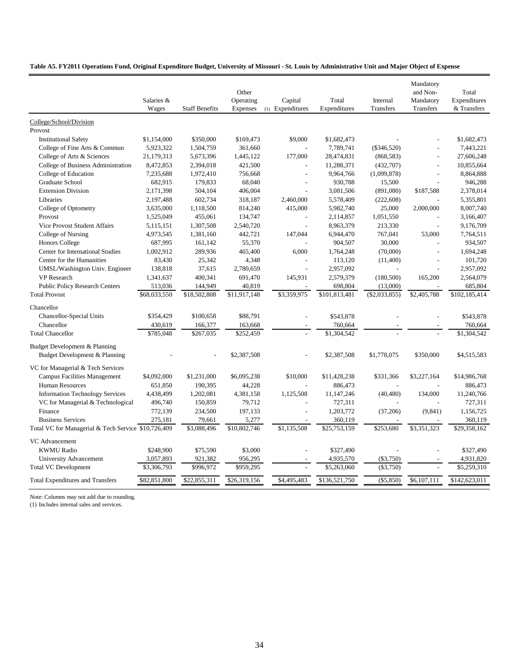#### **Table A5. FY2011 Operations Fund, Original Expenditure Budget, University of Missouri - St. Louis by Administrative Unit and Major Object of Expense**

|                                                                | Salaries &<br>Wages | <b>Staff Benefits</b> | Other<br>Operating<br><b>Expenses</b> | Capital<br>(1) Expenditures | Total<br>Expenditures | Internal<br><b>Transfers</b> | Mandatory<br>and Non-<br>Mandatory<br>Transfers | Total<br>Expenditures<br>& Transfers |
|----------------------------------------------------------------|---------------------|-----------------------|---------------------------------------|-----------------------------|-----------------------|------------------------------|-------------------------------------------------|--------------------------------------|
| College/School/Division                                        |                     |                       |                                       |                             |                       |                              |                                                 |                                      |
| Provost                                                        |                     |                       |                                       |                             |                       |                              |                                                 |                                      |
| <b>Institutional Safety</b>                                    | \$1,154,000         | \$350,000             | \$169,473                             | \$9,000                     | \$1,682,473           |                              |                                                 | \$1,682,473                          |
| College of Fine Arts & Commun                                  | 5,923,322           | 1,504,759             | 361,660                               |                             | 7,789,741             | $(\$346,520)$                |                                                 | 7,443,221                            |
| College of Arts & Sciences                                     | 21,179,313          | 5,673,396             | 1,445,122                             | 177,000                     | 28,474,831            | (868, 583)                   | $\overline{a}$                                  | 27,606,248                           |
| College of Business Administration                             | 8,472,853           | 2,394,018             | 421,500                               |                             | 11,288,371            | (432,707)                    | $\overline{a}$                                  | 10,855,664                           |
| College of Education                                           | 7,235,688           | 1,972,410             | 756,668                               |                             | 9,964,766             | (1,099,878)                  | $\overline{a}$                                  | 8,864,888                            |
| Graduate School                                                | 682,915             | 179,833               | 68,040                                | ÷                           | 930,788               | 15,500                       |                                                 | 946,288                              |
| <b>Extension Division</b>                                      | 2,171,398           | 504,104               | 406,004                               |                             | 3,081,506             | (891,080)                    | \$187,588                                       | 2,378,014                            |
| Libraries                                                      | 2,197,488           | 602,734               | 318,187                               | 2,460,000                   | 5,578,409             | (222, 608)                   |                                                 | 5,355,801                            |
| College of Optometry                                           | 3,635,000           | 1,118,500             | 814,240                               | 415,000                     | 5,982,740             | 25,000                       | 2,000,000                                       | 8,007,740                            |
| Provost                                                        | 1,525,049           | 455,061               | 134,747                               |                             | 2,114,857             | 1,051,550                    |                                                 | 3,166,407                            |
| Vice Provost Student Affairs                                   | 5,115,151           | 1,307,508             | 2,540,720                             |                             | 8,963,379             | 213,330                      | L,                                              | 9,176,709                            |
| College of Nursing                                             | 4,973,545           | 1,381,160             | 442,721                               | 147,044                     | 6,944,470             | 767,041                      | 53,000                                          | 7,764,511                            |
| <b>Honors College</b>                                          | 687,995             | 161,142               | 55,370                                |                             | 904,507               | 30,000                       | $\overline{a}$                                  | 934,507                              |
| Center for International Studies                               | 1,002,912           | 289,936               | 465,400                               | 6,000                       | 1,764,248             | (70,000)                     | $\overline{a}$                                  | 1,694,248                            |
| Center for the Humanities                                      | 83,430              | 25,342                | 4,348                                 |                             | 113,120               | (11,400)                     | $\overline{a}$                                  | 101,720                              |
| UMSL/Washington Univ. Engineer                                 | 138,818             | 37,615                | 2,780,659                             |                             | 2,957,092             |                              |                                                 | 2,957,092                            |
| VP Research                                                    | 1,341,637           | 400,341               | 691,470                               | 145,931                     | 2,579,379             | (180, 500)                   | 165,200                                         | 2,564,079                            |
| <b>Public Policy Research Centers</b>                          | 513,036             | 144,949               | 40,819                                |                             | 698,804               | (13,000)                     |                                                 | 685,804                              |
| <b>Total Provost</b>                                           | \$68,033,550        | \$18,502,808          | \$11,917,148                          | \$3,359,975                 | \$101,813,481         | $(\$2,033,855)$              | \$2,405,788                                     | \$102,185,414                        |
| Chancellor                                                     |                     |                       |                                       |                             |                       |                              |                                                 |                                      |
| Chancellor-Special Units                                       | \$354,429           | \$100,658             | \$88,791                              |                             | \$543,878             |                              |                                                 | \$543,878                            |
| Chancellor                                                     | 430,619             | 166,377               | 163,668                               |                             | 760,664               |                              |                                                 | 760,664                              |
| <b>Total Chancellor</b>                                        | \$785,048           | \$267,035             | \$252,459                             |                             | \$1,304,542           |                              |                                                 | \$1,304,542                          |
|                                                                |                     |                       |                                       |                             |                       |                              |                                                 |                                      |
| Budget Development & Planning<br>Budget Development & Planning |                     |                       | \$2,387,508                           |                             | \$2,387,508           | \$1,778,075                  | \$350,000                                       | \$4,515,583                          |
|                                                                |                     |                       |                                       |                             |                       |                              |                                                 |                                      |
| VC for Managerial & Tech Services                              |                     |                       |                                       | \$10,000                    |                       |                              | \$3,227,164                                     |                                      |
| <b>Campus Facilities Management</b>                            | \$4,092,000         | \$1,231,000           | \$6,095,238                           |                             | \$11,428,238          | \$331,366                    |                                                 | \$14,986,768                         |
| Human Resources                                                | 651,850             | 190,395               | 44,228                                |                             | 886,473               |                              |                                                 | 886,473                              |
| <b>Information Technology Services</b>                         | 4,438,499           | 1,202,081             | 4,381,158                             | 1,125,508                   | 11,147,246            | (40, 480)                    | 134,000                                         | 11,240,766                           |
| VC for Managerial & Technological<br>Finance                   | 496,740             | 150,859               | 79,712                                | $\overline{a}$              | 727,311               |                              |                                                 | 727,311                              |
|                                                                | 772,139             | 234,500               | 197,133                               |                             | 1,203,772             | (37,206)                     | (9, 841)                                        | 1,156,725                            |
| <b>Business Services</b>                                       | 275,181             | 79,661                | 5,277                                 |                             | 360,119               |                              |                                                 | 360,119                              |
| Total VC for Managerial & Tech Service \$10,726,409            |                     | \$3,088,496           | \$10,802,746                          | \$1,135,508                 | \$25,753,159          | \$253,680                    | \$3,351,323                                     | \$29,358,162                         |
| VC Advancement                                                 |                     |                       |                                       |                             |                       |                              |                                                 |                                      |
| <b>KWMU Radio</b>                                              | \$248,900           | \$75,590              | \$3,000                               |                             | \$327,490             |                              |                                                 | \$327,490                            |
| University Advancement                                         | 3,057,893           | 921,382               | 956,295                               |                             | 4,935,570             | $(\$3,750)$                  |                                                 | 4,931,820                            |
| <b>Total VC Development</b>                                    | \$3,306,793         | \$996,972             | \$959,295                             |                             | \$5,263,060           | $(\$3,750)$                  |                                                 | \$5,259,310                          |
| <b>Total Expenditures and Transfers</b>                        | \$82,851,800        | \$22,855,311          | \$26,319,156                          | \$4,495,483                 | \$136,521,750         | $(\$5,850)$                  | \$6,107,111                                     | \$142,623,011                        |

Note: Columns may not add due to rounding.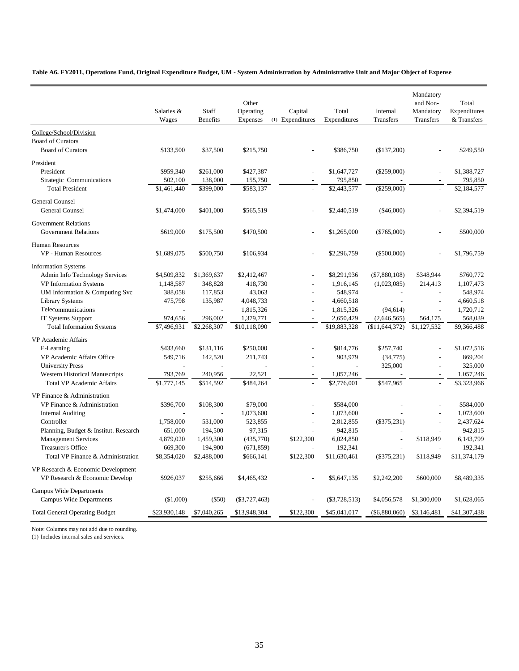**Table A6. FY2011, Operations Fund, Original Expenditure Budget, UM - System Administration by Administrative Unit and Major Object of Expense**

|                                                                      | Salaries &<br>Wages | Staff<br><b>Benefits</b> | Other<br>Operating<br>Expenses | Capital<br>(1) Expenditures | Total<br>Expenditures | Internal<br>Transfers | Mandatory<br>and Non-<br>Mandatory<br>Transfers | Total<br>Expenditures<br>& Transfers |
|----------------------------------------------------------------------|---------------------|--------------------------|--------------------------------|-----------------------------|-----------------------|-----------------------|-------------------------------------------------|--------------------------------------|
| College/School/Division                                              |                     |                          |                                |                             |                       |                       |                                                 |                                      |
| <b>Board of Curators</b><br><b>Board of Curators</b>                 | \$133,500           | \$37,500                 | \$215,750                      |                             | \$386,750             | (\$137,200)           |                                                 | \$249,550                            |
| President                                                            |                     |                          |                                |                             |                       |                       |                                                 |                                      |
| President                                                            | \$959,340           | \$261,000                | \$427,387                      | $\overline{a}$              | \$1,647,727           | $(\$259,000)$         |                                                 | \$1,388,727                          |
| Strategic Communications                                             | 502,100             | 138,000                  | 155,750                        |                             | 795,850               |                       |                                                 | 795,850                              |
| <b>Total President</b>                                               | \$1,461,440         | \$399,000                | \$583,137                      |                             | \$2,443,577           | $(\$259,000)$         |                                                 | \$2,184,577                          |
| General Counsel                                                      |                     |                          |                                |                             |                       |                       |                                                 |                                      |
| <b>General Counsel</b>                                               | \$1,474,000         | \$401,000                | \$565,519                      | $\overline{a}$              | \$2,440,519           | $(\$46,000)$          |                                                 | \$2,394,519                          |
| <b>Government Relations</b><br><b>Government Relations</b>           | \$619,000           | \$175,500                | \$470,500                      | $\overline{a}$              | \$1,265,000           | $(\$765,000)$         |                                                 | \$500,000                            |
| <b>Human Resources</b>                                               |                     |                          |                                |                             |                       |                       |                                                 |                                      |
| <b>VP</b> - Human Resources                                          | \$1,689,075         | \$500,750                | \$106,934                      | $\overline{a}$              | \$2,296,759           | $(\$500,000)$         |                                                 | \$1,796,759                          |
| <b>Information Systems</b>                                           |                     |                          |                                |                             |                       |                       |                                                 |                                      |
| Admin Info Technology Services                                       | \$4,509,832         | \$1,369,637              | \$2,412,467                    |                             | \$8,291,936           | $(\$7,880,108)$       | \$348,944                                       | \$760,772                            |
| <b>VP</b> Information Systems                                        | 1,148,587           | 348,828                  | 418,730                        |                             | 1,916,145             | (1,023,085)           | 214,413                                         | 1,107,473                            |
| UM Information & Computing Svc                                       | 388,058             | 117,853                  | 43,063                         | $\overline{a}$              | 548,974               | $\overline{a}$        | $\overline{a}$                                  | 548,974                              |
| <b>Library Systems</b>                                               | 475,798             | 135,987                  | 4,048,733                      | $\overline{a}$              | 4,660,518             |                       | $\overline{a}$                                  | 4,660,518                            |
| Telecommunications                                                   | $\overline{a}$      | $\overline{a}$           | 1,815,326                      | $\overline{a}$              | 1,815,326             | (94, 614)             | $\overline{a}$                                  | 1,720,712                            |
| IT Systems Support                                                   | 974,656             | 296,002                  | 1,379,771                      | $\overline{a}$              | 2,650,429             | (2,646,565)           | 564,175                                         | 568,039                              |
| <b>Total Information Systems</b>                                     | \$7,496,931         | \$2,268,307              | \$10,118,090                   | $\overline{a}$              | \$19,883,328          | (\$11,644,372)        | \$1,127,532                                     | \$9,366,488                          |
| VP Academic Affairs                                                  |                     |                          |                                |                             |                       |                       |                                                 |                                      |
| E-Learning                                                           | \$433,660           | \$131,116                | \$250,000                      |                             | \$814,776             | \$257,740             |                                                 | \$1,072,516                          |
| VP Academic Affairs Office                                           | 549,716             | 142,520                  | 211,743                        |                             | 903,979               | (34, 775)             | $\overline{a}$                                  | 869,204                              |
| <b>University Press</b>                                              |                     |                          |                                |                             |                       | 325,000               | $\overline{a}$                                  | 325,000                              |
| <b>Western Historical Manuscripts</b>                                | 793,769             | 240,956                  | 22,521                         | $\overline{a}$              | 1,057,246             |                       |                                                 | 1,057,246                            |
| <b>Total VP Academic Affairs</b>                                     | \$1,777,145         | \$514,592                | \$484,264                      |                             | \$2,776,001           | \$547,965             |                                                 | \$3,323,966                          |
| VP Finance & Administration                                          |                     |                          |                                |                             |                       |                       |                                                 |                                      |
| VP Finance & Administration                                          | \$396,700           | \$108,300                | \$79,000                       |                             | \$584,000             |                       |                                                 | \$584,000                            |
| <b>Internal Auditing</b>                                             |                     |                          | 1,073,600                      | $\overline{a}$              | 1,073,600             |                       | $\overline{a}$                                  | 1,073,600                            |
| Controller                                                           | 1,758,000           | 531,000                  | 523,855                        | $\overline{a}$              | 2,812,855             | $(\$375,231)$         | $\overline{a}$                                  | 2,437,624                            |
| Planning, Budget & Institut. Research                                | 651,000             | 194,500                  | 97,315                         |                             | 942,815               |                       |                                                 | 942,815                              |
| <b>Management Services</b>                                           | 4,879,020           | 1,459,300                | (435,770)                      | \$122,300                   | 6,024,850             | $\overline{a}$        | \$118,949                                       | 6,143,799                            |
| <b>Treasurer's Office</b>                                            | 669,300             | 194,900                  | (671, 859)                     |                             | 192,341               |                       |                                                 | 192,341                              |
| Total VP Finance & Administration                                    | \$8,354,020         | \$2,488,000              | \$666,141                      | \$122,300                   | \$11,630,461          | $(\$375,231)$         | \$118,949                                       | \$11,374,179                         |
| VP Research & Economic Development<br>VP Research & Economic Develop | \$926,037           | \$255,666                | \$4,465,432                    |                             | \$5,647,135           | \$2,242,200           | \$600,000                                       | \$8,489,335                          |
| Campus Wide Departments                                              |                     |                          |                                |                             |                       |                       |                                                 |                                      |
| <b>Campus Wide Departments</b>                                       | $(\$1,000)$         | $(\$50)$                 | $(\$3,727,463)$                |                             | $(\$3,728,513)$       | \$4,056,578           | \$1,300,000                                     | \$1,628,065                          |
| <b>Total General Operating Budget</b>                                | \$23,930,148        | \$7,040,265              | \$13,948,304                   | \$122,300                   | \$45,041,017          | $(\$6,880,060)$       | \$3,146,481                                     | \$41,307,438                         |

Note: Columns may not add due to rounding.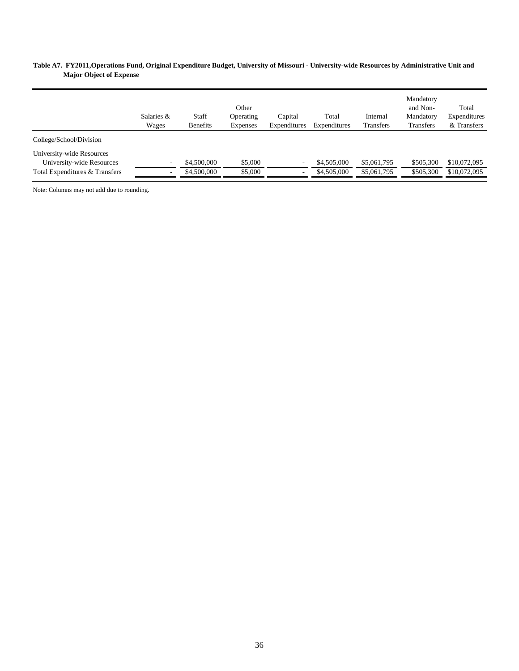#### **Table A7. FY2011,Operations Fund, Original Expenditure Budget, University of Missouri - University-wide Resources by Administrative Unit and Major Object of Expense**

|                                                                                          | Salaries &<br>Wages                | Staff<br><b>Benefits</b>   | Other<br>Operating<br><b>Expenses</b> | Capital<br>Expenditures | Total<br>Expenditures      | Internal<br>Transfers      | Mandatory<br>and Non-<br>Mandatory<br><b>Transfers</b> | Total<br>Expenditures<br>& Transfers |
|------------------------------------------------------------------------------------------|------------------------------------|----------------------------|---------------------------------------|-------------------------|----------------------------|----------------------------|--------------------------------------------------------|--------------------------------------|
| College/School/Division                                                                  |                                    |                            |                                       |                         |                            |                            |                                                        |                                      |
| University-wide Resources<br>University-wide Resources<br>Total Expenditures & Transfers | $\sim$<br>$\overline{\phantom{a}}$ | \$4,500,000<br>\$4,500,000 | \$5,000<br>\$5,000                    | $\sim$<br>$\sim$        | \$4,505,000<br>\$4,505,000 | \$5,061,795<br>\$5,061,795 | \$505,300<br>\$505,300                                 | \$10,072,095<br>\$10,072,095         |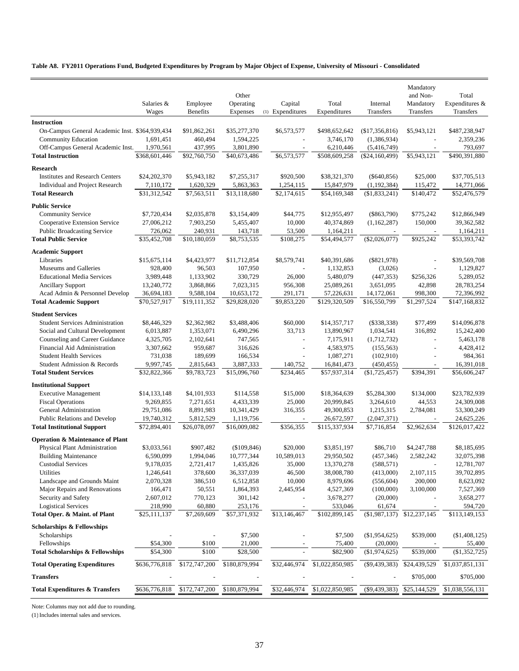**Table A8. FY2011 Operations Fund, Budgeted Expenditures by Program by Major Object of Expense, University of Missouri - Consolidated**

|                                                                           |                           |                           |                           |                          |                            |                                 | Mandatory                |                            |
|---------------------------------------------------------------------------|---------------------------|---------------------------|---------------------------|--------------------------|----------------------------|---------------------------------|--------------------------|----------------------------|
|                                                                           |                           |                           | Other                     |                          |                            |                                 | and Non-                 | Total                      |
|                                                                           | Salaries &                | Employee                  | Operating                 | Capital                  | Total                      | Internal                        | Mandatory                | Expenditures &             |
|                                                                           | Wages                     | Benefits                  | Expenses                  | (1) Expenditures         | Expenditures               | Transfers                       | Transfers                | Transfers                  |
| <b>Instruction</b>                                                        |                           |                           |                           |                          |                            |                                 |                          |                            |
| On-Campus General Academic Inst. \$364,939,434                            |                           | \$91,862,261              | \$35,277,370              | \$6,573,577              | \$498,652,642              | (\$17,356,816)                  | \$5,943,121              | \$487,238,947              |
| Community Education<br>Off-Campus General Academic Inst.                  | 1,691,451<br>1,970,561    | 460,494<br>437,995        | 1,594,225<br>3,801,890    | ÷,                       | 3,746,170<br>6,210,446     | (1,386,934)                     |                          | 2,359,236<br>793,697       |
| <b>Total Instruction</b>                                                  | \$368,601,446             | \$92,760,750              | \$40,673,486              | \$6,573,577              | \$508,609,258              | (5,416,749)<br>$(\$24,160,499)$ | \$5,943,121              | \$490,391,880              |
|                                                                           |                           |                           |                           |                          |                            |                                 |                          |                            |
| <b>Research</b>                                                           |                           |                           |                           |                          |                            |                                 |                          |                            |
| <b>Institutes and Research Centers</b><br>Individual and Project Research | \$24,202,370              | \$5,943,182<br>1,620,329  | \$7,255,317               | \$920,500                | \$38,321,370               | $(\$640,856)$                   | \$25,000                 | \$37,705,513               |
| <b>Total Research</b>                                                     | 7,110,172<br>\$31,312,542 | \$7,563,511               | 5,863,363<br>\$13,118,680 | 1,254,115<br>\$2,174,615 | 15,847,979<br>\$54,169,348 | (1,192,384)<br>(\$1,833,241)    | 115,472<br>\$140,472     | 14,771,066<br>\$52,476,579 |
|                                                                           |                           |                           |                           |                          |                            |                                 |                          |                            |
| <b>Public Service</b>                                                     |                           |                           |                           |                          |                            |                                 |                          |                            |
| <b>Community Service</b>                                                  | \$7,720,434               | \$2,035,878               | \$3,154,409               | \$44,775                 | \$12,955,497               | $(\$863,790)$                   | \$775,242                | \$12,866,949               |
| Cooperative Extension Service<br><b>Public Broadcasting Service</b>       | 27,006,212                | 7,903,250                 | 5,455,407                 | 10,000                   | 40,374,869                 | (1,162,287)                     | 150,000                  | 39,362,582                 |
| <b>Total Public Service</b>                                               | 726,062<br>\$35,452,708   | 240,931<br>\$10,180,059   | 143,718<br>\$8,753,535    | 53,500<br>\$108,275      | 1,164,211<br>\$54,494,577  | $(\$2,026,077)$                 | \$925,242                | 1,164,211<br>\$53,393,742  |
|                                                                           |                           |                           |                           |                          |                            |                                 |                          |                            |
| <b>Academic Support</b>                                                   |                           |                           |                           |                          |                            |                                 |                          |                            |
| Libraries                                                                 | \$15,675,114              | \$4,423,977               | \$11,712,854              | \$8,579,741              | \$40,391,686               | $(\$821,978)$                   |                          | \$39,569,708               |
| Museums and Galleries<br><b>Educational Media Services</b>                | 928,400<br>3,989,448      | 96,503<br>1,133,902       | 107,950<br>330,729        | 26,000                   | 1,132,853<br>5,480,079     | (3,026)<br>(447, 353)           | \$256,326                | 1,129,827<br>5,289,052     |
| <b>Ancillary Support</b>                                                  | 13,240,772                | 3,868,866                 | 7,023,315                 | 956,308                  | 25,089,261                 | 3,651,095                       | 42,898                   | 28,783,254                 |
| Acad Admin & Personnel Develop                                            | 36,694,183                | 9,588,104                 | 10,653,172                | 291,171                  | 57,226,631                 | 14,172,061                      | 998,300                  | 72,396,992                 |
| <b>Total Academic Support</b>                                             | \$70,527,917              | \$19,111,352              | \$29,828,020              | \$9,853,220              | \$129,320,509              | \$16,550,799                    | \$1,297,524              | \$147,168,832              |
| <b>Student Services</b>                                                   |                           |                           |                           |                          |                            |                                 |                          |                            |
| <b>Student Services Administration</b>                                    | \$8,446,329               | \$2,362,982               | \$3,488,406               | \$60,000                 | \$14,357,717               | $(\$338,338)$                   | \$77,499                 | \$14,096,878               |
| Social and Cultural Development                                           | 6,013,887                 | 1,353,071                 | 6,490,296                 | 33,713                   | 13,890,967                 | 1,034,541                       | 316,892                  | 15,242,400                 |
| Counseling and Career Guidance                                            | 4,325,705                 | 2,102,641                 | 747,565                   | ÷                        | 7,175,911                  | (1,712,732)                     | $\overline{a}$           | 5,463,178                  |
| Financial Aid Administration                                              | 3,307,662                 | 959,687                   | 316,626                   | $\overline{\phantom{a}}$ | 4,583,975                  | (155, 563)                      |                          | 4,428,412                  |
| <b>Student Health Services</b>                                            | 731,038                   | 189,699                   | 166,534                   | $\overline{a}$           | 1,087,271                  | (102,910)                       |                          | 984,361                    |
| Student Admission & Records                                               | 9,997,745                 | 2,815,643                 | 3,887,333                 | 140,752                  | 16,841,473                 | (450, 455)                      | $\overline{\phantom{a}}$ | 16,391,018                 |
| <b>Total Student Services</b>                                             | \$32,822,366              | \$9,783,723               | \$15,096,760              | \$234,465                | \$57,937,314               | (\$1,725,457)                   | \$394,391                | \$56,606,247               |
| <b>Institutional Support</b>                                              |                           |                           |                           |                          |                            |                                 |                          |                            |
| <b>Executive Management</b>                                               | \$14,133,148              | \$4,101,933               | \$114,558                 | \$15,000                 | \$18,364,639               | \$5,284,300                     | \$134,000                | \$23,782,939               |
| <b>Fiscal Operations</b>                                                  | 9,269,855                 | 7,271,651                 | 4,433,339                 | 25,000                   | 20,999,845                 | 3,264,610                       | 44,553                   | 24,309,008                 |
| General Administration                                                    | 29,751,086                | 8,891,983                 | 10,341,429                | 316,355                  | 49,300,853                 | 1,215,315                       | 2,784,081                | 53,300,249                 |
| Public Relations and Develop                                              | 19,740,312                | 5,812,529                 | 1,119,756                 |                          | 26,672,597                 | (2,047,371)                     |                          | 24,625,226                 |
| <b>Total Institutional Support</b>                                        | \$72,894,401              | \$26,078,097              | \$16,009,082              | \$356,355                | \$115,337,934              | \$7,716,854                     | \$2,962,634              | \$126,017,422              |
| <b>Operation &amp; Maintenance of Plant</b>                               |                           |                           |                           |                          |                            |                                 |                          |                            |
| Physical Plant Administration                                             | \$3,033,561               | \$907,482                 | (\$109,846)               | \$20,000                 | \$3,851,197                | \$86,710                        | \$4,247,788              | \$8,185,695                |
| <b>Building Maintenance</b>                                               | 6,590,099                 | 1,994,046                 | 10,777,344                | 10.589.013               | 29,950,502                 | (457, 346)                      | 2,582,242                | 32,075,398                 |
| <b>Custodial Services</b>                                                 | 9,178,035                 | 2,721,417                 | 1,435,826                 | 35,000                   | 13,370,278                 | (588, 571)                      |                          | 12,781,707                 |
| Utilities                                                                 | 1,246,641                 | 378,600                   | 36,337,039                | 46,500                   | 38,008,780                 | (413,000)                       | 2,107,115                | 39,702,895                 |
| Landscape and Grounds Maint                                               | 2,070,328                 | 386,510                   | 6,512,858                 | 10,000<br>2,445,954      | 8,979,696                  | (556, 604)                      | 200,000                  | 8,623,092                  |
| Major Repairs and Renovations<br>Security and Safety                      | 166,471<br>2,607,012      | 50,551<br>770,123         | 1,864,393<br>301,142      |                          | 4,527,369<br>3,678,277     | (100,000)<br>(20,000)           | 3,100,000                | 7,527,369<br>3,658,277     |
| <b>Logistical Services</b>                                                | 218,990                   | 60,880                    | 253,176                   |                          | 533,046                    | 61,674                          |                          | 594,720                    |
| Total Oper. & Maint. of Plant                                             | \$25,111,137              | \$7,269,609               | \$57,371,932              | \$13,146,467             | \$102,899,145              | (\$1,987,137)                   | \$12,237,145             | \$113,149,153              |
| <b>Scholarships &amp; Fellowships</b>                                     |                           |                           |                           |                          |                            |                                 |                          |                            |
| Scholarships                                                              |                           |                           | \$7,500                   |                          | \$7,500                    | (\$1,954,625)                   | \$539,000                | (\$1,408,125)              |
| Fellowships                                                               | \$54,300                  | \$100                     | 21,000                    |                          | 75,400                     | (20,000)                        |                          | 55,400                     |
| <b>Total Scholarships &amp; Fellowships</b>                               | \$54,300                  | \$100                     | \$28,500                  |                          | \$82,900                   | (\$1,974,625)                   | \$539,000                | (\$1,352,725)              |
| <b>Total Operating Expenditures</b>                                       | \$636,776,818             | $\overline{$172,747,200}$ | \$180,879,994             | \$32,446,974             | \$1,022,850,985            | $(\$9,439,383)$                 | \$24,439,529             | \$1,037,851,131            |
| <b>Transfers</b>                                                          |                           |                           |                           |                          |                            |                                 | \$705,000                | \$705,000                  |
| <b>Total Expenditures &amp; Transfers</b>                                 | \$636,776,818             | \$172,747,200             | \$180,879,994             | \$32,446,974             | \$1,022,850,985            | $(\$9,439,383)$                 | \$25,144,529             | \$1,038,556,131            |
|                                                                           |                           |                           |                           |                          |                            |                                 |                          |                            |

Note: Columns may not add due to rounding.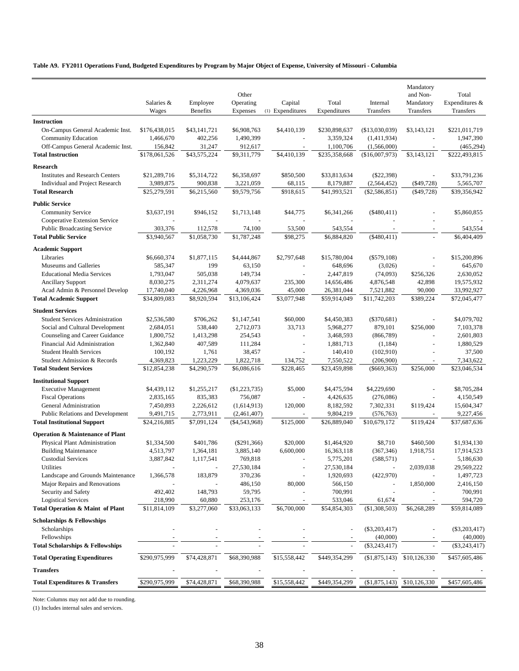**Table A9. FY2011 Operations Fund, Budgeted Expenditures by Program by Major Object of Expense, University of Missouri - Columbia**

| Other<br>and Non-<br>Total<br>Employee<br>Capital<br>Total<br>Expenditures &<br>Salaries &<br>Operating<br>Internal<br>Mandatory<br><b>Benefits</b><br>Expenses<br>(1) Expenditures<br>Expenditures<br>Transfers<br>Transfers<br>Wages<br>Transfers<br><b>Instruction</b><br>On-Campus General Academic Inst.<br>\$176,438,015<br>\$43,141,721<br>\$6,908,763<br>\$4,410,139<br>\$230,898,637<br>(\$13,030,039)<br>\$3,143,121<br>\$221,011,719<br><b>Community Education</b><br>1,466,670<br>402,256<br>1,490,399<br>3,359,324<br>1,947,390<br>(1,411,934)<br>$\sim$<br>Off-Campus General Academic Inst.<br>156,842<br>31,247<br>1,100,706<br>(465, 294)<br>912,617<br>(1,566,000)<br>\$178,061,526<br>\$43,575,224<br>\$9,311,779<br>\$4,410,139<br>\$235,358,668<br>(\$16,007,973)<br>\$3,143,121<br>\$222,493,815<br><b>Total Instruction</b><br><b>Research</b><br>\$33,791,236<br><b>Institutes and Research Centers</b><br>\$21,289,716<br>\$5,314,722<br>\$6,358,697<br>\$850,500<br>\$33,813,634<br>$(\$22,398)$<br>$(\$49,728)$<br>Individual and Project Research<br>3,989,875<br>900,838<br>3,221,059<br>68,115<br>8,179,887<br>(2,564,452)<br>5,565,707<br><b>Total Research</b><br>\$25,279,591<br>\$6,215,560<br>\$9,579,756<br>\$918,615<br>\$41,993,521<br>$(\$2,586,851)$<br>\$39,356,942<br>$($ \$49,728)<br><b>Public Service</b><br><b>Community Service</b><br>\$3,637,191<br>\$946,152<br>\$1,713,148<br>\$44,775<br>\$6,341,266<br>$(\$480,411)$<br>\$5,860,855<br>Cooperative Extension Service<br><b>Public Broadcasting Service</b><br>303,376<br>112,578<br>74,100<br>53,500<br>543,554<br>543,554<br>\$1,058,730<br>\$1,787,248<br>\$98,275<br>(\$480,411)<br><b>Total Public Service</b><br>\$3,940,567<br>\$6,884,820<br>\$6,404,409<br><b>Academic Support</b><br>\$1,877,115<br>\$2,797,648<br>Libraries<br>\$6,660,374<br>\$4,444,867<br>\$15,780,004<br>$(\$579,108)$<br>\$15,200,896<br>Museums and Galleries<br>585,347<br>199<br>63,150<br>(3,026)<br>645,670<br>648,696<br>505,038<br><b>Educational Media Services</b><br>1,793,047<br>149,734<br>2,447,819<br>(74,093)<br>\$256,326<br>2,630,052<br>19,575,932<br><b>Ancillary Support</b><br>8,030,275<br>2,311,274<br>4,079,637<br>235,300<br>14,656,486<br>4,876,548<br>42,898<br>Acad Admin & Personnel Develop<br>17,740,040<br>4,226,968<br>4,369,036<br>45,000<br>26,381,044<br>7,521,882<br>90,000<br>33,992,927<br>\$34,809,083<br>\$8,920,594<br>\$13,106,424<br>\$3,077,948<br>\$59,914,049<br>\$11,742,203<br>\$389,224<br>\$72,045,477<br><b>Total Academic Support</b><br><b>Student Services</b><br>\$4,079,702<br><b>Student Services Administration</b><br>\$2,536,580<br>\$706,262<br>\$1,147,541<br>\$60,000<br>\$4,450,383<br>$(\$370,681)$<br>33,713<br>879,101<br>7,103,378<br>Social and Cultural Development<br>2,684,051<br>538,440<br>2,712,073<br>5,968,277<br>\$256,000<br>Counseling and Career Guidance<br>2,601,803<br>1,800,752<br>1,413,298<br>254,543<br>3,468,593<br>(866,789)<br>Financial Aid Administration<br>407,589<br>1,362,840<br>111,284<br>1,881,713<br>(1, 184)<br>1,880,529<br>$\sim$<br>÷.<br><b>Student Health Services</b><br>100,192<br>1,761<br>38,457<br>140,410<br>(102,910)<br>37,500<br>1,223,229<br>Student Admission & Records<br>4,369,823<br>1,822,718<br>134,752<br>7,550,522<br>(206,900)<br>7,343,622<br>\$12,854,238<br>\$4,290,579<br>\$6,086,616<br>\$228,465<br>\$23,459,898<br>\$256,000<br>\$23,046,534<br><b>Total Student Services</b><br>$(\$669,363)$<br><b>Institutional Support</b><br><b>Executive Management</b><br>\$4,439,112<br>\$1,255,217<br>(\$1,223,735)<br>\$5,000<br>\$4,475,594<br>\$4,229,690<br>\$8,705,284<br>756,087<br>4,150,549<br><b>Fiscal Operations</b><br>2,835,165<br>835,383<br>4,426,635<br>(276,086)<br>120,000<br>\$119,424<br>15,604,347<br>General Administration<br>7,450,893<br>2,226,612<br>(1,614,913)<br>8,182,592<br>7,302,331<br><b>Public Relations and Development</b><br>9,491,715<br>2,773,911<br>(2,461,407)<br>9,804,219<br>(576, 763)<br>9,227,456<br>\$119,424<br>\$7,091,124<br>\$125,000<br>\$26,889,040<br>\$10,679,172<br>\$37,687,636<br><b>Total Institutional Support</b><br>\$24,216,885<br>$(\$4,543,968)$<br><b>Operation &amp; Maintenance of Plant</b><br>Physical Plant Administration<br>\$1,334,500<br>\$401,786<br>$(\$291,366)$<br>\$20,000<br>\$1,464,920<br>\$8,710<br>\$460,500<br>\$1,934,130<br>17,914,523<br><b>Building Maintenance</b><br>4,513,797<br>1,364,181<br>3,885,140<br>6,600,000<br>16,363,118<br>(367, 346)<br>1,918,751<br><b>Custodial Services</b><br>3,887,842<br>1,117,541<br>769,818<br>5,775,201<br>(588, 571)<br>5,186,630<br>Utilities<br>27,530,184<br>27,530,184<br>2,039,038<br>29,569,222<br>Landscape and Grounds Maintenance<br>1,366,578<br>183,879<br>370,236<br>1,920,693<br>(422,970)<br>1,497,723<br>Major Repairs and Renovations<br>486,150<br>80,000<br>566,150<br>1,850,000<br>2,416,150<br>700,991<br>Security and Safety<br>492,402<br>148,793<br>59,795<br>700,991<br><b>Logistical Services</b><br>218,990<br>60,880<br>253,176<br>533,046<br>594,720<br>61,674<br>\$6,700,000<br>\$54,854,303<br>(\$1,308,503)<br>\$6,268,289<br>Total Operation & Maint of Plant<br>\$11,814,109<br>\$3,277,060<br>\$33,063,133<br>\$59,814,089<br><b>Scholarships &amp; Fellowships</b><br>Scholarships<br>$(\$3,203,417)$<br>$(\$3,203,417)$<br>Fellowships<br>(40,000)<br>(40,000)<br><b>Total Scholarships &amp; Fellowships</b><br>$(\$3,243,417)$<br>$(\$3,243,417)$<br>\$290,975,999<br>\$74,428,871<br>\$68,390,988<br>\$15,558,442<br>\$449,354,299<br>\$10,126,330<br><b>Total Operating Expenditures</b><br>$(\$1,875,143)$<br>\$457,605,486<br><b>Transfers</b><br>\$68,390,988<br>\$15,558,442<br>\$457,605,486<br><b>Total Expenditures &amp; Transfers</b><br>\$290,975,999<br>\$74,428,871<br>\$449,354,299<br>$(\$1,875,143)$<br>\$10,126,330 |  |  |  |           |  |
|------------------------------------------------------------------------------------------------------------------------------------------------------------------------------------------------------------------------------------------------------------------------------------------------------------------------------------------------------------------------------------------------------------------------------------------------------------------------------------------------------------------------------------------------------------------------------------------------------------------------------------------------------------------------------------------------------------------------------------------------------------------------------------------------------------------------------------------------------------------------------------------------------------------------------------------------------------------------------------------------------------------------------------------------------------------------------------------------------------------------------------------------------------------------------------------------------------------------------------------------------------------------------------------------------------------------------------------------------------------------------------------------------------------------------------------------------------------------------------------------------------------------------------------------------------------------------------------------------------------------------------------------------------------------------------------------------------------------------------------------------------------------------------------------------------------------------------------------------------------------------------------------------------------------------------------------------------------------------------------------------------------------------------------------------------------------------------------------------------------------------------------------------------------------------------------------------------------------------------------------------------------------------------------------------------------------------------------------------------------------------------------------------------------------------------------------------------------------------------------------------------------------------------------------------------------------------------------------------------------------------------------------------------------------------------------------------------------------------------------------------------------------------------------------------------------------------------------------------------------------------------------------------------------------------------------------------------------------------------------------------------------------------------------------------------------------------------------------------------------------------------------------------------------------------------------------------------------------------------------------------------------------------------------------------------------------------------------------------------------------------------------------------------------------------------------------------------------------------------------------------------------------------------------------------------------------------------------------------------------------------------------------------------------------------------------------------------------------------------------------------------------------------------------------------------------------------------------------------------------------------------------------------------------------------------------------------------------------------------------------------------------------------------------------------------------------------------------------------------------------------------------------------------------------------------------------------------------------------------------------------------------------------------------------------------------------------------------------------------------------------------------------------------------------------------------------------------------------------------------------------------------------------------------------------------------------------------------------------------------------------------------------------------------------------------------------------------------------------------------------------------------------------------------------------------------------------------------------------------------------------------------------------------------------------------------------------------------------------------------------------------------------------------------------------------------------------------------------------------------------------------------------------------------------------------------------------------------------------------------------------------------------------------------------------------------------------------------------------------------------------------------------------------------------------------------------------------------------------------------------------------------------------------------------------------------------------------------------------------------------------------------------------------------------------------------------------------------------------------------------------------------------------------------------------------------------------------------------------------------------------------------------------------------------------------|--|--|--|-----------|--|
|                                                                                                                                                                                                                                                                                                                                                                                                                                                                                                                                                                                                                                                                                                                                                                                                                                                                                                                                                                                                                                                                                                                                                                                                                                                                                                                                                                                                                                                                                                                                                                                                                                                                                                                                                                                                                                                                                                                                                                                                                                                                                                                                                                                                                                                                                                                                                                                                                                                                                                                                                                                                                                                                                                                                                                                                                                                                                                                                                                                                                                                                                                                                                                                                                                                                                                                                                                                                                                                                                                                                                                                                                                                                                                                                                                                                                                                                                                                                                                                                                                                                                                                                                                                                                                                                                                                                                                                                                                                                                                                                                                                                                                                                                                                                                                                                                                                                                                                                                                                                                                                                                                                                                                                                                                                                                                                                                                                                                                                                                                                                                                                                                                                                                                                                                                                                                                                                                                                                    |  |  |  | Mandatory |  |
|                                                                                                                                                                                                                                                                                                                                                                                                                                                                                                                                                                                                                                                                                                                                                                                                                                                                                                                                                                                                                                                                                                                                                                                                                                                                                                                                                                                                                                                                                                                                                                                                                                                                                                                                                                                                                                                                                                                                                                                                                                                                                                                                                                                                                                                                                                                                                                                                                                                                                                                                                                                                                                                                                                                                                                                                                                                                                                                                                                                                                                                                                                                                                                                                                                                                                                                                                                                                                                                                                                                                                                                                                                                                                                                                                                                                                                                                                                                                                                                                                                                                                                                                                                                                                                                                                                                                                                                                                                                                                                                                                                                                                                                                                                                                                                                                                                                                                                                                                                                                                                                                                                                                                                                                                                                                                                                                                                                                                                                                                                                                                                                                                                                                                                                                                                                                                                                                                                                                    |  |  |  |           |  |
|                                                                                                                                                                                                                                                                                                                                                                                                                                                                                                                                                                                                                                                                                                                                                                                                                                                                                                                                                                                                                                                                                                                                                                                                                                                                                                                                                                                                                                                                                                                                                                                                                                                                                                                                                                                                                                                                                                                                                                                                                                                                                                                                                                                                                                                                                                                                                                                                                                                                                                                                                                                                                                                                                                                                                                                                                                                                                                                                                                                                                                                                                                                                                                                                                                                                                                                                                                                                                                                                                                                                                                                                                                                                                                                                                                                                                                                                                                                                                                                                                                                                                                                                                                                                                                                                                                                                                                                                                                                                                                                                                                                                                                                                                                                                                                                                                                                                                                                                                                                                                                                                                                                                                                                                                                                                                                                                                                                                                                                                                                                                                                                                                                                                                                                                                                                                                                                                                                                                    |  |  |  |           |  |
|                                                                                                                                                                                                                                                                                                                                                                                                                                                                                                                                                                                                                                                                                                                                                                                                                                                                                                                                                                                                                                                                                                                                                                                                                                                                                                                                                                                                                                                                                                                                                                                                                                                                                                                                                                                                                                                                                                                                                                                                                                                                                                                                                                                                                                                                                                                                                                                                                                                                                                                                                                                                                                                                                                                                                                                                                                                                                                                                                                                                                                                                                                                                                                                                                                                                                                                                                                                                                                                                                                                                                                                                                                                                                                                                                                                                                                                                                                                                                                                                                                                                                                                                                                                                                                                                                                                                                                                                                                                                                                                                                                                                                                                                                                                                                                                                                                                                                                                                                                                                                                                                                                                                                                                                                                                                                                                                                                                                                                                                                                                                                                                                                                                                                                                                                                                                                                                                                                                                    |  |  |  |           |  |
|                                                                                                                                                                                                                                                                                                                                                                                                                                                                                                                                                                                                                                                                                                                                                                                                                                                                                                                                                                                                                                                                                                                                                                                                                                                                                                                                                                                                                                                                                                                                                                                                                                                                                                                                                                                                                                                                                                                                                                                                                                                                                                                                                                                                                                                                                                                                                                                                                                                                                                                                                                                                                                                                                                                                                                                                                                                                                                                                                                                                                                                                                                                                                                                                                                                                                                                                                                                                                                                                                                                                                                                                                                                                                                                                                                                                                                                                                                                                                                                                                                                                                                                                                                                                                                                                                                                                                                                                                                                                                                                                                                                                                                                                                                                                                                                                                                                                                                                                                                                                                                                                                                                                                                                                                                                                                                                                                                                                                                                                                                                                                                                                                                                                                                                                                                                                                                                                                                                                    |  |  |  |           |  |
|                                                                                                                                                                                                                                                                                                                                                                                                                                                                                                                                                                                                                                                                                                                                                                                                                                                                                                                                                                                                                                                                                                                                                                                                                                                                                                                                                                                                                                                                                                                                                                                                                                                                                                                                                                                                                                                                                                                                                                                                                                                                                                                                                                                                                                                                                                                                                                                                                                                                                                                                                                                                                                                                                                                                                                                                                                                                                                                                                                                                                                                                                                                                                                                                                                                                                                                                                                                                                                                                                                                                                                                                                                                                                                                                                                                                                                                                                                                                                                                                                                                                                                                                                                                                                                                                                                                                                                                                                                                                                                                                                                                                                                                                                                                                                                                                                                                                                                                                                                                                                                                                                                                                                                                                                                                                                                                                                                                                                                                                                                                                                                                                                                                                                                                                                                                                                                                                                                                                    |  |  |  |           |  |
|                                                                                                                                                                                                                                                                                                                                                                                                                                                                                                                                                                                                                                                                                                                                                                                                                                                                                                                                                                                                                                                                                                                                                                                                                                                                                                                                                                                                                                                                                                                                                                                                                                                                                                                                                                                                                                                                                                                                                                                                                                                                                                                                                                                                                                                                                                                                                                                                                                                                                                                                                                                                                                                                                                                                                                                                                                                                                                                                                                                                                                                                                                                                                                                                                                                                                                                                                                                                                                                                                                                                                                                                                                                                                                                                                                                                                                                                                                                                                                                                                                                                                                                                                                                                                                                                                                                                                                                                                                                                                                                                                                                                                                                                                                                                                                                                                                                                                                                                                                                                                                                                                                                                                                                                                                                                                                                                                                                                                                                                                                                                                                                                                                                                                                                                                                                                                                                                                                                                    |  |  |  |           |  |
|                                                                                                                                                                                                                                                                                                                                                                                                                                                                                                                                                                                                                                                                                                                                                                                                                                                                                                                                                                                                                                                                                                                                                                                                                                                                                                                                                                                                                                                                                                                                                                                                                                                                                                                                                                                                                                                                                                                                                                                                                                                                                                                                                                                                                                                                                                                                                                                                                                                                                                                                                                                                                                                                                                                                                                                                                                                                                                                                                                                                                                                                                                                                                                                                                                                                                                                                                                                                                                                                                                                                                                                                                                                                                                                                                                                                                                                                                                                                                                                                                                                                                                                                                                                                                                                                                                                                                                                                                                                                                                                                                                                                                                                                                                                                                                                                                                                                                                                                                                                                                                                                                                                                                                                                                                                                                                                                                                                                                                                                                                                                                                                                                                                                                                                                                                                                                                                                                                                                    |  |  |  |           |  |
|                                                                                                                                                                                                                                                                                                                                                                                                                                                                                                                                                                                                                                                                                                                                                                                                                                                                                                                                                                                                                                                                                                                                                                                                                                                                                                                                                                                                                                                                                                                                                                                                                                                                                                                                                                                                                                                                                                                                                                                                                                                                                                                                                                                                                                                                                                                                                                                                                                                                                                                                                                                                                                                                                                                                                                                                                                                                                                                                                                                                                                                                                                                                                                                                                                                                                                                                                                                                                                                                                                                                                                                                                                                                                                                                                                                                                                                                                                                                                                                                                                                                                                                                                                                                                                                                                                                                                                                                                                                                                                                                                                                                                                                                                                                                                                                                                                                                                                                                                                                                                                                                                                                                                                                                                                                                                                                                                                                                                                                                                                                                                                                                                                                                                                                                                                                                                                                                                                                                    |  |  |  |           |  |
|                                                                                                                                                                                                                                                                                                                                                                                                                                                                                                                                                                                                                                                                                                                                                                                                                                                                                                                                                                                                                                                                                                                                                                                                                                                                                                                                                                                                                                                                                                                                                                                                                                                                                                                                                                                                                                                                                                                                                                                                                                                                                                                                                                                                                                                                                                                                                                                                                                                                                                                                                                                                                                                                                                                                                                                                                                                                                                                                                                                                                                                                                                                                                                                                                                                                                                                                                                                                                                                                                                                                                                                                                                                                                                                                                                                                                                                                                                                                                                                                                                                                                                                                                                                                                                                                                                                                                                                                                                                                                                                                                                                                                                                                                                                                                                                                                                                                                                                                                                                                                                                                                                                                                                                                                                                                                                                                                                                                                                                                                                                                                                                                                                                                                                                                                                                                                                                                                                                                    |  |  |  |           |  |
|                                                                                                                                                                                                                                                                                                                                                                                                                                                                                                                                                                                                                                                                                                                                                                                                                                                                                                                                                                                                                                                                                                                                                                                                                                                                                                                                                                                                                                                                                                                                                                                                                                                                                                                                                                                                                                                                                                                                                                                                                                                                                                                                                                                                                                                                                                                                                                                                                                                                                                                                                                                                                                                                                                                                                                                                                                                                                                                                                                                                                                                                                                                                                                                                                                                                                                                                                                                                                                                                                                                                                                                                                                                                                                                                                                                                                                                                                                                                                                                                                                                                                                                                                                                                                                                                                                                                                                                                                                                                                                                                                                                                                                                                                                                                                                                                                                                                                                                                                                                                                                                                                                                                                                                                                                                                                                                                                                                                                                                                                                                                                                                                                                                                                                                                                                                                                                                                                                                                    |  |  |  |           |  |
|                                                                                                                                                                                                                                                                                                                                                                                                                                                                                                                                                                                                                                                                                                                                                                                                                                                                                                                                                                                                                                                                                                                                                                                                                                                                                                                                                                                                                                                                                                                                                                                                                                                                                                                                                                                                                                                                                                                                                                                                                                                                                                                                                                                                                                                                                                                                                                                                                                                                                                                                                                                                                                                                                                                                                                                                                                                                                                                                                                                                                                                                                                                                                                                                                                                                                                                                                                                                                                                                                                                                                                                                                                                                                                                                                                                                                                                                                                                                                                                                                                                                                                                                                                                                                                                                                                                                                                                                                                                                                                                                                                                                                                                                                                                                                                                                                                                                                                                                                                                                                                                                                                                                                                                                                                                                                                                                                                                                                                                                                                                                                                                                                                                                                                                                                                                                                                                                                                                                    |  |  |  |           |  |
|                                                                                                                                                                                                                                                                                                                                                                                                                                                                                                                                                                                                                                                                                                                                                                                                                                                                                                                                                                                                                                                                                                                                                                                                                                                                                                                                                                                                                                                                                                                                                                                                                                                                                                                                                                                                                                                                                                                                                                                                                                                                                                                                                                                                                                                                                                                                                                                                                                                                                                                                                                                                                                                                                                                                                                                                                                                                                                                                                                                                                                                                                                                                                                                                                                                                                                                                                                                                                                                                                                                                                                                                                                                                                                                                                                                                                                                                                                                                                                                                                                                                                                                                                                                                                                                                                                                                                                                                                                                                                                                                                                                                                                                                                                                                                                                                                                                                                                                                                                                                                                                                                                                                                                                                                                                                                                                                                                                                                                                                                                                                                                                                                                                                                                                                                                                                                                                                                                                                    |  |  |  |           |  |
|                                                                                                                                                                                                                                                                                                                                                                                                                                                                                                                                                                                                                                                                                                                                                                                                                                                                                                                                                                                                                                                                                                                                                                                                                                                                                                                                                                                                                                                                                                                                                                                                                                                                                                                                                                                                                                                                                                                                                                                                                                                                                                                                                                                                                                                                                                                                                                                                                                                                                                                                                                                                                                                                                                                                                                                                                                                                                                                                                                                                                                                                                                                                                                                                                                                                                                                                                                                                                                                                                                                                                                                                                                                                                                                                                                                                                                                                                                                                                                                                                                                                                                                                                                                                                                                                                                                                                                                                                                                                                                                                                                                                                                                                                                                                                                                                                                                                                                                                                                                                                                                                                                                                                                                                                                                                                                                                                                                                                                                                                                                                                                                                                                                                                                                                                                                                                                                                                                                                    |  |  |  |           |  |
|                                                                                                                                                                                                                                                                                                                                                                                                                                                                                                                                                                                                                                                                                                                                                                                                                                                                                                                                                                                                                                                                                                                                                                                                                                                                                                                                                                                                                                                                                                                                                                                                                                                                                                                                                                                                                                                                                                                                                                                                                                                                                                                                                                                                                                                                                                                                                                                                                                                                                                                                                                                                                                                                                                                                                                                                                                                                                                                                                                                                                                                                                                                                                                                                                                                                                                                                                                                                                                                                                                                                                                                                                                                                                                                                                                                                                                                                                                                                                                                                                                                                                                                                                                                                                                                                                                                                                                                                                                                                                                                                                                                                                                                                                                                                                                                                                                                                                                                                                                                                                                                                                                                                                                                                                                                                                                                                                                                                                                                                                                                                                                                                                                                                                                                                                                                                                                                                                                                                    |  |  |  |           |  |
|                                                                                                                                                                                                                                                                                                                                                                                                                                                                                                                                                                                                                                                                                                                                                                                                                                                                                                                                                                                                                                                                                                                                                                                                                                                                                                                                                                                                                                                                                                                                                                                                                                                                                                                                                                                                                                                                                                                                                                                                                                                                                                                                                                                                                                                                                                                                                                                                                                                                                                                                                                                                                                                                                                                                                                                                                                                                                                                                                                                                                                                                                                                                                                                                                                                                                                                                                                                                                                                                                                                                                                                                                                                                                                                                                                                                                                                                                                                                                                                                                                                                                                                                                                                                                                                                                                                                                                                                                                                                                                                                                                                                                                                                                                                                                                                                                                                                                                                                                                                                                                                                                                                                                                                                                                                                                                                                                                                                                                                                                                                                                                                                                                                                                                                                                                                                                                                                                                                                    |  |  |  |           |  |
|                                                                                                                                                                                                                                                                                                                                                                                                                                                                                                                                                                                                                                                                                                                                                                                                                                                                                                                                                                                                                                                                                                                                                                                                                                                                                                                                                                                                                                                                                                                                                                                                                                                                                                                                                                                                                                                                                                                                                                                                                                                                                                                                                                                                                                                                                                                                                                                                                                                                                                                                                                                                                                                                                                                                                                                                                                                                                                                                                                                                                                                                                                                                                                                                                                                                                                                                                                                                                                                                                                                                                                                                                                                                                                                                                                                                                                                                                                                                                                                                                                                                                                                                                                                                                                                                                                                                                                                                                                                                                                                                                                                                                                                                                                                                                                                                                                                                                                                                                                                                                                                                                                                                                                                                                                                                                                                                                                                                                                                                                                                                                                                                                                                                                                                                                                                                                                                                                                                                    |  |  |  |           |  |
|                                                                                                                                                                                                                                                                                                                                                                                                                                                                                                                                                                                                                                                                                                                                                                                                                                                                                                                                                                                                                                                                                                                                                                                                                                                                                                                                                                                                                                                                                                                                                                                                                                                                                                                                                                                                                                                                                                                                                                                                                                                                                                                                                                                                                                                                                                                                                                                                                                                                                                                                                                                                                                                                                                                                                                                                                                                                                                                                                                                                                                                                                                                                                                                                                                                                                                                                                                                                                                                                                                                                                                                                                                                                                                                                                                                                                                                                                                                                                                                                                                                                                                                                                                                                                                                                                                                                                                                                                                                                                                                                                                                                                                                                                                                                                                                                                                                                                                                                                                                                                                                                                                                                                                                                                                                                                                                                                                                                                                                                                                                                                                                                                                                                                                                                                                                                                                                                                                                                    |  |  |  |           |  |
|                                                                                                                                                                                                                                                                                                                                                                                                                                                                                                                                                                                                                                                                                                                                                                                                                                                                                                                                                                                                                                                                                                                                                                                                                                                                                                                                                                                                                                                                                                                                                                                                                                                                                                                                                                                                                                                                                                                                                                                                                                                                                                                                                                                                                                                                                                                                                                                                                                                                                                                                                                                                                                                                                                                                                                                                                                                                                                                                                                                                                                                                                                                                                                                                                                                                                                                                                                                                                                                                                                                                                                                                                                                                                                                                                                                                                                                                                                                                                                                                                                                                                                                                                                                                                                                                                                                                                                                                                                                                                                                                                                                                                                                                                                                                                                                                                                                                                                                                                                                                                                                                                                                                                                                                                                                                                                                                                                                                                                                                                                                                                                                                                                                                                                                                                                                                                                                                                                                                    |  |  |  |           |  |
|                                                                                                                                                                                                                                                                                                                                                                                                                                                                                                                                                                                                                                                                                                                                                                                                                                                                                                                                                                                                                                                                                                                                                                                                                                                                                                                                                                                                                                                                                                                                                                                                                                                                                                                                                                                                                                                                                                                                                                                                                                                                                                                                                                                                                                                                                                                                                                                                                                                                                                                                                                                                                                                                                                                                                                                                                                                                                                                                                                                                                                                                                                                                                                                                                                                                                                                                                                                                                                                                                                                                                                                                                                                                                                                                                                                                                                                                                                                                                                                                                                                                                                                                                                                                                                                                                                                                                                                                                                                                                                                                                                                                                                                                                                                                                                                                                                                                                                                                                                                                                                                                                                                                                                                                                                                                                                                                                                                                                                                                                                                                                                                                                                                                                                                                                                                                                                                                                                                                    |  |  |  |           |  |
|                                                                                                                                                                                                                                                                                                                                                                                                                                                                                                                                                                                                                                                                                                                                                                                                                                                                                                                                                                                                                                                                                                                                                                                                                                                                                                                                                                                                                                                                                                                                                                                                                                                                                                                                                                                                                                                                                                                                                                                                                                                                                                                                                                                                                                                                                                                                                                                                                                                                                                                                                                                                                                                                                                                                                                                                                                                                                                                                                                                                                                                                                                                                                                                                                                                                                                                                                                                                                                                                                                                                                                                                                                                                                                                                                                                                                                                                                                                                                                                                                                                                                                                                                                                                                                                                                                                                                                                                                                                                                                                                                                                                                                                                                                                                                                                                                                                                                                                                                                                                                                                                                                                                                                                                                                                                                                                                                                                                                                                                                                                                                                                                                                                                                                                                                                                                                                                                                                                                    |  |  |  |           |  |
|                                                                                                                                                                                                                                                                                                                                                                                                                                                                                                                                                                                                                                                                                                                                                                                                                                                                                                                                                                                                                                                                                                                                                                                                                                                                                                                                                                                                                                                                                                                                                                                                                                                                                                                                                                                                                                                                                                                                                                                                                                                                                                                                                                                                                                                                                                                                                                                                                                                                                                                                                                                                                                                                                                                                                                                                                                                                                                                                                                                                                                                                                                                                                                                                                                                                                                                                                                                                                                                                                                                                                                                                                                                                                                                                                                                                                                                                                                                                                                                                                                                                                                                                                                                                                                                                                                                                                                                                                                                                                                                                                                                                                                                                                                                                                                                                                                                                                                                                                                                                                                                                                                                                                                                                                                                                                                                                                                                                                                                                                                                                                                                                                                                                                                                                                                                                                                                                                                                                    |  |  |  |           |  |
|                                                                                                                                                                                                                                                                                                                                                                                                                                                                                                                                                                                                                                                                                                                                                                                                                                                                                                                                                                                                                                                                                                                                                                                                                                                                                                                                                                                                                                                                                                                                                                                                                                                                                                                                                                                                                                                                                                                                                                                                                                                                                                                                                                                                                                                                                                                                                                                                                                                                                                                                                                                                                                                                                                                                                                                                                                                                                                                                                                                                                                                                                                                                                                                                                                                                                                                                                                                                                                                                                                                                                                                                                                                                                                                                                                                                                                                                                                                                                                                                                                                                                                                                                                                                                                                                                                                                                                                                                                                                                                                                                                                                                                                                                                                                                                                                                                                                                                                                                                                                                                                                                                                                                                                                                                                                                                                                                                                                                                                                                                                                                                                                                                                                                                                                                                                                                                                                                                                                    |  |  |  |           |  |
|                                                                                                                                                                                                                                                                                                                                                                                                                                                                                                                                                                                                                                                                                                                                                                                                                                                                                                                                                                                                                                                                                                                                                                                                                                                                                                                                                                                                                                                                                                                                                                                                                                                                                                                                                                                                                                                                                                                                                                                                                                                                                                                                                                                                                                                                                                                                                                                                                                                                                                                                                                                                                                                                                                                                                                                                                                                                                                                                                                                                                                                                                                                                                                                                                                                                                                                                                                                                                                                                                                                                                                                                                                                                                                                                                                                                                                                                                                                                                                                                                                                                                                                                                                                                                                                                                                                                                                                                                                                                                                                                                                                                                                                                                                                                                                                                                                                                                                                                                                                                                                                                                                                                                                                                                                                                                                                                                                                                                                                                                                                                                                                                                                                                                                                                                                                                                                                                                                                                    |  |  |  |           |  |
|                                                                                                                                                                                                                                                                                                                                                                                                                                                                                                                                                                                                                                                                                                                                                                                                                                                                                                                                                                                                                                                                                                                                                                                                                                                                                                                                                                                                                                                                                                                                                                                                                                                                                                                                                                                                                                                                                                                                                                                                                                                                                                                                                                                                                                                                                                                                                                                                                                                                                                                                                                                                                                                                                                                                                                                                                                                                                                                                                                                                                                                                                                                                                                                                                                                                                                                                                                                                                                                                                                                                                                                                                                                                                                                                                                                                                                                                                                                                                                                                                                                                                                                                                                                                                                                                                                                                                                                                                                                                                                                                                                                                                                                                                                                                                                                                                                                                                                                                                                                                                                                                                                                                                                                                                                                                                                                                                                                                                                                                                                                                                                                                                                                                                                                                                                                                                                                                                                                                    |  |  |  |           |  |
|                                                                                                                                                                                                                                                                                                                                                                                                                                                                                                                                                                                                                                                                                                                                                                                                                                                                                                                                                                                                                                                                                                                                                                                                                                                                                                                                                                                                                                                                                                                                                                                                                                                                                                                                                                                                                                                                                                                                                                                                                                                                                                                                                                                                                                                                                                                                                                                                                                                                                                                                                                                                                                                                                                                                                                                                                                                                                                                                                                                                                                                                                                                                                                                                                                                                                                                                                                                                                                                                                                                                                                                                                                                                                                                                                                                                                                                                                                                                                                                                                                                                                                                                                                                                                                                                                                                                                                                                                                                                                                                                                                                                                                                                                                                                                                                                                                                                                                                                                                                                                                                                                                                                                                                                                                                                                                                                                                                                                                                                                                                                                                                                                                                                                                                                                                                                                                                                                                                                    |  |  |  |           |  |
|                                                                                                                                                                                                                                                                                                                                                                                                                                                                                                                                                                                                                                                                                                                                                                                                                                                                                                                                                                                                                                                                                                                                                                                                                                                                                                                                                                                                                                                                                                                                                                                                                                                                                                                                                                                                                                                                                                                                                                                                                                                                                                                                                                                                                                                                                                                                                                                                                                                                                                                                                                                                                                                                                                                                                                                                                                                                                                                                                                                                                                                                                                                                                                                                                                                                                                                                                                                                                                                                                                                                                                                                                                                                                                                                                                                                                                                                                                                                                                                                                                                                                                                                                                                                                                                                                                                                                                                                                                                                                                                                                                                                                                                                                                                                                                                                                                                                                                                                                                                                                                                                                                                                                                                                                                                                                                                                                                                                                                                                                                                                                                                                                                                                                                                                                                                                                                                                                                                                    |  |  |  |           |  |
|                                                                                                                                                                                                                                                                                                                                                                                                                                                                                                                                                                                                                                                                                                                                                                                                                                                                                                                                                                                                                                                                                                                                                                                                                                                                                                                                                                                                                                                                                                                                                                                                                                                                                                                                                                                                                                                                                                                                                                                                                                                                                                                                                                                                                                                                                                                                                                                                                                                                                                                                                                                                                                                                                                                                                                                                                                                                                                                                                                                                                                                                                                                                                                                                                                                                                                                                                                                                                                                                                                                                                                                                                                                                                                                                                                                                                                                                                                                                                                                                                                                                                                                                                                                                                                                                                                                                                                                                                                                                                                                                                                                                                                                                                                                                                                                                                                                                                                                                                                                                                                                                                                                                                                                                                                                                                                                                                                                                                                                                                                                                                                                                                                                                                                                                                                                                                                                                                                                                    |  |  |  |           |  |
|                                                                                                                                                                                                                                                                                                                                                                                                                                                                                                                                                                                                                                                                                                                                                                                                                                                                                                                                                                                                                                                                                                                                                                                                                                                                                                                                                                                                                                                                                                                                                                                                                                                                                                                                                                                                                                                                                                                                                                                                                                                                                                                                                                                                                                                                                                                                                                                                                                                                                                                                                                                                                                                                                                                                                                                                                                                                                                                                                                                                                                                                                                                                                                                                                                                                                                                                                                                                                                                                                                                                                                                                                                                                                                                                                                                                                                                                                                                                                                                                                                                                                                                                                                                                                                                                                                                                                                                                                                                                                                                                                                                                                                                                                                                                                                                                                                                                                                                                                                                                                                                                                                                                                                                                                                                                                                                                                                                                                                                                                                                                                                                                                                                                                                                                                                                                                                                                                                                                    |  |  |  |           |  |
|                                                                                                                                                                                                                                                                                                                                                                                                                                                                                                                                                                                                                                                                                                                                                                                                                                                                                                                                                                                                                                                                                                                                                                                                                                                                                                                                                                                                                                                                                                                                                                                                                                                                                                                                                                                                                                                                                                                                                                                                                                                                                                                                                                                                                                                                                                                                                                                                                                                                                                                                                                                                                                                                                                                                                                                                                                                                                                                                                                                                                                                                                                                                                                                                                                                                                                                                                                                                                                                                                                                                                                                                                                                                                                                                                                                                                                                                                                                                                                                                                                                                                                                                                                                                                                                                                                                                                                                                                                                                                                                                                                                                                                                                                                                                                                                                                                                                                                                                                                                                                                                                                                                                                                                                                                                                                                                                                                                                                                                                                                                                                                                                                                                                                                                                                                                                                                                                                                                                    |  |  |  |           |  |
|                                                                                                                                                                                                                                                                                                                                                                                                                                                                                                                                                                                                                                                                                                                                                                                                                                                                                                                                                                                                                                                                                                                                                                                                                                                                                                                                                                                                                                                                                                                                                                                                                                                                                                                                                                                                                                                                                                                                                                                                                                                                                                                                                                                                                                                                                                                                                                                                                                                                                                                                                                                                                                                                                                                                                                                                                                                                                                                                                                                                                                                                                                                                                                                                                                                                                                                                                                                                                                                                                                                                                                                                                                                                                                                                                                                                                                                                                                                                                                                                                                                                                                                                                                                                                                                                                                                                                                                                                                                                                                                                                                                                                                                                                                                                                                                                                                                                                                                                                                                                                                                                                                                                                                                                                                                                                                                                                                                                                                                                                                                                                                                                                                                                                                                                                                                                                                                                                                                                    |  |  |  |           |  |
|                                                                                                                                                                                                                                                                                                                                                                                                                                                                                                                                                                                                                                                                                                                                                                                                                                                                                                                                                                                                                                                                                                                                                                                                                                                                                                                                                                                                                                                                                                                                                                                                                                                                                                                                                                                                                                                                                                                                                                                                                                                                                                                                                                                                                                                                                                                                                                                                                                                                                                                                                                                                                                                                                                                                                                                                                                                                                                                                                                                                                                                                                                                                                                                                                                                                                                                                                                                                                                                                                                                                                                                                                                                                                                                                                                                                                                                                                                                                                                                                                                                                                                                                                                                                                                                                                                                                                                                                                                                                                                                                                                                                                                                                                                                                                                                                                                                                                                                                                                                                                                                                                                                                                                                                                                                                                                                                                                                                                                                                                                                                                                                                                                                                                                                                                                                                                                                                                                                                    |  |  |  |           |  |
|                                                                                                                                                                                                                                                                                                                                                                                                                                                                                                                                                                                                                                                                                                                                                                                                                                                                                                                                                                                                                                                                                                                                                                                                                                                                                                                                                                                                                                                                                                                                                                                                                                                                                                                                                                                                                                                                                                                                                                                                                                                                                                                                                                                                                                                                                                                                                                                                                                                                                                                                                                                                                                                                                                                                                                                                                                                                                                                                                                                                                                                                                                                                                                                                                                                                                                                                                                                                                                                                                                                                                                                                                                                                                                                                                                                                                                                                                                                                                                                                                                                                                                                                                                                                                                                                                                                                                                                                                                                                                                                                                                                                                                                                                                                                                                                                                                                                                                                                                                                                                                                                                                                                                                                                                                                                                                                                                                                                                                                                                                                                                                                                                                                                                                                                                                                                                                                                                                                                    |  |  |  |           |  |
|                                                                                                                                                                                                                                                                                                                                                                                                                                                                                                                                                                                                                                                                                                                                                                                                                                                                                                                                                                                                                                                                                                                                                                                                                                                                                                                                                                                                                                                                                                                                                                                                                                                                                                                                                                                                                                                                                                                                                                                                                                                                                                                                                                                                                                                                                                                                                                                                                                                                                                                                                                                                                                                                                                                                                                                                                                                                                                                                                                                                                                                                                                                                                                                                                                                                                                                                                                                                                                                                                                                                                                                                                                                                                                                                                                                                                                                                                                                                                                                                                                                                                                                                                                                                                                                                                                                                                                                                                                                                                                                                                                                                                                                                                                                                                                                                                                                                                                                                                                                                                                                                                                                                                                                                                                                                                                                                                                                                                                                                                                                                                                                                                                                                                                                                                                                                                                                                                                                                    |  |  |  |           |  |
|                                                                                                                                                                                                                                                                                                                                                                                                                                                                                                                                                                                                                                                                                                                                                                                                                                                                                                                                                                                                                                                                                                                                                                                                                                                                                                                                                                                                                                                                                                                                                                                                                                                                                                                                                                                                                                                                                                                                                                                                                                                                                                                                                                                                                                                                                                                                                                                                                                                                                                                                                                                                                                                                                                                                                                                                                                                                                                                                                                                                                                                                                                                                                                                                                                                                                                                                                                                                                                                                                                                                                                                                                                                                                                                                                                                                                                                                                                                                                                                                                                                                                                                                                                                                                                                                                                                                                                                                                                                                                                                                                                                                                                                                                                                                                                                                                                                                                                                                                                                                                                                                                                                                                                                                                                                                                                                                                                                                                                                                                                                                                                                                                                                                                                                                                                                                                                                                                                                                    |  |  |  |           |  |
|                                                                                                                                                                                                                                                                                                                                                                                                                                                                                                                                                                                                                                                                                                                                                                                                                                                                                                                                                                                                                                                                                                                                                                                                                                                                                                                                                                                                                                                                                                                                                                                                                                                                                                                                                                                                                                                                                                                                                                                                                                                                                                                                                                                                                                                                                                                                                                                                                                                                                                                                                                                                                                                                                                                                                                                                                                                                                                                                                                                                                                                                                                                                                                                                                                                                                                                                                                                                                                                                                                                                                                                                                                                                                                                                                                                                                                                                                                                                                                                                                                                                                                                                                                                                                                                                                                                                                                                                                                                                                                                                                                                                                                                                                                                                                                                                                                                                                                                                                                                                                                                                                                                                                                                                                                                                                                                                                                                                                                                                                                                                                                                                                                                                                                                                                                                                                                                                                                                                    |  |  |  |           |  |
|                                                                                                                                                                                                                                                                                                                                                                                                                                                                                                                                                                                                                                                                                                                                                                                                                                                                                                                                                                                                                                                                                                                                                                                                                                                                                                                                                                                                                                                                                                                                                                                                                                                                                                                                                                                                                                                                                                                                                                                                                                                                                                                                                                                                                                                                                                                                                                                                                                                                                                                                                                                                                                                                                                                                                                                                                                                                                                                                                                                                                                                                                                                                                                                                                                                                                                                                                                                                                                                                                                                                                                                                                                                                                                                                                                                                                                                                                                                                                                                                                                                                                                                                                                                                                                                                                                                                                                                                                                                                                                                                                                                                                                                                                                                                                                                                                                                                                                                                                                                                                                                                                                                                                                                                                                                                                                                                                                                                                                                                                                                                                                                                                                                                                                                                                                                                                                                                                                                                    |  |  |  |           |  |
|                                                                                                                                                                                                                                                                                                                                                                                                                                                                                                                                                                                                                                                                                                                                                                                                                                                                                                                                                                                                                                                                                                                                                                                                                                                                                                                                                                                                                                                                                                                                                                                                                                                                                                                                                                                                                                                                                                                                                                                                                                                                                                                                                                                                                                                                                                                                                                                                                                                                                                                                                                                                                                                                                                                                                                                                                                                                                                                                                                                                                                                                                                                                                                                                                                                                                                                                                                                                                                                                                                                                                                                                                                                                                                                                                                                                                                                                                                                                                                                                                                                                                                                                                                                                                                                                                                                                                                                                                                                                                                                                                                                                                                                                                                                                                                                                                                                                                                                                                                                                                                                                                                                                                                                                                                                                                                                                                                                                                                                                                                                                                                                                                                                                                                                                                                                                                                                                                                                                    |  |  |  |           |  |
|                                                                                                                                                                                                                                                                                                                                                                                                                                                                                                                                                                                                                                                                                                                                                                                                                                                                                                                                                                                                                                                                                                                                                                                                                                                                                                                                                                                                                                                                                                                                                                                                                                                                                                                                                                                                                                                                                                                                                                                                                                                                                                                                                                                                                                                                                                                                                                                                                                                                                                                                                                                                                                                                                                                                                                                                                                                                                                                                                                                                                                                                                                                                                                                                                                                                                                                                                                                                                                                                                                                                                                                                                                                                                                                                                                                                                                                                                                                                                                                                                                                                                                                                                                                                                                                                                                                                                                                                                                                                                                                                                                                                                                                                                                                                                                                                                                                                                                                                                                                                                                                                                                                                                                                                                                                                                                                                                                                                                                                                                                                                                                                                                                                                                                                                                                                                                                                                                                                                    |  |  |  |           |  |
|                                                                                                                                                                                                                                                                                                                                                                                                                                                                                                                                                                                                                                                                                                                                                                                                                                                                                                                                                                                                                                                                                                                                                                                                                                                                                                                                                                                                                                                                                                                                                                                                                                                                                                                                                                                                                                                                                                                                                                                                                                                                                                                                                                                                                                                                                                                                                                                                                                                                                                                                                                                                                                                                                                                                                                                                                                                                                                                                                                                                                                                                                                                                                                                                                                                                                                                                                                                                                                                                                                                                                                                                                                                                                                                                                                                                                                                                                                                                                                                                                                                                                                                                                                                                                                                                                                                                                                                                                                                                                                                                                                                                                                                                                                                                                                                                                                                                                                                                                                                                                                                                                                                                                                                                                                                                                                                                                                                                                                                                                                                                                                                                                                                                                                                                                                                                                                                                                                                                    |  |  |  |           |  |
|                                                                                                                                                                                                                                                                                                                                                                                                                                                                                                                                                                                                                                                                                                                                                                                                                                                                                                                                                                                                                                                                                                                                                                                                                                                                                                                                                                                                                                                                                                                                                                                                                                                                                                                                                                                                                                                                                                                                                                                                                                                                                                                                                                                                                                                                                                                                                                                                                                                                                                                                                                                                                                                                                                                                                                                                                                                                                                                                                                                                                                                                                                                                                                                                                                                                                                                                                                                                                                                                                                                                                                                                                                                                                                                                                                                                                                                                                                                                                                                                                                                                                                                                                                                                                                                                                                                                                                                                                                                                                                                                                                                                                                                                                                                                                                                                                                                                                                                                                                                                                                                                                                                                                                                                                                                                                                                                                                                                                                                                                                                                                                                                                                                                                                                                                                                                                                                                                                                                    |  |  |  |           |  |
|                                                                                                                                                                                                                                                                                                                                                                                                                                                                                                                                                                                                                                                                                                                                                                                                                                                                                                                                                                                                                                                                                                                                                                                                                                                                                                                                                                                                                                                                                                                                                                                                                                                                                                                                                                                                                                                                                                                                                                                                                                                                                                                                                                                                                                                                                                                                                                                                                                                                                                                                                                                                                                                                                                                                                                                                                                                                                                                                                                                                                                                                                                                                                                                                                                                                                                                                                                                                                                                                                                                                                                                                                                                                                                                                                                                                                                                                                                                                                                                                                                                                                                                                                                                                                                                                                                                                                                                                                                                                                                                                                                                                                                                                                                                                                                                                                                                                                                                                                                                                                                                                                                                                                                                                                                                                                                                                                                                                                                                                                                                                                                                                                                                                                                                                                                                                                                                                                                                                    |  |  |  |           |  |
|                                                                                                                                                                                                                                                                                                                                                                                                                                                                                                                                                                                                                                                                                                                                                                                                                                                                                                                                                                                                                                                                                                                                                                                                                                                                                                                                                                                                                                                                                                                                                                                                                                                                                                                                                                                                                                                                                                                                                                                                                                                                                                                                                                                                                                                                                                                                                                                                                                                                                                                                                                                                                                                                                                                                                                                                                                                                                                                                                                                                                                                                                                                                                                                                                                                                                                                                                                                                                                                                                                                                                                                                                                                                                                                                                                                                                                                                                                                                                                                                                                                                                                                                                                                                                                                                                                                                                                                                                                                                                                                                                                                                                                                                                                                                                                                                                                                                                                                                                                                                                                                                                                                                                                                                                                                                                                                                                                                                                                                                                                                                                                                                                                                                                                                                                                                                                                                                                                                                    |  |  |  |           |  |
|                                                                                                                                                                                                                                                                                                                                                                                                                                                                                                                                                                                                                                                                                                                                                                                                                                                                                                                                                                                                                                                                                                                                                                                                                                                                                                                                                                                                                                                                                                                                                                                                                                                                                                                                                                                                                                                                                                                                                                                                                                                                                                                                                                                                                                                                                                                                                                                                                                                                                                                                                                                                                                                                                                                                                                                                                                                                                                                                                                                                                                                                                                                                                                                                                                                                                                                                                                                                                                                                                                                                                                                                                                                                                                                                                                                                                                                                                                                                                                                                                                                                                                                                                                                                                                                                                                                                                                                                                                                                                                                                                                                                                                                                                                                                                                                                                                                                                                                                                                                                                                                                                                                                                                                                                                                                                                                                                                                                                                                                                                                                                                                                                                                                                                                                                                                                                                                                                                                                    |  |  |  |           |  |
|                                                                                                                                                                                                                                                                                                                                                                                                                                                                                                                                                                                                                                                                                                                                                                                                                                                                                                                                                                                                                                                                                                                                                                                                                                                                                                                                                                                                                                                                                                                                                                                                                                                                                                                                                                                                                                                                                                                                                                                                                                                                                                                                                                                                                                                                                                                                                                                                                                                                                                                                                                                                                                                                                                                                                                                                                                                                                                                                                                                                                                                                                                                                                                                                                                                                                                                                                                                                                                                                                                                                                                                                                                                                                                                                                                                                                                                                                                                                                                                                                                                                                                                                                                                                                                                                                                                                                                                                                                                                                                                                                                                                                                                                                                                                                                                                                                                                                                                                                                                                                                                                                                                                                                                                                                                                                                                                                                                                                                                                                                                                                                                                                                                                                                                                                                                                                                                                                                                                    |  |  |  |           |  |
|                                                                                                                                                                                                                                                                                                                                                                                                                                                                                                                                                                                                                                                                                                                                                                                                                                                                                                                                                                                                                                                                                                                                                                                                                                                                                                                                                                                                                                                                                                                                                                                                                                                                                                                                                                                                                                                                                                                                                                                                                                                                                                                                                                                                                                                                                                                                                                                                                                                                                                                                                                                                                                                                                                                                                                                                                                                                                                                                                                                                                                                                                                                                                                                                                                                                                                                                                                                                                                                                                                                                                                                                                                                                                                                                                                                                                                                                                                                                                                                                                                                                                                                                                                                                                                                                                                                                                                                                                                                                                                                                                                                                                                                                                                                                                                                                                                                                                                                                                                                                                                                                                                                                                                                                                                                                                                                                                                                                                                                                                                                                                                                                                                                                                                                                                                                                                                                                                                                                    |  |  |  |           |  |
|                                                                                                                                                                                                                                                                                                                                                                                                                                                                                                                                                                                                                                                                                                                                                                                                                                                                                                                                                                                                                                                                                                                                                                                                                                                                                                                                                                                                                                                                                                                                                                                                                                                                                                                                                                                                                                                                                                                                                                                                                                                                                                                                                                                                                                                                                                                                                                                                                                                                                                                                                                                                                                                                                                                                                                                                                                                                                                                                                                                                                                                                                                                                                                                                                                                                                                                                                                                                                                                                                                                                                                                                                                                                                                                                                                                                                                                                                                                                                                                                                                                                                                                                                                                                                                                                                                                                                                                                                                                                                                                                                                                                                                                                                                                                                                                                                                                                                                                                                                                                                                                                                                                                                                                                                                                                                                                                                                                                                                                                                                                                                                                                                                                                                                                                                                                                                                                                                                                                    |  |  |  |           |  |
|                                                                                                                                                                                                                                                                                                                                                                                                                                                                                                                                                                                                                                                                                                                                                                                                                                                                                                                                                                                                                                                                                                                                                                                                                                                                                                                                                                                                                                                                                                                                                                                                                                                                                                                                                                                                                                                                                                                                                                                                                                                                                                                                                                                                                                                                                                                                                                                                                                                                                                                                                                                                                                                                                                                                                                                                                                                                                                                                                                                                                                                                                                                                                                                                                                                                                                                                                                                                                                                                                                                                                                                                                                                                                                                                                                                                                                                                                                                                                                                                                                                                                                                                                                                                                                                                                                                                                                                                                                                                                                                                                                                                                                                                                                                                                                                                                                                                                                                                                                                                                                                                                                                                                                                                                                                                                                                                                                                                                                                                                                                                                                                                                                                                                                                                                                                                                                                                                                                                    |  |  |  |           |  |
|                                                                                                                                                                                                                                                                                                                                                                                                                                                                                                                                                                                                                                                                                                                                                                                                                                                                                                                                                                                                                                                                                                                                                                                                                                                                                                                                                                                                                                                                                                                                                                                                                                                                                                                                                                                                                                                                                                                                                                                                                                                                                                                                                                                                                                                                                                                                                                                                                                                                                                                                                                                                                                                                                                                                                                                                                                                                                                                                                                                                                                                                                                                                                                                                                                                                                                                                                                                                                                                                                                                                                                                                                                                                                                                                                                                                                                                                                                                                                                                                                                                                                                                                                                                                                                                                                                                                                                                                                                                                                                                                                                                                                                                                                                                                                                                                                                                                                                                                                                                                                                                                                                                                                                                                                                                                                                                                                                                                                                                                                                                                                                                                                                                                                                                                                                                                                                                                                                                                    |  |  |  |           |  |
|                                                                                                                                                                                                                                                                                                                                                                                                                                                                                                                                                                                                                                                                                                                                                                                                                                                                                                                                                                                                                                                                                                                                                                                                                                                                                                                                                                                                                                                                                                                                                                                                                                                                                                                                                                                                                                                                                                                                                                                                                                                                                                                                                                                                                                                                                                                                                                                                                                                                                                                                                                                                                                                                                                                                                                                                                                                                                                                                                                                                                                                                                                                                                                                                                                                                                                                                                                                                                                                                                                                                                                                                                                                                                                                                                                                                                                                                                                                                                                                                                                                                                                                                                                                                                                                                                                                                                                                                                                                                                                                                                                                                                                                                                                                                                                                                                                                                                                                                                                                                                                                                                                                                                                                                                                                                                                                                                                                                                                                                                                                                                                                                                                                                                                                                                                                                                                                                                                                                    |  |  |  |           |  |
|                                                                                                                                                                                                                                                                                                                                                                                                                                                                                                                                                                                                                                                                                                                                                                                                                                                                                                                                                                                                                                                                                                                                                                                                                                                                                                                                                                                                                                                                                                                                                                                                                                                                                                                                                                                                                                                                                                                                                                                                                                                                                                                                                                                                                                                                                                                                                                                                                                                                                                                                                                                                                                                                                                                                                                                                                                                                                                                                                                                                                                                                                                                                                                                                                                                                                                                                                                                                                                                                                                                                                                                                                                                                                                                                                                                                                                                                                                                                                                                                                                                                                                                                                                                                                                                                                                                                                                                                                                                                                                                                                                                                                                                                                                                                                                                                                                                                                                                                                                                                                                                                                                                                                                                                                                                                                                                                                                                                                                                                                                                                                                                                                                                                                                                                                                                                                                                                                                                                    |  |  |  |           |  |
|                                                                                                                                                                                                                                                                                                                                                                                                                                                                                                                                                                                                                                                                                                                                                                                                                                                                                                                                                                                                                                                                                                                                                                                                                                                                                                                                                                                                                                                                                                                                                                                                                                                                                                                                                                                                                                                                                                                                                                                                                                                                                                                                                                                                                                                                                                                                                                                                                                                                                                                                                                                                                                                                                                                                                                                                                                                                                                                                                                                                                                                                                                                                                                                                                                                                                                                                                                                                                                                                                                                                                                                                                                                                                                                                                                                                                                                                                                                                                                                                                                                                                                                                                                                                                                                                                                                                                                                                                                                                                                                                                                                                                                                                                                                                                                                                                                                                                                                                                                                                                                                                                                                                                                                                                                                                                                                                                                                                                                                                                                                                                                                                                                                                                                                                                                                                                                                                                                                                    |  |  |  |           |  |
|                                                                                                                                                                                                                                                                                                                                                                                                                                                                                                                                                                                                                                                                                                                                                                                                                                                                                                                                                                                                                                                                                                                                                                                                                                                                                                                                                                                                                                                                                                                                                                                                                                                                                                                                                                                                                                                                                                                                                                                                                                                                                                                                                                                                                                                                                                                                                                                                                                                                                                                                                                                                                                                                                                                                                                                                                                                                                                                                                                                                                                                                                                                                                                                                                                                                                                                                                                                                                                                                                                                                                                                                                                                                                                                                                                                                                                                                                                                                                                                                                                                                                                                                                                                                                                                                                                                                                                                                                                                                                                                                                                                                                                                                                                                                                                                                                                                                                                                                                                                                                                                                                                                                                                                                                                                                                                                                                                                                                                                                                                                                                                                                                                                                                                                                                                                                                                                                                                                                    |  |  |  |           |  |
|                                                                                                                                                                                                                                                                                                                                                                                                                                                                                                                                                                                                                                                                                                                                                                                                                                                                                                                                                                                                                                                                                                                                                                                                                                                                                                                                                                                                                                                                                                                                                                                                                                                                                                                                                                                                                                                                                                                                                                                                                                                                                                                                                                                                                                                                                                                                                                                                                                                                                                                                                                                                                                                                                                                                                                                                                                                                                                                                                                                                                                                                                                                                                                                                                                                                                                                                                                                                                                                                                                                                                                                                                                                                                                                                                                                                                                                                                                                                                                                                                                                                                                                                                                                                                                                                                                                                                                                                                                                                                                                                                                                                                                                                                                                                                                                                                                                                                                                                                                                                                                                                                                                                                                                                                                                                                                                                                                                                                                                                                                                                                                                                                                                                                                                                                                                                                                                                                                                                    |  |  |  |           |  |
|                                                                                                                                                                                                                                                                                                                                                                                                                                                                                                                                                                                                                                                                                                                                                                                                                                                                                                                                                                                                                                                                                                                                                                                                                                                                                                                                                                                                                                                                                                                                                                                                                                                                                                                                                                                                                                                                                                                                                                                                                                                                                                                                                                                                                                                                                                                                                                                                                                                                                                                                                                                                                                                                                                                                                                                                                                                                                                                                                                                                                                                                                                                                                                                                                                                                                                                                                                                                                                                                                                                                                                                                                                                                                                                                                                                                                                                                                                                                                                                                                                                                                                                                                                                                                                                                                                                                                                                                                                                                                                                                                                                                                                                                                                                                                                                                                                                                                                                                                                                                                                                                                                                                                                                                                                                                                                                                                                                                                                                                                                                                                                                                                                                                                                                                                                                                                                                                                                                                    |  |  |  |           |  |
|                                                                                                                                                                                                                                                                                                                                                                                                                                                                                                                                                                                                                                                                                                                                                                                                                                                                                                                                                                                                                                                                                                                                                                                                                                                                                                                                                                                                                                                                                                                                                                                                                                                                                                                                                                                                                                                                                                                                                                                                                                                                                                                                                                                                                                                                                                                                                                                                                                                                                                                                                                                                                                                                                                                                                                                                                                                                                                                                                                                                                                                                                                                                                                                                                                                                                                                                                                                                                                                                                                                                                                                                                                                                                                                                                                                                                                                                                                                                                                                                                                                                                                                                                                                                                                                                                                                                                                                                                                                                                                                                                                                                                                                                                                                                                                                                                                                                                                                                                                                                                                                                                                                                                                                                                                                                                                                                                                                                                                                                                                                                                                                                                                                                                                                                                                                                                                                                                                                                    |  |  |  |           |  |
|                                                                                                                                                                                                                                                                                                                                                                                                                                                                                                                                                                                                                                                                                                                                                                                                                                                                                                                                                                                                                                                                                                                                                                                                                                                                                                                                                                                                                                                                                                                                                                                                                                                                                                                                                                                                                                                                                                                                                                                                                                                                                                                                                                                                                                                                                                                                                                                                                                                                                                                                                                                                                                                                                                                                                                                                                                                                                                                                                                                                                                                                                                                                                                                                                                                                                                                                                                                                                                                                                                                                                                                                                                                                                                                                                                                                                                                                                                                                                                                                                                                                                                                                                                                                                                                                                                                                                                                                                                                                                                                                                                                                                                                                                                                                                                                                                                                                                                                                                                                                                                                                                                                                                                                                                                                                                                                                                                                                                                                                                                                                                                                                                                                                                                                                                                                                                                                                                                                                    |  |  |  |           |  |
|                                                                                                                                                                                                                                                                                                                                                                                                                                                                                                                                                                                                                                                                                                                                                                                                                                                                                                                                                                                                                                                                                                                                                                                                                                                                                                                                                                                                                                                                                                                                                                                                                                                                                                                                                                                                                                                                                                                                                                                                                                                                                                                                                                                                                                                                                                                                                                                                                                                                                                                                                                                                                                                                                                                                                                                                                                                                                                                                                                                                                                                                                                                                                                                                                                                                                                                                                                                                                                                                                                                                                                                                                                                                                                                                                                                                                                                                                                                                                                                                                                                                                                                                                                                                                                                                                                                                                                                                                                                                                                                                                                                                                                                                                                                                                                                                                                                                                                                                                                                                                                                                                                                                                                                                                                                                                                                                                                                                                                                                                                                                                                                                                                                                                                                                                                                                                                                                                                                                    |  |  |  |           |  |

Note: Columns may not add due to rounding.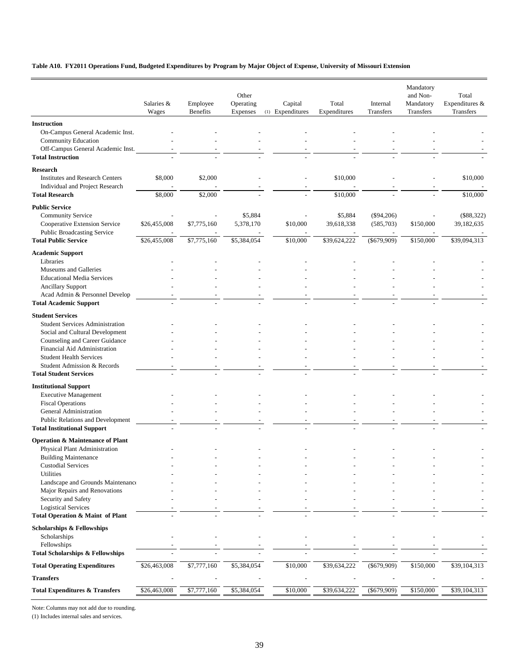#### **Table A10. FY2011 Operations Fund, Budgeted Expenditures by Program by Major Object of Expense, University of Missouri Extension**

|                                                                                    | Salaries &<br>Wages | Employee<br>Benefits | Other<br>Operating<br>Expenses | Capital<br>(1) Expenditures | Total<br>Expenditures | Internal<br>Transfers     | Mandatory<br>and Non-<br>Mandatory<br>Transfers | Total<br>Expenditures &<br>Transfers |
|------------------------------------------------------------------------------------|---------------------|----------------------|--------------------------------|-----------------------------|-----------------------|---------------------------|-------------------------------------------------|--------------------------------------|
| <b>Instruction</b>                                                                 |                     |                      |                                |                             |                       |                           |                                                 |                                      |
| On-Campus General Academic Inst.<br>Community Education                            |                     |                      |                                |                             |                       |                           |                                                 |                                      |
| Off-Campus General Academic Inst.<br><b>Total Instruction</b>                      |                     |                      |                                |                             |                       |                           |                                                 |                                      |
| <b>Research</b>                                                                    |                     |                      |                                |                             |                       |                           |                                                 |                                      |
| <b>Institutes and Research Centers</b><br>Individual and Project Research          | \$8,000             | \$2,000              |                                |                             | \$10,000              |                           |                                                 | \$10,000                             |
| <b>Total Research</b>                                                              | \$8,000             | \$2,000              |                                |                             | \$10,000              |                           |                                                 | \$10,000                             |
| <b>Public Service</b><br><b>Community Service</b><br>Cooperative Extension Service | \$26,455,008        | \$7,775,160          | \$5,884<br>5,378,170           | \$10,000                    | \$5,884<br>39,618,338 | $(\$94,206)$<br>(585,703) | \$150,000                                       | $(\$88,322)$<br>39,182,635           |
| <b>Public Broadcasting Service</b>                                                 |                     |                      |                                |                             |                       |                           |                                                 |                                      |
| <b>Total Public Service</b>                                                        | \$26,455,008        | \$7,775,160          | \$5,384,054                    | \$10,000                    | \$39,624,222          | $(\$679,909)$             | \$150,000                                       | \$39,094,313                         |
| <b>Academic Support</b><br>Libraries                                               |                     |                      |                                |                             |                       |                           |                                                 |                                      |
| Museums and Galleries                                                              |                     |                      |                                |                             |                       |                           |                                                 |                                      |
| <b>Educational Media Services</b>                                                  |                     |                      |                                |                             |                       |                           |                                                 |                                      |
| <b>Ancillary Support</b>                                                           |                     |                      |                                |                             |                       |                           |                                                 |                                      |
| Acad Admin & Personnel Develop                                                     |                     |                      |                                |                             |                       |                           |                                                 |                                      |
| <b>Total Academic Support</b>                                                      |                     |                      |                                |                             |                       |                           |                                                 |                                      |
| <b>Student Services</b>                                                            |                     |                      |                                |                             |                       |                           |                                                 |                                      |
| <b>Student Services Administration</b>                                             |                     |                      |                                |                             |                       |                           |                                                 |                                      |
| Social and Cultural Development                                                    |                     |                      |                                |                             |                       |                           |                                                 |                                      |
| Counseling and Career Guidance<br>Financial Aid Administration                     |                     |                      |                                |                             |                       |                           |                                                 |                                      |
| <b>Student Health Services</b>                                                     |                     |                      |                                |                             |                       |                           |                                                 |                                      |
| Student Admission & Records                                                        |                     |                      |                                |                             |                       |                           |                                                 |                                      |
| <b>Total Student Services</b>                                                      |                     |                      |                                |                             |                       |                           |                                                 |                                      |
| <b>Institutional Support</b>                                                       |                     |                      |                                |                             |                       |                           |                                                 |                                      |
| <b>Executive Management</b>                                                        |                     |                      |                                |                             |                       |                           |                                                 |                                      |
| <b>Fiscal Operations</b>                                                           |                     |                      |                                |                             |                       |                           |                                                 |                                      |
| General Administration                                                             |                     |                      |                                |                             |                       |                           |                                                 |                                      |
| Public Relations and Development                                                   |                     |                      |                                |                             |                       |                           |                                                 |                                      |
| <b>Total Institutional Support</b>                                                 |                     |                      |                                |                             |                       |                           |                                                 |                                      |
| <b>Operation &amp; Maintenance of Plant</b>                                        |                     |                      |                                |                             |                       |                           |                                                 |                                      |
| Physical Plant Administration<br><b>Building Maintenance</b>                       |                     |                      |                                |                             |                       |                           |                                                 |                                      |
| <b>Custodial Services</b>                                                          |                     |                      |                                |                             |                       |                           |                                                 |                                      |
| Utilities                                                                          |                     |                      |                                |                             |                       |                           |                                                 |                                      |
| Landscape and Grounds Maintenance                                                  |                     |                      |                                |                             |                       |                           |                                                 |                                      |
| Major Repairs and Renovations                                                      |                     |                      |                                |                             |                       |                           |                                                 |                                      |
| Security and Safety<br><b>Logistical Services</b>                                  |                     |                      |                                |                             |                       |                           |                                                 |                                      |
| Total Operation & Maint of Plant                                                   |                     |                      |                                |                             |                       |                           |                                                 |                                      |
| <b>Scholarships &amp; Fellowships</b>                                              |                     |                      |                                |                             |                       |                           |                                                 |                                      |
| Scholarships                                                                       |                     |                      |                                |                             |                       |                           |                                                 |                                      |
| Fellowships                                                                        |                     |                      |                                |                             |                       |                           |                                                 |                                      |
| <b>Total Scholarships &amp; Fellowships</b>                                        |                     |                      |                                |                             |                       |                           |                                                 |                                      |
| <b>Total Operating Expenditures</b>                                                | \$26,463,008        | \$7,777,160          | \$5,384,054                    | \$10,000                    | \$39,634,222          | $(\$679,909)$             | \$150,000                                       | \$39,104,313                         |
| <b>Transfers</b>                                                                   |                     |                      |                                |                             |                       |                           |                                                 |                                      |
| <b>Total Expenditures &amp; Transfers</b>                                          | \$26,463,008        | \$7,777,160          | \$5,384,054                    | \$10,000                    | \$39,634,222          | $(\$679,909)$             | \$150,000                                       | \$39,104,313                         |

Note: Columns may not add due to rounding.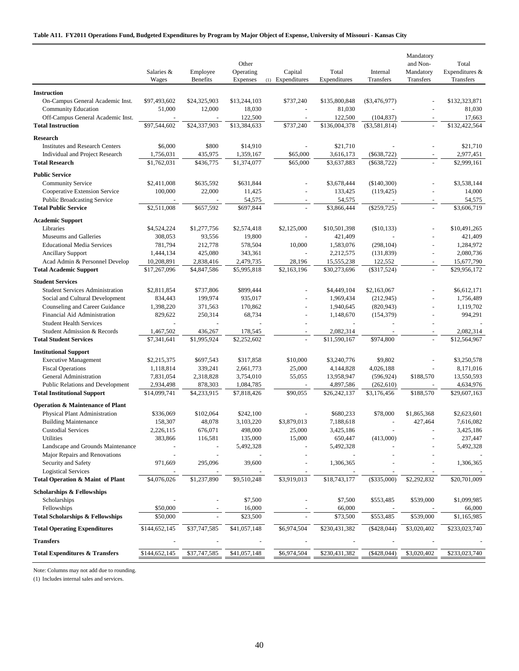#### **Table A11. FY2011 Operations Fund, Budgeted Expenditures by Program by Major Object of Expense, University of Missouri - Kansas City**

|                                                                           | Salaries &<br>Wages      | Employee<br><b>Benefits</b> | Other<br>Operating<br>Expenses | Capital<br>(1) Expenditures | Total<br>Expenditures     | Internal<br>Transfers | Mandatory<br>and Non-<br>Mandatory<br>Transfers | Total<br>Expenditures &<br>Transfers |
|---------------------------------------------------------------------------|--------------------------|-----------------------------|--------------------------------|-----------------------------|---------------------------|-----------------------|-------------------------------------------------|--------------------------------------|
| <b>Instruction</b>                                                        |                          |                             |                                |                             |                           |                       |                                                 |                                      |
| On-Campus General Academic Inst.                                          | \$97,493,602             | \$24,325,903                | \$13,244,103                   | \$737,240                   | \$135,800,848             | $(\$3,476,977)$       |                                                 | \$132,323,871                        |
| <b>Community Education</b>                                                | 51,000                   | 12,000                      | 18,030                         |                             | 81,030                    |                       |                                                 | 81,030                               |
| Off-Campus General Academic Inst.                                         |                          |                             | 122,500                        |                             | 122,500                   | (104, 837)            |                                                 | 17,663                               |
| <b>Total Instruction</b>                                                  | \$97,544,602             | \$24,337,903                | \$13,384,633                   | \$737,240                   | \$136,004,378             | $(\$3,581,814)$       |                                                 | \$132,422,564                        |
|                                                                           |                          |                             |                                |                             |                           |                       |                                                 |                                      |
| <b>Research</b>                                                           |                          |                             |                                |                             |                           |                       |                                                 |                                      |
| <b>Institutes and Research Centers</b><br>Individual and Project Research | \$6,000<br>1,756,031     | \$800<br>435,975            | \$14,910                       | \$65,000                    | \$21,710                  | $(\$638,722)$         |                                                 | \$21,710<br>2,977,451                |
| <b>Total Research</b>                                                     | \$1,762,031              | \$436,775                   | 1,359,167<br>\$1,374,077       | \$65,000                    | 3,616,173<br>\$3,637,883  | $(\$638,722)$         | $\sim$                                          | \$2,999,161                          |
|                                                                           |                          |                             |                                |                             |                           |                       |                                                 |                                      |
| <b>Public Service</b>                                                     |                          |                             |                                |                             |                           |                       |                                                 |                                      |
| <b>Community Service</b>                                                  | \$2,411,008              | \$635,592                   | \$631,844                      |                             | \$3,678,444               | (\$140,300)           |                                                 | \$3,538,144                          |
| Cooperative Extension Service                                             | 100,000                  | 22,000                      | 11,425                         |                             | 133,425                   | (119, 425)            |                                                 | 14,000                               |
| Public Broadcasting Service                                               | \$2,511,008              | \$657,592                   | 54,575<br>\$697,844            |                             | 54,575                    |                       |                                                 | 54,575<br>\$3,606,719                |
| <b>Total Public Service</b>                                               |                          |                             |                                |                             | \$3,866,444               | $(\$259,725)$         |                                                 |                                      |
| <b>Academic Support</b>                                                   |                          |                             |                                |                             |                           |                       |                                                 |                                      |
| Libraries                                                                 | \$4,524,224              | \$1,277,756                 | \$2,574,418                    | \$2,125,000                 | \$10,501,398              | $(\$10,133)$          |                                                 | \$10,491,265                         |
| Museums and Galleries                                                     | 308,053                  | 93,556                      | 19,800                         |                             | 421,409                   |                       |                                                 | 421,409                              |
| <b>Educational Media Services</b>                                         | 781,794                  | 212,778                     | 578,504                        | 10,000                      | 1,583,076                 | (298, 104)            |                                                 | 1,284,972                            |
| <b>Ancillary Support</b>                                                  | 1,444,134                | 425,080                     | 343,361                        | L,                          | 2,212,575                 | (131, 839)            | $\sim$                                          | 2,080,736                            |
| Acad Admin & Personnel Develop                                            | 10,208,891               | 2,838,416                   | 2,479,735                      | 28,196<br>\$2,163,196       | 15,555,238                | 122,552               | $\sim$<br>$\bar{\phantom{a}}$                   | 15,677,790                           |
| <b>Total Academic Support</b>                                             | \$17,267,096             | \$4,847,586                 | \$5,995,818                    |                             | \$30,273,696              | $(\$317,524)$         |                                                 | \$29,956,172                         |
| <b>Student Services</b>                                                   |                          |                             |                                |                             |                           |                       |                                                 |                                      |
| <b>Student Services Administration</b>                                    | \$2,811,854              | \$737,806                   | \$899,444                      |                             | \$4,449,104               | \$2,163,067           |                                                 | \$6,612,171                          |
| Social and Cultural Development                                           | 834,443                  | 199,974                     | 935,017                        |                             | 1,969,434                 | (212, 945)            |                                                 | 1,756,489                            |
| Counseling and Career Guidance                                            | 1,398,220                | 371,563                     | 170,862                        |                             | 1,940,645                 | (820, 943)            |                                                 | 1,119,702                            |
| Financial Aid Administration                                              | 829,622                  | 250,314                     | 68,734                         | $\blacksquare$              | 1,148,670                 | (154, 379)            |                                                 | 994,291                              |
| <b>Student Health Services</b>                                            |                          |                             |                                |                             |                           |                       |                                                 |                                      |
| Student Admission & Records<br><b>Total Student Services</b>              | 1,467,502<br>\$7,341,641 | 436,267<br>\$1,995,924      | 178,545<br>\$2,252,602         |                             | 2,082,314<br>\$11,590,167 | \$974,800             |                                                 | 2,082,314<br>\$12,564,967            |
|                                                                           |                          |                             |                                |                             |                           |                       |                                                 |                                      |
| <b>Institutional Support</b>                                              |                          |                             |                                |                             |                           |                       |                                                 |                                      |
| <b>Executive Management</b>                                               | \$2,215,375              | \$697,543                   | \$317,858                      | \$10,000                    | \$3,240,776               | \$9,802               |                                                 | \$3,250,578                          |
| <b>Fiscal Operations</b>                                                  | 1,118,814                | 339,241                     | 2,661,773                      | 25,000                      | 4,144,828                 | 4,026,188             |                                                 | 8,171,016                            |
| General Administration                                                    | 7,831,054                | 2,318,828                   | 3,754,010                      | 55,055                      | 13,958,947                | (596, 924)            | \$188,570                                       | 13,550,593                           |
| Public Relations and Development                                          | 2,934,498                | 878,303                     | 1,084,785                      | \$90,055                    | 4,897,586                 | (262, 610)            | \$188,570                                       | 4,634,976<br>\$29,607,163            |
| <b>Total Institutional Support</b>                                        | \$14,099,741             | \$4,233,915                 | \$7,818,426                    |                             | \$26,242,137              | \$3,176,456           |                                                 |                                      |
| <b>Operation &amp; Maintenance of Plant</b>                               |                          |                             |                                |                             |                           |                       |                                                 |                                      |
| Physical Plant Administration                                             | \$336,069                | \$102,064                   | \$242,100                      |                             | \$680,233                 | \$78,000              | \$1,865,368                                     | \$2,623,601                          |
| <b>Building Maintenance</b>                                               | 158,307                  | 48,078                      | 3,103,220                      | \$3,879,013                 | 7,188,618                 | $\overline{a}$        | 427,464                                         | 7,616,082                            |
| <b>Custodial Services</b>                                                 | 2,226,115                | 676,071                     | 498,000                        | 25,000                      | 3,425,186                 |                       |                                                 | 3,425,186                            |
| Utilities                                                                 | 383,866                  | 116,581                     | 135,000                        | 15,000                      | 650,447                   | (413,000)             |                                                 | 237,447                              |
| Landscape and Grounds Maintenance                                         |                          |                             | 5,492,328                      |                             | 5,492,328                 |                       |                                                 | 5,492,328                            |
| Major Repairs and Renovations<br>Security and Safety                      | 971,669                  | 295,096                     | 39,600                         |                             | 1,306,365                 |                       |                                                 | 1,306,365                            |
| <b>Logistical Services</b>                                                |                          |                             |                                |                             |                           |                       |                                                 |                                      |
| Total Operation & Maint of Plant                                          | \$4,076,026              | \$1,237,890                 | \$9,510,248                    | \$3,919,013                 | \$18,743,177              | $(\$335,000)$         | \$2,292,832                                     | \$20,701,009                         |
|                                                                           |                          |                             |                                |                             |                           |                       |                                                 |                                      |
| <b>Scholarships &amp; Fellowships</b>                                     |                          |                             |                                |                             |                           |                       |                                                 |                                      |
| Scholarships                                                              |                          |                             | \$7,500                        |                             | \$7,500                   | \$553,485             | \$539,000                                       | \$1,099,985                          |
| Fellowships<br><b>Total Scholarships &amp; Fellowships</b>                | \$50,000<br>\$50,000     |                             | 16,000<br>\$23,500             |                             | 66,000<br>\$73,500        | \$553,485             | \$539,000                                       | 66,000<br>\$1,165,985                |
|                                                                           |                          |                             |                                |                             |                           |                       |                                                 |                                      |
| <b>Total Operating Expenditures</b>                                       | \$144,652,145            | \$37,747,585                | \$41,057,148                   | \$6,974,504                 | \$230,431,382             | $(*428,044)$          | \$3,020,402                                     | \$233,023,740                        |
| <b>Transfers</b>                                                          |                          |                             |                                |                             |                           |                       |                                                 |                                      |
| <b>Total Expenditures &amp; Transfers</b>                                 | \$144,652,145            | \$37,747,585                | \$41,057,148                   | \$6,974,504                 | \$230,431,382             | $(*428,044)$          | \$3,020,402                                     | \$233,023,740                        |

Note: Columns may not add due to rounding.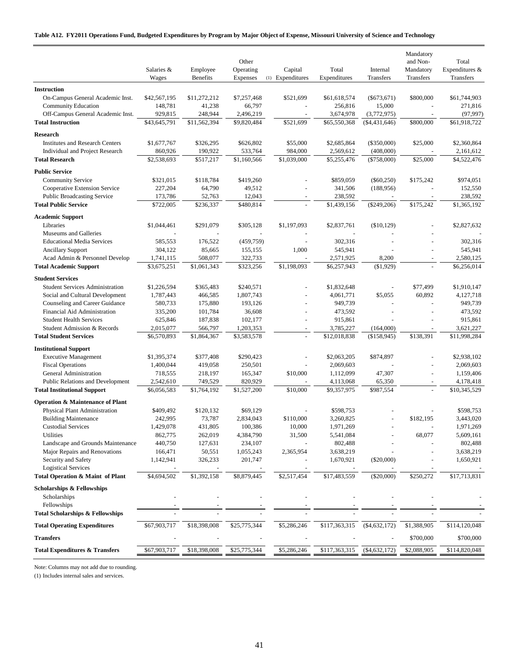#### **Table A12. FY2011 Operations Fund, Budgeted Expenditures by Program by Major Object of Expense, Missouri University of Science and Technology**

|                                                                           | Salaries &<br>Wages    | Employee<br><b>Benefits</b> | Other<br>Operating<br>Expenses | Capital<br>(1) Expenditures | Total<br>Expenditures    | Internal<br>Transfers      | Mandatory<br>and Non-<br>Mandatory<br>Transfers | Total<br>Expenditures &<br>Transfers |
|---------------------------------------------------------------------------|------------------------|-----------------------------|--------------------------------|-----------------------------|--------------------------|----------------------------|-------------------------------------------------|--------------------------------------|
| <b>Instruction</b>                                                        |                        |                             |                                |                             |                          |                            |                                                 |                                      |
| On-Campus General Academic Inst.                                          | \$42,567,195           | \$11,272,212                | \$7,257,468                    | \$521,699                   | \$61,618,574             | $(\$673,671)$              | \$800,000                                       | \$61,744,903                         |
| <b>Community Education</b>                                                | 148,781                | 41,238                      | 66,797                         |                             | 256,816                  | 15,000                     |                                                 | 271,816                              |
| Off-Campus General Academic Inst.                                         | 929,815                | 248,944                     | 2,496,219                      |                             | 3,674,978                | (3,772,975)                |                                                 | (97, 997)                            |
| <b>Total Instruction</b>                                                  | \$43,645,791           | \$11,562,394                | \$9,820,484                    | \$521,699                   | \$65,550,368             | $(\$4,431,646)$            | \$800,000                                       | \$61,918,722                         |
| <b>Research</b>                                                           |                        |                             |                                |                             |                          |                            |                                                 |                                      |
|                                                                           |                        |                             | \$626,802                      |                             |                          | (\$350,000)                |                                                 |                                      |
| <b>Institutes and Research Centers</b><br>Individual and Project Research | \$1,677,767            | \$326,295                   |                                | \$55,000                    | \$2,685,864              |                            | \$25,000                                        | \$2,360,864                          |
| <b>Total Research</b>                                                     | 860,926<br>\$2,538,693 | 190,922<br>\$517,217        | 533,764<br>\$1,160,566         | 984,000<br>\$1,039,000      | 2,569,612<br>\$5,255,476 | (408,000)<br>$(\$758,000)$ | \$25,000                                        | 2,161,612<br>\$4,522,476             |
|                                                                           |                        |                             |                                |                             |                          |                            |                                                 |                                      |
| <b>Public Service</b>                                                     |                        |                             |                                |                             |                          |                            |                                                 |                                      |
| <b>Community Service</b>                                                  | \$321,015              | \$118,784                   | \$419,260                      |                             | \$859,059                | $(\$60,250)$               | \$175,242                                       | \$974,051                            |
| Cooperative Extension Service                                             | 227,204                | 64,790                      | 49,512                         |                             | 341,506                  | (188,956)                  |                                                 | 152,550                              |
| <b>Public Broadcasting Service</b>                                        | 173,786                | 52,763                      | 12,043                         |                             | 238,592                  | $\sim$                     |                                                 | 238,592                              |
| <b>Total Public Service</b>                                               | \$722,005              | \$236,337                   | \$480,814                      |                             | \$1,439,156              | $(\$249,206)$              | \$175,242                                       | \$1,365,192                          |
| <b>Academic Support</b>                                                   |                        |                             |                                |                             |                          |                            |                                                 |                                      |
| Libraries                                                                 | \$1,044,461            | \$291,079                   | \$305,128                      | \$1,197,093                 | \$2,837,761              | (\$10,129)                 |                                                 | \$2,827,632                          |
| Museums and Galleries                                                     |                        |                             |                                |                             |                          |                            |                                                 |                                      |
| <b>Educational Media Services</b>                                         | 585,553                | 176,522                     | (459, 759)                     |                             | 302,316                  | $\sim$                     |                                                 | 302,316                              |
| <b>Ancillary Support</b>                                                  | 304,122                | 85,665                      | 155,155                        | 1,000                       | 545,941                  |                            |                                                 | 545,941                              |
| Acad Admin & Personnel Develop                                            | 1,741,115              | 508,077                     | 322,733                        |                             | 2,571,925                | 8,200                      |                                                 | 2,580,125                            |
| <b>Total Academic Support</b>                                             | \$3,675,251            | \$1,061,343                 | \$323,256                      | \$1,198,093                 | \$6,257,943              | (\$1,929)                  |                                                 | \$6,256,014                          |
| <b>Student Services</b>                                                   |                        |                             |                                |                             |                          |                            |                                                 |                                      |
| <b>Student Services Administration</b>                                    | \$1,226,594            | \$365,483                   | \$240,571                      |                             | \$1,832,648              | $\overline{a}$             | \$77,499                                        | \$1,910,147                          |
| Social and Cultural Development                                           | 1,787,443              | 466,585                     | 1,807,743                      |                             | 4,061,771                | \$5,055                    | 60,892                                          | 4,127,718                            |
| Counseling and Career Guidance                                            | 580,733                | 175,880                     | 193,126                        |                             | 949,739                  |                            |                                                 | 949,739                              |
| Financial Aid Administration                                              | 335,200                | 101,784                     | 36,608                         | ÷,                          | 473,592                  |                            |                                                 | 473,592                              |
| <b>Student Health Services</b>                                            | 625,846                | 187,838                     | 102,177                        | L,                          | 915,861                  |                            |                                                 | 915,861                              |
| Student Admission & Records                                               | 2,015,077              | 566,797                     | 1,203,353                      | $\blacksquare$              | 3,785,227                | (164,000)                  |                                                 | 3,621,227                            |
| <b>Total Student Services</b>                                             | \$6,570,893            | \$1,864,367                 | \$3,583,578                    |                             | \$12,018,838             | (\$158,945)                | \$138,391                                       | \$11,998,284                         |
| <b>Institutional Support</b>                                              |                        |                             |                                |                             |                          |                            |                                                 |                                      |
| <b>Executive Management</b>                                               | \$1,395,374            | \$377,408                   | \$290,423                      |                             | \$2,063,205              | \$874,897                  |                                                 | \$2,938,102                          |
| <b>Fiscal Operations</b>                                                  | 1,400,044              | 419,058                     | 250,501                        | L.                          | 2,069,603                |                            | ÷.                                              | 2,069,603                            |
| General Administration                                                    | 718,555                | 218,197                     | 165,347                        | \$10,000                    | 1,112,099                | 47,307                     | L,                                              | 1,159,406                            |
| Public Relations and Development                                          | 2,542,610              | 749,529                     | 820,929                        |                             | 4,113,068                | 65,350                     |                                                 | 4,178,418                            |
| <b>Total Institutional Support</b>                                        | \$6,056,583            | \$1,764,192                 | \$1,527,200                    | \$10,000                    | \$9,357,975              | \$987,554                  | $\overline{\phantom{a}}$                        | \$10,345,529                         |
|                                                                           |                        |                             |                                |                             |                          |                            |                                                 |                                      |
| <b>Operation &amp; Maintenance of Plant</b>                               |                        |                             |                                |                             |                          |                            |                                                 |                                      |
| Physical Plant Administration                                             | \$409,492              | \$120,132                   | \$69,129                       |                             | \$598,753                |                            |                                                 | \$598,753                            |
| <b>Building Maintenance</b>                                               | 242,995                | 73,787                      | 2,834,043                      | \$110,000<br>10,000         | 3,260,825                |                            | \$182,195                                       | 3,443,020                            |
| <b>Custodial Services</b>                                                 | 1,429,078              | 431,805                     | 100,386                        |                             | 1,971,269                |                            |                                                 | 1,971,269                            |
| Utilities<br>Landscape and Grounds Maintenance                            | 862,775<br>440,750     | 262,019<br>127,631          | 4,384,790<br>234,107           | 31,500                      | 5,541,084<br>802,488     |                            | 68,077                                          | 5,609,161<br>802,488                 |
| Major Repairs and Renovations                                             | 166,471                | 50,551                      | 1,055,243                      | 2,365,954                   | 3,638,219                |                            |                                                 | 3,638,219                            |
| Security and Safety                                                       | 1,142,941              | 326,233                     | 201,747                        |                             | 1,670,921                | $(\$20,000)$               |                                                 | 1,650,921                            |
| <b>Logistical Services</b>                                                |                        |                             |                                |                             |                          |                            |                                                 |                                      |
| Total Operation & Maint of Plant                                          | \$4,694,502            | \$1,392,158                 | \$8,879,445                    | \$2,517,454                 | \$17,483,559             | $(\$20,000)$               | \$250,272                                       | \$17,713,831                         |
|                                                                           |                        |                             |                                |                             |                          |                            |                                                 |                                      |
| <b>Scholarships &amp; Fellowships</b>                                     |                        |                             |                                |                             |                          |                            |                                                 |                                      |
| Scholarships                                                              |                        |                             |                                |                             |                          |                            |                                                 |                                      |
| Fellowships                                                               |                        |                             |                                |                             |                          |                            |                                                 |                                      |
| <b>Total Scholarships &amp; Fellowships</b>                               |                        |                             |                                |                             |                          |                            |                                                 |                                      |
| <b>Total Operating Expenditures</b>                                       | \$67,903,717           | \$18,398,008                | \$25,775,344                   | \$5,286,246                 | \$117,363,315            | (\$4,632,172)              | \$1,388,905                                     | \$114,120,048                        |
| <b>Transfers</b>                                                          |                        |                             |                                |                             |                          |                            | \$700,000                                       | \$700,000                            |
| <b>Total Expenditures &amp; Transfers</b>                                 | \$67,903,717           | \$18,398,008                | \$25,775,344                   | \$5,286,246                 | \$117,363,315            | ( \$4,632,172)             | \$2,088,905                                     | \$114,820,048                        |

Note: Columns may not add due to rounding.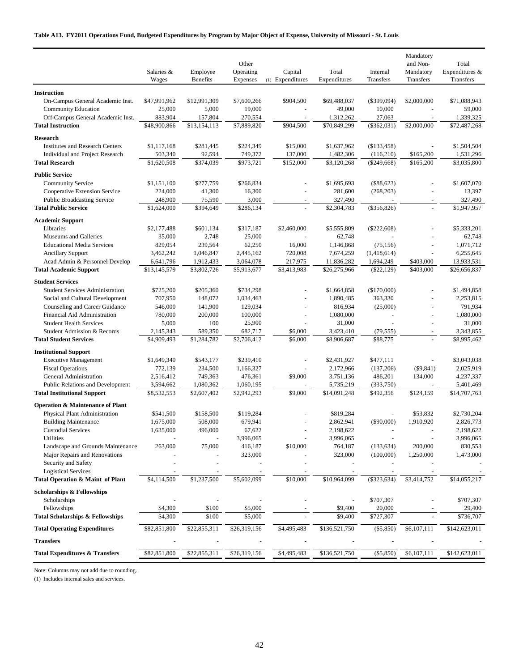#### **Table A13. FY2011 Operations Fund, Budgeted Expenditures by Program by Major Object of Expense, University of Missouri - St. Louis**

|                                                                 | Salaries &<br>Wages     | Employee<br><b>Benefits</b> | Other<br>Operating<br>Expenses | Capital<br>(1) Expenditures | Total<br>Expenditures     | Internal<br><b>Transfers</b> | Mandatory<br>and Non-<br>Mandatory<br>Transfers | Total<br>Expenditures &<br>Transfers |
|-----------------------------------------------------------------|-------------------------|-----------------------------|--------------------------------|-----------------------------|---------------------------|------------------------------|-------------------------------------------------|--------------------------------------|
|                                                                 |                         |                             |                                |                             |                           |                              |                                                 |                                      |
| <b>Instruction</b>                                              |                         |                             |                                |                             |                           |                              |                                                 |                                      |
| On-Campus General Academic Inst.                                | \$47,991,962            | \$12,991,309                | \$7,600,266                    | \$904,500                   | \$69,488,037              | $(\$399,094)$                | \$2,000,000                                     | \$71,088,943                         |
| <b>Community Education</b><br>Off-Campus General Academic Inst. | 25,000                  | 5,000                       | 19,000                         | $\sim$                      | 49,000                    | 10,000                       |                                                 | 59,000                               |
| <b>Total Instruction</b>                                        | 883,904<br>\$48,900,866 | 157,804<br>\$13,154,113     | 270,554<br>\$7,889,820         | \$904,500                   | 1,312,262<br>\$70,849,299 | 27,063<br>$(\$362,031)$      | $\blacksquare$<br>\$2,000,000                   | 1,339,325<br>\$72,487,268            |
|                                                                 |                         |                             |                                |                             |                           |                              |                                                 |                                      |
| <b>Research</b>                                                 |                         |                             |                                |                             |                           |                              |                                                 |                                      |
| <b>Institutes and Research Centers</b>                          | \$1,117,168             | \$281,445                   | \$224,349                      | \$15,000                    | \$1,637,962               | $(\$133,458)$                |                                                 | \$1,504,504                          |
| Individual and Project Research                                 | 503,340                 | 92,594                      | 749,372                        | 137,000                     | 1,482,306                 | (116,210)                    | \$165,200                                       | 1,531,296                            |
| <b>Total Research</b>                                           | \$1,620,508             | \$374,039                   | \$973,721                      | \$152,000                   | \$3,120,268               | $(\$249,668)$                | \$165,200                                       | \$3,035,800                          |
| <b>Public Service</b>                                           |                         |                             |                                |                             |                           |                              |                                                 |                                      |
| <b>Community Service</b>                                        | \$1,151,100             | \$277,759                   | \$266,834                      |                             | \$1,695,693               | $(\$88,623)$                 | L,                                              | \$1,607,070                          |
| Cooperative Extension Service                                   | 224,000                 | 41,300                      | 16,300                         |                             | 281,600                   | (268, 203)                   |                                                 | 13,397                               |
| <b>Public Broadcasting Service</b>                              | 248,900                 | 75,590                      | 3,000                          |                             | 327,490                   |                              |                                                 | 327,490                              |
| <b>Total Public Service</b>                                     | \$1,624,000             | \$394,649                   | \$286,134                      |                             | \$2,304,783               | $(\$356,826)$                |                                                 | \$1,947,957                          |
| <b>Academic Support</b>                                         |                         |                             |                                |                             |                           |                              |                                                 |                                      |
| Libraries                                                       | \$2,177,488             | \$601,134                   | \$317,187                      | \$2,460,000                 | \$5,555,809               | $(\$222,608)$                |                                                 | \$5,333,201                          |
| Museums and Galleries                                           | 35,000                  | 2,748                       | 25,000                         |                             | 62,748                    |                              |                                                 | 62,748                               |
| <b>Educational Media Services</b>                               | 829,054                 | 239,564                     | 62,250                         | 16,000                      | 1,146,868                 | (75, 156)                    |                                                 | 1,071,712                            |
| <b>Ancillary Support</b>                                        | 3,462,242               | 1,046,847                   | 2,445,162                      | 720,008                     | 7,674,259                 | (1,418,614)                  | L,                                              | 6,255,645                            |
| Acad Admin & Personnel Develop                                  | 6,641,796               | 1,912,433                   | 3,064,078                      | 217,975                     | 11,836,282                | 1,694,249                    | \$403,000                                       | 13,933,531                           |
| <b>Total Academic Support</b>                                   | \$13,145,579            | \$3,802,726                 | \$5,913,677                    | \$3,413,983                 | \$26,275,966              | $(\$22,129)$                 | \$403,000                                       | \$26,656,837                         |
| <b>Student Services</b>                                         |                         |                             |                                |                             |                           |                              |                                                 |                                      |
| <b>Student Services Administration</b>                          | \$725,200               | \$205,360                   | \$734,298                      |                             | \$1,664,858               | (\$170,000)                  |                                                 | \$1,494,858                          |
| Social and Cultural Development                                 | 707,950                 | 148,072                     | 1,034,463                      |                             | 1,890,485                 | 363,330                      |                                                 | 2,253,815                            |
| Counseling and Career Guidance                                  | 546,000                 | 141,900                     | 129,034                        |                             | 816,934                   | (25,000)                     |                                                 | 791,934                              |
| Financial Aid Administration                                    | 780,000                 | 200,000                     | 100,000                        | L,                          | 1,080,000                 |                              | L,                                              | 1,080,000                            |
| <b>Student Health Services</b>                                  | 5,000                   | 100                         | 25,900                         |                             | 31,000                    |                              |                                                 | 31,000                               |
| Student Admission & Records                                     | 2,145,343               | 589,350                     | 682,717                        | \$6,000                     | 3,423,410                 | (79, 555)                    |                                                 | 3,343,855                            |
| <b>Total Student Services</b>                                   | \$4,909,493             | \$1,284,782                 | \$2,706,412                    | \$6,000                     | \$8,906,687               | \$88,775                     |                                                 | \$8,995,462                          |
| <b>Institutional Support</b>                                    |                         |                             |                                |                             |                           |                              |                                                 |                                      |
| <b>Executive Management</b>                                     | \$1,649,340             | \$543,177                   | \$239,410                      |                             | \$2,431,927               | \$477,111                    |                                                 | \$3,043,038                          |
| <b>Fiscal Operations</b>                                        | 772,139                 | 234,500                     | 1,166,327                      |                             | 2,172,966                 | (137,206)                    | ( \$9, 841)                                     | 2,025,919                            |
| General Administration                                          | 2,516,412               | 749,363                     | 476,361                        | \$9,000                     | 3,751,136                 | 486,201                      | 134,000                                         | 4,237,337                            |
| <b>Public Relations and Development</b>                         | 3,594,662               | 1,080,362                   | 1,060,195                      |                             | 5,735,219                 | (333,750)                    |                                                 | 5,401,469                            |
| <b>Total Institutional Support</b>                              | \$8,532,553             | \$2,607,402                 | \$2,942,293                    | \$9,000                     | \$14,091,248              | \$492,356                    | \$124,159                                       | \$14,707,763                         |
| <b>Operation &amp; Maintenance of Plant</b>                     |                         |                             |                                |                             |                           |                              |                                                 |                                      |
| Physical Plant Administration                                   | \$541,500               | \$158,500                   | \$119,284                      |                             | \$819,284                 |                              | \$53,832                                        | \$2,730,204                          |
| <b>Building Maintenance</b>                                     | 1,675,000               | 508,000                     | 679,941                        |                             | 2,862,941                 | $(\$90,000)$                 | 1,910,920                                       | 2,826,773                            |
| <b>Custodial Services</b>                                       | 1,635,000               | 496,000                     | 67,622                         |                             | 2,198,622                 |                              |                                                 | 2,198,622                            |
| Utilities                                                       |                         |                             | 3,996,065                      |                             | 3,996,065                 |                              |                                                 | 3,996,065                            |
| Landscape and Grounds Maintenance                               | 263,000                 | 75,000                      | 416,187                        | \$10,000                    | 764,187                   | (133, 634)                   | 200,000                                         | 830,553                              |
| Major Repairs and Renovations                                   |                         |                             | 323,000                        |                             | 323,000                   | (100,000)                    | 1,250,000                                       | 1,473,000                            |
| Security and Safety                                             |                         |                             |                                |                             |                           |                              |                                                 |                                      |
| <b>Logistical Services</b>                                      |                         |                             |                                |                             |                           |                              |                                                 |                                      |
| Total Operation & Maint of Plant                                | \$4,114,500             | \$1,237,500                 | \$5,602,099                    | \$10,000                    | \$10,964,099              | $(\$323,634)$                | \$3,414,752                                     | \$14,055,217                         |
| <b>Scholarships &amp; Fellowships</b>                           |                         |                             |                                |                             |                           |                              |                                                 |                                      |
| Scholarships                                                    |                         |                             |                                |                             |                           | \$707,307                    |                                                 | \$707,307                            |
| Fellowships                                                     | \$4,300                 | \$100                       | \$5,000                        |                             | \$9,400                   | 20,000                       |                                                 | 29,400                               |
| <b>Total Scholarships &amp; Fellowships</b>                     | \$4,300                 | \$100                       | \$5,000                        |                             | \$9,400                   | \$727,307                    |                                                 | \$736,707                            |
| <b>Total Operating Expenditures</b>                             | \$82,851,800            | \$22,855,311                | \$26,319,156                   | \$4,495,483                 | \$136,521,750             | $(\$5,850)$                  | \$6,107,111                                     | \$142,623,011                        |
| <b>Transfers</b>                                                |                         |                             |                                |                             |                           |                              |                                                 |                                      |
| <b>Total Expenditures &amp; Transfers</b>                       | \$82,851,800            | \$22,855,311                | \$26,319,156                   | \$4,495,483                 | \$136,521,750             | $(\$5,850)$                  | \$6,107,111                                     | \$142,623,011                        |
|                                                                 |                         |                             |                                |                             |                           |                              |                                                 |                                      |

Note: Columns may not add due to rounding.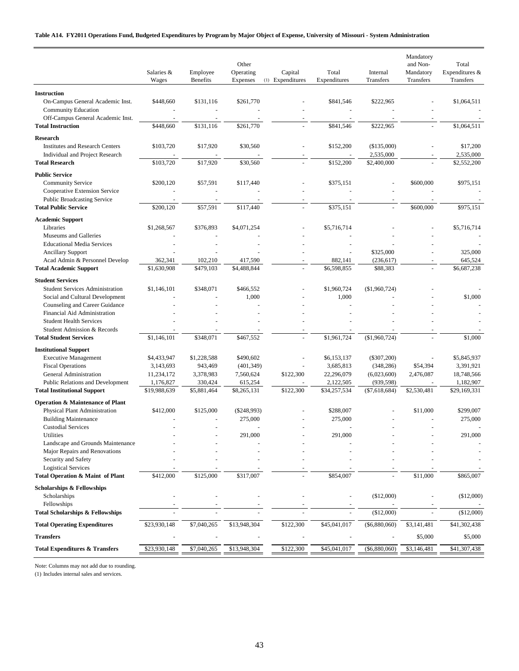#### **Table A14. FY2011 Operations Fund, Budgeted Expenditures by Program by Major Object of Expense, University of Missouri - System Administration**

|                                                                                              | Salaries &<br>Wages      | Employee<br>Benefits   | Other<br>Operating<br>Expenses | Capital<br>(1) Expenditures | Total<br>Expenditures    | Internal<br>Transfers       | Mandatory<br>and Non-<br>Mandatory<br>Transfers | Total<br>Expenditures &<br>Transfers |
|----------------------------------------------------------------------------------------------|--------------------------|------------------------|--------------------------------|-----------------------------|--------------------------|-----------------------------|-------------------------------------------------|--------------------------------------|
| <b>Instruction</b>                                                                           |                          |                        |                                |                             |                          |                             |                                                 |                                      |
| On-Campus General Academic Inst.<br>Community Education<br>Off-Campus General Academic Inst. | \$448,660                | \$131,116              | \$261,770                      |                             | \$841,546                | \$222,965                   |                                                 | \$1,064,511                          |
| <b>Total Instruction</b>                                                                     | \$448,660                | \$131,116              | \$261,770                      |                             | \$841,546                | \$222,965                   |                                                 | \$1,064,511                          |
| <b>Research</b><br><b>Institutes and Research Centers</b><br>Individual and Project Research | \$103,720                | \$17,920               | \$30,560                       |                             | \$152,200                | (\$135,000)<br>2,535,000    |                                                 | \$17,200<br>2,535,000                |
| <b>Total Research</b>                                                                        | \$103,720                | \$17,920               | \$30,560                       |                             | \$152,200                | \$2,400,000                 |                                                 | \$2,552,200                          |
| <b>Public Service</b><br><b>Community Service</b><br>Cooperative Extension Service           | \$200,120                | \$57,591               | \$117,440                      |                             | \$375,151                |                             | \$600,000                                       | \$975,151                            |
| <b>Public Broadcasting Service</b>                                                           |                          |                        |                                |                             |                          |                             |                                                 |                                      |
| <b>Total Public Service</b>                                                                  | \$200,120                | \$57,591               | \$117,440                      |                             | \$375,151                |                             | \$600,000                                       | \$975,151                            |
| <b>Academic Support</b><br>Libraries<br>Museums and Galleries                                | \$1,268,567              | \$376,893              | \$4,071,254                    |                             | \$5,716,714              |                             |                                                 | \$5,716,714                          |
| <b>Educational Media Services</b>                                                            |                          |                        |                                |                             |                          |                             |                                                 |                                      |
| <b>Ancillary Support</b>                                                                     |                          |                        |                                |                             |                          | \$325,000                   |                                                 | 325,000                              |
| Acad Admin & Personnel Develop                                                               | 362,341                  | 102,210                | 417,590                        |                             | 882,141                  | (236, 617)                  |                                                 | 645,524                              |
| <b>Total Academic Support</b>                                                                | \$1,630,908              | \$479,103              | \$4,488,844                    |                             | \$6,598,855              | \$88,383                    |                                                 | \$6,687,238                          |
| <b>Student Services</b><br><b>Student Services Administration</b>                            | \$1,146,101              | \$348,071              | \$466,552                      |                             | \$1,960,724              | (\$1,960,724)               |                                                 |                                      |
| Social and Cultural Development<br>Counseling and Career Guidance                            |                          |                        | 1,000                          |                             | 1,000                    |                             |                                                 | \$1,000                              |
| Financial Aid Administration                                                                 |                          |                        |                                |                             |                          |                             |                                                 |                                      |
| <b>Student Health Services</b>                                                               |                          |                        |                                |                             |                          |                             |                                                 |                                      |
| Student Admission & Records<br><b>Total Student Services</b>                                 | \$1,146,101              | \$348,071              | \$467,552                      |                             | \$1,961,724              | (\$1,960,724)               |                                                 | \$1,000                              |
| <b>Institutional Support</b>                                                                 |                          |                        |                                |                             |                          |                             |                                                 |                                      |
| <b>Executive Management</b><br><b>Fiscal Operations</b>                                      | \$4,433,947<br>3,143,693 | \$1,228,588<br>943,469 | \$490,602<br>(401, 349)        |                             | \$6,153,137<br>3,685,813 | $(\$307,200)$<br>(348, 286) | \$54,394                                        | \$5,845,937<br>3,391,921             |
| General Administration                                                                       | 11,234,172               | 3,378,983              | 7,560,624                      | \$122,300                   | 22,296,079               | (6,023,600)                 | 2,476,087                                       | 18,748,566                           |
| Public Relations and Development                                                             | 1,176,827                | 330,424                | 615,254                        |                             | 2,122,505                | (939, 598)                  |                                                 | 1,182,907                            |
| <b>Total Institutional Support</b>                                                           | \$19,988,639             | \$5,881,464            | \$8,265,131                    | \$122,300                   | \$34,257,534             | $(\$7,618,684)$             | \$2,530,481                                     | \$29,169,331                         |
| <b>Operation &amp; Maintenance of Plant</b>                                                  |                          |                        |                                |                             |                          |                             |                                                 |                                      |
| Physical Plant Administration<br><b>Building Maintenance</b>                                 | \$412,000                | \$125,000              | $(\$248,993)$<br>275,000       |                             | \$288,007<br>275,000     |                             | \$11,000                                        | \$299,007<br>275,000                 |
| <b>Custodial Services</b>                                                                    |                          |                        |                                |                             |                          |                             |                                                 |                                      |
| Utilities                                                                                    |                          |                        | 291,000                        |                             | 291,000                  |                             |                                                 | 291,000                              |
| Landscape and Grounds Maintenance                                                            |                          |                        |                                |                             |                          |                             |                                                 |                                      |
| Major Repairs and Renovations<br>Security and Safety                                         |                          |                        |                                |                             |                          |                             |                                                 |                                      |
| <b>Logistical Services</b>                                                                   |                          |                        |                                |                             |                          |                             |                                                 |                                      |
| Total Operation & Maint of Plant                                                             | \$412,000                | \$125,000              | \$317,007                      |                             | \$854,007                |                             | \$11,000                                        | \$865,007                            |
| <b>Scholarships &amp; Fellowships</b>                                                        |                          |                        |                                |                             |                          |                             |                                                 |                                      |
| Scholarships                                                                                 |                          |                        |                                |                             |                          | (\$12,000)                  |                                                 | (\$12,000)                           |
| Fellowships<br><b>Total Scholarships &amp; Fellowships</b>                                   |                          |                        |                                |                             |                          | (\$12,000)                  |                                                 | (\$12,000)                           |
| <b>Total Operating Expenditures</b>                                                          | \$23,930,148             | \$7,040,265            | \$13,948,304                   | \$122,300                   | \$45,041,017             | (\$6,880,060)               | \$3,141,481                                     | \$41,302,438                         |
| <b>Transfers</b>                                                                             |                          |                        |                                |                             |                          |                             | \$5,000                                         | \$5,000                              |
| <b>Total Expenditures &amp; Transfers</b>                                                    | \$23,930,148             | \$7,040,265            | \$13,948,304                   | \$122,300                   | \$45,041,017             | $(\$6,880,060)$             | \$3,146,481                                     | \$41,307,438                         |
|                                                                                              |                          |                        |                                |                             |                          |                             |                                                 |                                      |

Note: Columns may not add due to rounding.